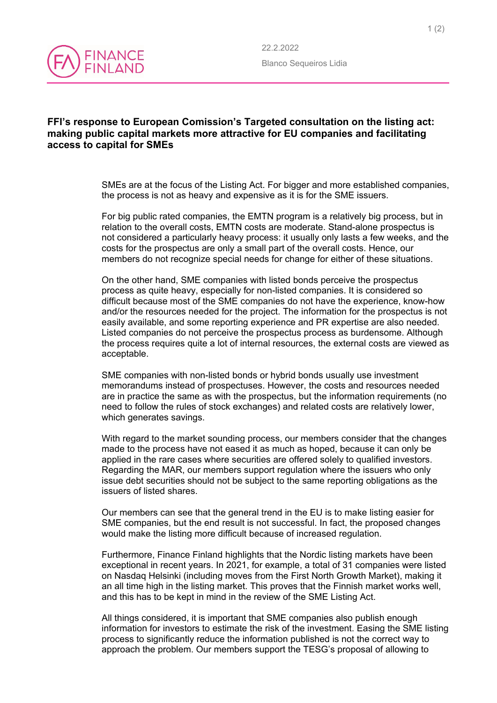

## **FFI's response to European Comission's Targeted consultation on the listing act: making public capital markets more attractive for EU companies and facilitating access to capital for SMEs**

SMEs are at the focus of the Listing Act. For bigger and more established companies, the process is not as heavy and expensive as it is for the SME issuers.

For big public rated companies, the EMTN program is a relatively big process, but in relation to the overall costs, EMTN costs are moderate. Stand-alone prospectus is not considered a particularly heavy process: it usually only lasts a few weeks, and the costs for the prospectus are only a small part of the overall costs. Hence, our members do not recognize special needs for change for either of these situations.

On the other hand, SME companies with listed bonds perceive the prospectus process as quite heavy, especially for non-listed companies. It is considered so difficult because most of the SME companies do not have the experience, know-how and/or the resources needed for the project. The information for the prospectus is not easily available, and some reporting experience and PR expertise are also needed. Listed companies do not perceive the prospectus process as burdensome. Although the process requires quite a lot of internal resources, the external costs are viewed as acceptable.

SME companies with non-listed bonds or hybrid bonds usually use investment memorandums instead of prospectuses. However, the costs and resources needed are in practice the same as with the prospectus, but the information requirements (no need to follow the rules of stock exchanges) and related costs are relatively lower, which generates savings.

With regard to the market sounding process, our members consider that the changes made to the process have not eased it as much as hoped, because it can only be applied in the rare cases where securities are offered solely to qualified investors. Regarding the MAR, our members support regulation where the issuers who only issue debt securities should not be subject to the same reporting obligations as the issuers of listed shares.

Our members can see that the general trend in the EU is to make listing easier for SME companies, but the end result is not successful. In fact, the proposed changes would make the listing more difficult because of increased regulation.

Furthermore, Finance Finland highlights that the Nordic listing markets have been exceptional in recent years. In 2021, for example, a total of 31 companies were listed on Nasdaq Helsinki (including moves from the First North Growth Market), making it an all time high in the listing market. This proves that the Finnish market works well, and this has to be kept in mind in the review of the SME Listing Act.

All things considered, it is important that SME companies also publish enough information for investors to estimate the risk of the investment. Easing the SME listing process to significantly reduce the information published is not the correct way to approach the problem. Our members support the TESG's proposal of allowing to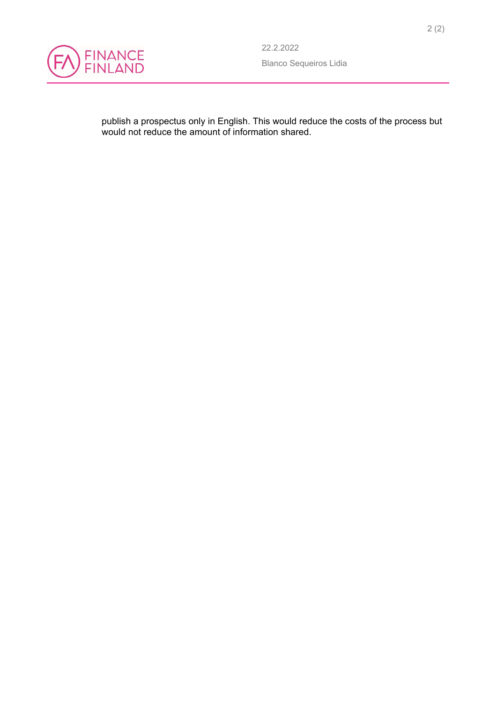

publish a prospectus only in English. This would reduce the costs of the process but would not reduce the amount of information shared.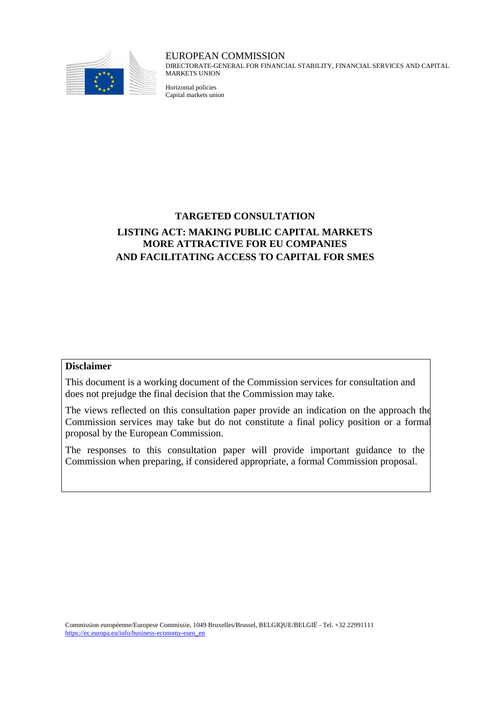

### EUROPEAN COMMISSION

DIRECTORATE-GENERAL FOR FINANCIAL STABILITY, FINANCIAL SERVICES AND CAPITAL MARKETS UNION

Horizontal policies Capital markets union

## **TARGETED CONSULTATION LISTING ACT: MAKING PUBLIC CAPITAL MARKETS MORE ATTRACTIVE FOR EU COMPANIES AND FACILITATING ACCESS TO CAPITAL FOR SMES**

#### **Disclaimer**

This document is a working document of the Commission services for consultation and does not prejudge the final decision that the Commission may take.

The views reflected on this consultation paper provide an indication on the approach the Commission services may take but do not constitute a final policy position or a formal proposal by the European Commission.

The responses to this consultation paper will provide important guidance to the Commission when preparing, if considered appropriate, a formal Commission proposal.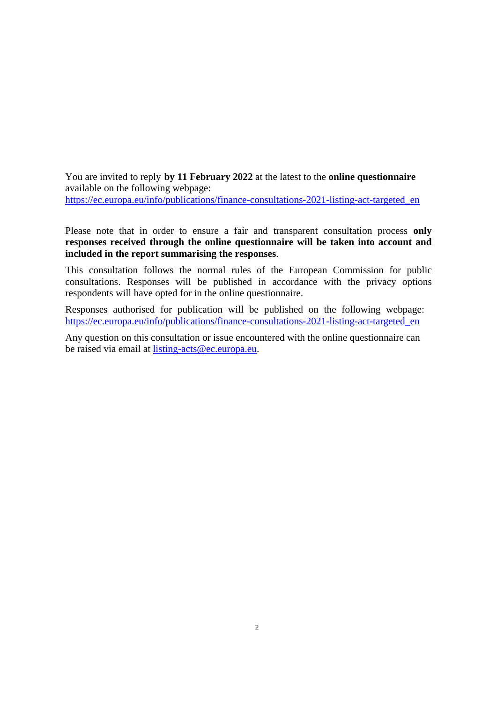You are invited to reply **by 11 February 2022** at the latest to the **online questionnaire** available on the following webpage: https://ec.europa.eu/info/publications/finance-consultations-2021-listing-act-targeted\_en

Please note that in order to ensure a fair and transparent consultation process **only responses received through the online questionnaire will be taken into account and included in the report summarising the responses**.

This consultation follows the normal rules of the European Commission for public consultations. Responses will be published in accordance with the privacy options respondents will have opted for in the online questionnaire.

Responses authorised for publication will be published on the following webpage: https://ec.europa.eu/info/publications/finance-consultations-2021-listing-act-targeted\_en

Any question on this consultation or issue encountered with the online questionnaire can be raised via email at listing-acts@ec.europa.eu.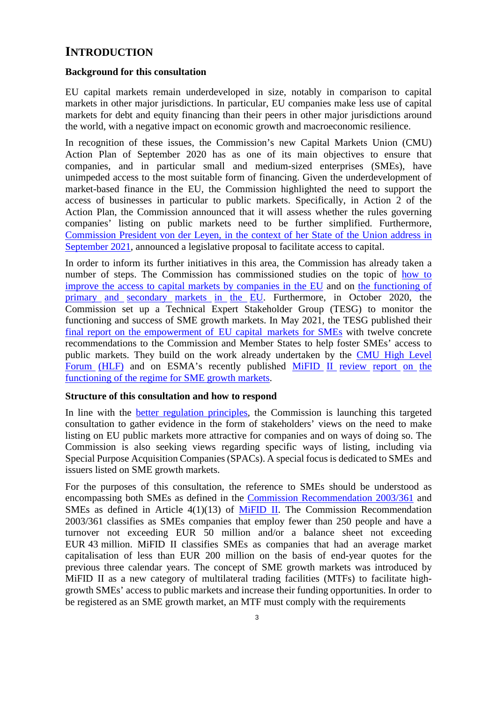## **INTRODUCTION**

### **Background for this consultation**

EU capital markets remain underdeveloped in size, notably in comparison to capital markets in other major jurisdictions. In particular, EU companies make less use of capital markets for debt and equity financing than their peers in other major jurisdictions around the world, with a negative impact on economic growth and macroeconomic resilience.

In recognition of these issues, the Commission's new Capital Markets Union (CMU) Action Plan of September 2020 has as one of its main objectives to ensure that companies, and in particular small and medium-sized enterprises (SMEs), have unimpeded access to the most suitable form of financing. Given the underdevelopment of market-based finance in the EU, the Commission highlighted the need to support the access of businesses in particular to public markets. Specifically, in Action 2 of the Action Plan, the Commission announced that it will assess whether the rules governing companies' listing on public markets need to be further simplified. Furthermore, Commission President von der Leyen, in the context of her State of the Union address in September 2021, announced a legislative proposal to facilitate access to capital.

In order to inform its further initiatives in this area, the Commission has already taken a number of steps. The Commission has commissioned studies on the topic of how to improve the access to capital markets by companies in the EU and on the functioning of primary and secondary markets in the EU. Furthermore, in October 2020, the Commission set up a Technical Expert Stakeholder Group (TESG) to monitor the functioning and success of SME growth markets. In May 2021, the TESG published their final report on the empowerment of EU capital markets for SMEs with twelve concrete recommendations to the Commission and Member States to help foster SMEs' access to public markets. They build on the work already undertaken by the CMU High Level Forum (HLF) and on ESMA's recently published MiFID II review report on the functioning of the regime for SME growth markets.

#### **Structure of this consultation and how to respond**

In line with the better regulation principles, the Commission is launching this targeted consultation to gather evidence in the form of stakeholders' views on the need to make listing on EU public markets more attractive for companies and on ways of doing so. The Commission is also seeking views regarding specific ways of listing, including via Special Purpose Acquisition Companies (SPACs). A special focus is dedicated to SMEs and issuers listed on SME growth markets.

For the purposes of this consultation, the reference to SMEs should be understood as encompassing both SMEs as defined in the Commission Recommendation 2003/361 and SMEs as defined in Article  $4(1)(13)$  of MiFID II. The Commission Recommendation 2003/361 classifies as SMEs companies that employ fewer than 250 people and have a turnover not exceeding EUR 50 million and/or a balance sheet not exceeding EUR 43 million. MiFID II classifies SMEs as companies that had an average market capitalisation of less than EUR 200 million on the basis of end-year quotes for the previous three calendar years. The concept of SME growth markets was introduced by MiFID II as a new category of multilateral trading facilities (MTFs) to facilitate highgrowth SMEs' access to public markets and increase their funding opportunities. In order to be registered as an SME growth market, an MTF must comply with the requirements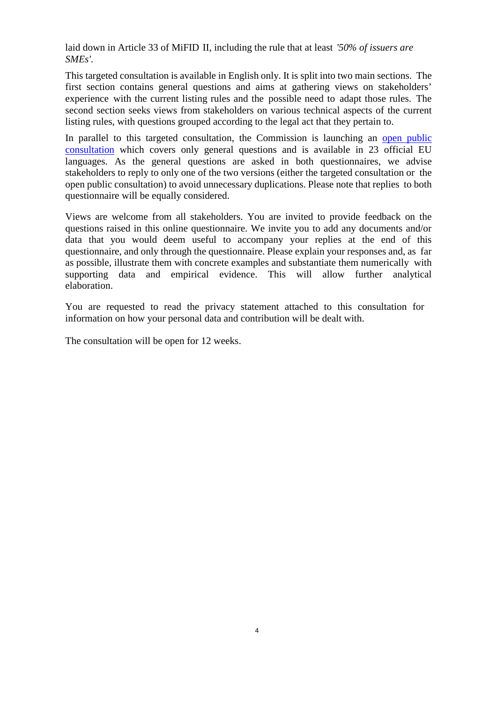laid down in Article 33 of MiFID II, including the rule that at least *'50% of issuers are SMEs'*.

This targeted consultation is available in English only. It is split into two main sections. The first section contains general questions and aims at gathering views on stakeholders' experience with the current listing rules and the possible need to adapt those rules. The second section seeks views from stakeholders on various technical aspects of the current listing rules, with questions grouped according to the legal act that they pertain to.

In parallel to this targeted consultation, the Commission is launching an open public consultation which covers only general questions and is available in 23 official EU languages. As the general questions are asked in both questionnaires, we advise stakeholders to reply to only one of the two versions (either the targeted consultation or the open public consultation) to avoid unnecessary duplications. Please note that replies to both questionnaire will be equally considered.

Views are welcome from all stakeholders. You are invited to provide feedback on the questions raised in this online questionnaire. We invite you to add any documents and/or data that you would deem useful to accompany your replies at the end of this questionnaire, and only through the questionnaire. Please explain your responses and, as far as possible, illustrate them with concrete examples and substantiate them numerically with supporting data and empirical evidence. This will allow further analytical elaboration.

You are requested to read the privacy statement attached to this consultation for information on how your personal data and contribution will be dealt with.

The consultation will be open for 12 weeks.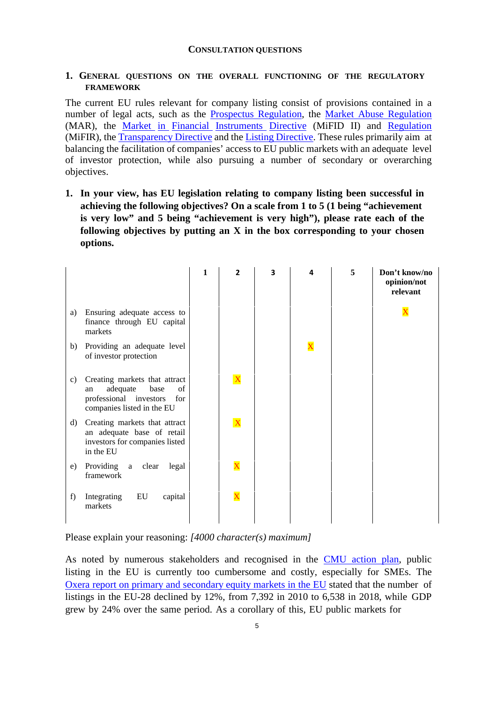#### **CONSULTATION QUESTIONS**

### **1. GENERAL QUESTIONS ON THE OVERALL FUNCTIONING OF THE REGULATORY FRAMEWORK**

The current EU rules relevant for company listing consist of provisions contained in a number of legal acts, such as the Prospectus Regulation, the Market Abuse Regulation (MAR), the Market in Financial Instruments Directive (MiFID II) and Regulation (MiFIR), the Transparency Directive and the Listing Directive. These rules primarily aim at balancing the facilitation of companies' access to EU public markets with an adequate level of investor protection, while also pursuing a number of secondary or overarching objectives.

**1. In your view, has EU legislation relating to company listing been successful in achieving the following objectives? On a scale from 1 to 5 (1 being "achievement is very low" and 5 being "achievement is very high"), please rate each of the following objectives by putting an X in the box corresponding to your chosen options.**

|              |                                                                                                                              | 1 | $\overline{2}$          | 3 | 5 | Don't know/no<br>opinion/not<br>relevant |
|--------------|------------------------------------------------------------------------------------------------------------------------------|---|-------------------------|---|---|------------------------------------------|
| a)           | Ensuring adequate access to<br>finance through EU capital<br>markets                                                         |   |                         |   |   | X                                        |
| b)           | Providing an adequate level<br>of investor protection                                                                        |   |                         |   |   |                                          |
| c)           | Creating markets that attract<br>base<br>of<br>adequate<br>an<br>professional investors<br>for<br>companies listed in the EU |   | $\mathbf{X}$            |   |   |                                          |
| $\mathbf{d}$ | Creating markets that attract<br>an adequate base of retail<br>investors for companies listed<br>in the EU                   |   | $\mathbf{\overline{X}}$ |   |   |                                          |
| e)           | Providing a clear<br>legal<br>framework                                                                                      |   | $\overline{\textbf{X}}$ |   |   |                                          |
| f)           | EU<br>Integrating<br>capital<br>markets                                                                                      |   | $\overline{\text{X}}$   |   |   |                                          |

Please explain your reasoning: *[4000 character(s) maximum]*

As noted by numerous stakeholders and recognised in the CMU action plan, public listing in the EU is currently too cumbersome and costly, especially for SMEs. The Oxera report on primary and secondary equity markets in the EU stated that the number of listings in the EU-28 declined by 12%, from 7,392 in 2010 to 6,538 in 2018, while GDP grew by 24% over the same period. As a corollary of this, EU public markets for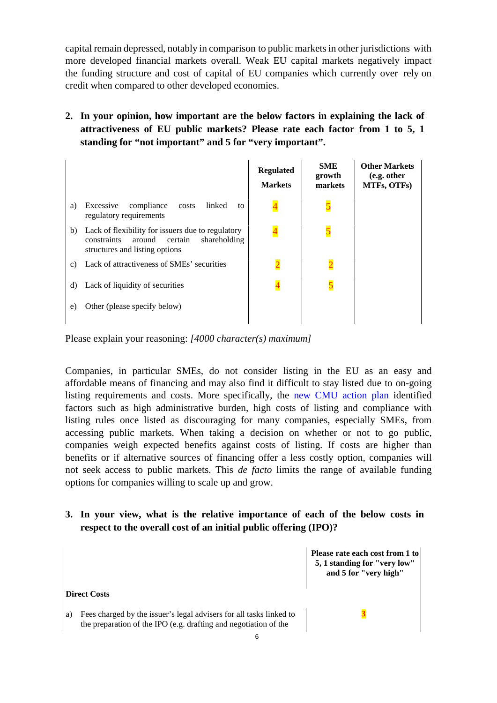capital remain depressed, notably in comparison to public markets in other jurisdictions with more developed financial markets overall. Weak EU capital markets negatively impact the funding structure and cost of capital of EU companies which currently over rely on credit when compared to other developed economies.

## **2. In your opinion, how important are the below factors in explaining the lack of attractiveness of EU public markets? Please rate each factor from 1 to 5, 1 standing for "not important" and 5 for "very important".**

|    |                                                                                                                                         | <b>Regulated</b><br><b>Markets</b> | <b>SME</b><br>growth<br>markets | <b>Other Markets</b><br>(e.g. other<br>MTFs, OTFs) |
|----|-----------------------------------------------------------------------------------------------------------------------------------------|------------------------------------|---------------------------------|----------------------------------------------------|
| a) | Excessive<br>compliance<br>linked<br>costs<br>to<br>regulatory requirements                                                             |                                    |                                 |                                                    |
| b) | Lack of flexibility for issuers due to regulatory<br>constraints<br>around<br>shareholding<br>certain<br>structures and listing options |                                    |                                 |                                                    |
| C) | Lack of attractiveness of SMEs' securities                                                                                              |                                    | $\overline{2}$                  |                                                    |
| d) | Lack of liquidity of securities                                                                                                         |                                    | 5                               |                                                    |
| e) | Other (please specify below)                                                                                                            |                                    |                                 |                                                    |

Please explain your reasoning: *[4000 character(s) maximum]*

Companies, in particular SMEs, do not consider listing in the EU as an easy and affordable means of financing and may also find it difficult to stay listed due to on-going listing requirements and costs. More specifically, the new CMU action plan identified factors such as high administrative burden, high costs of listing and compliance with listing rules once listed as discouraging for many companies, especially SMEs, from accessing public markets. When taking a decision on whether or not to go public, companies weigh expected benefits against costs of listing. If costs are higher than benefits or if alternative sources of financing offer a less costly option, companies will not seek access to public markets. This *de facto* limits the range of available funding options for companies willing to scale up and grow.

## **3. In your view, what is the relative importance of each of the below costs in respect to the overall cost of an initial public offering (IPO)?**

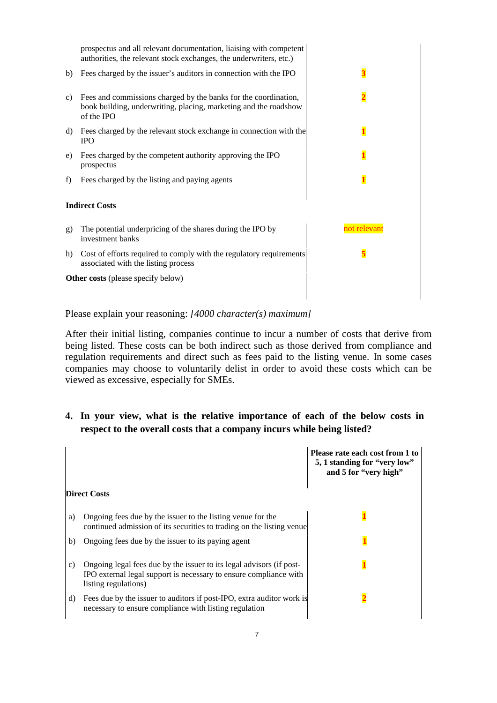|    | prospectus and all relevant documentation, liaising with competent<br>authorities, the relevant stock exchanges, the underwriters, etc.)          |                         |
|----|---------------------------------------------------------------------------------------------------------------------------------------------------|-------------------------|
| b) | Fees charged by the issuer's auditors in connection with the IPO                                                                                  | $\overline{\mathbf{3}}$ |
| c) | Fees and commissions charged by the banks for the coordination,<br>book building, underwriting, placing, marketing and the roadshow<br>of the IPO |                         |
| d) | Fees charged by the relevant stock exchange in connection with the<br><b>IPO</b>                                                                  |                         |
| e) | Fees charged by the competent authority approving the IPO<br>prospectus                                                                           |                         |
| f) | Fees charged by the listing and paying agents                                                                                                     |                         |
|    | <b>Indirect Costs</b>                                                                                                                             |                         |
| g) | The potential underpricing of the shares during the IPO by<br>investment banks                                                                    | not relevant            |
| h) | Cost of efforts required to comply with the regulatory requirements<br>associated with the listing process                                        |                         |
|    | <b>Other costs</b> (please specify below)                                                                                                         |                         |

Please explain your reasoning: *[4000 character(s) maximum]*

After their initial listing, companies continue to incur a number of costs that derive from being listed. These costs can be both indirect such as those derived from compliance and regulation requirements and direct such as fees paid to the listing venue. In some cases companies may choose to voluntarily delist in order to avoid these costs which can be viewed as excessive, especially for SMEs.

## **4. In your view, what is the relative importance of each of the below costs in respect to the overall costs that a company incurs while being listed?**

|                                                                                                                                                                         | Please rate each cost from 1 to<br>5, 1 standing for "very low"<br>and 5 for "very high" |
|-------------------------------------------------------------------------------------------------------------------------------------------------------------------------|------------------------------------------------------------------------------------------|
| <b>Direct Costs</b>                                                                                                                                                     |                                                                                          |
| Ongoing fees due by the issuer to the listing venue for the<br>a)<br>continued admission of its securities to trading on the listing venue                              |                                                                                          |
| Ongoing fees due by the issuer to its paying agent<br>b)                                                                                                                |                                                                                          |
| Ongoing legal fees due by the issuer to its legal advisors (if post-<br>c)<br>IPO external legal support is necessary to ensure compliance with<br>listing regulations) |                                                                                          |
| Fees due by the issuer to auditors if post-IPO, extra auditor work is<br>d)<br>necessary to ensure compliance with listing regulation                                   |                                                                                          |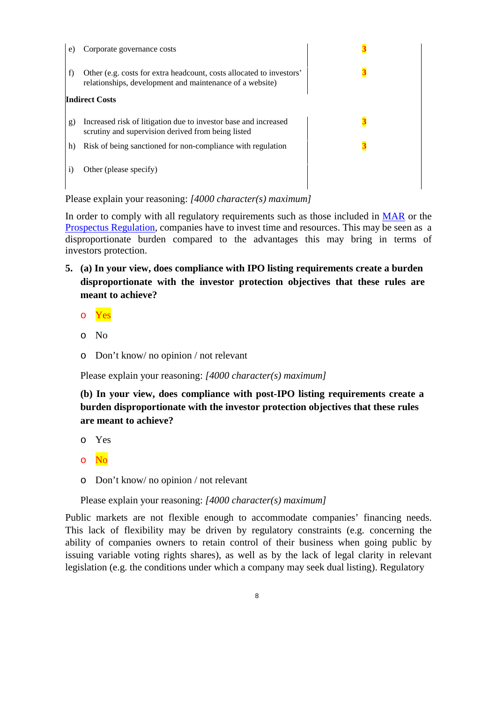| e. | Corporate governance costs                                                                                                       |  |
|----|----------------------------------------------------------------------------------------------------------------------------------|--|
| f) | Other (e.g. costs for extra headcount, costs allocated to investors'<br>relationships, development and maintenance of a website) |  |
|    | <b>Indirect Costs</b>                                                                                                            |  |
| g) | Increased risk of litigation due to investor base and increased<br>scrutiny and supervision derived from being listed            |  |
| h) | Risk of being sanctioned for non-compliance with regulation                                                                      |  |
|    | Other (please specify)                                                                                                           |  |

Please explain your reasoning: *[4000 character(s) maximum]*

In order to comply with all regulatory requirements such as those included in MAR or the Prospectus Regulation, companies have to invest time and resources. This may be seen as a disproportionate burden compared to the advantages this may bring in terms of investors protection.

- **5. (a) In your view, does compliance with IPO listing requirements create a burden disproportionate with the investor protection objectives that these rules are meant to achieve?** 
	- o Yes
	- o No
	- o Don't know/ no opinion / not relevant

Please explain your reasoning: *[4000 character(s) maximum]* 

**(b) In your view, does compliance with post-IPO listing requirements create a burden disproportionate with the investor protection objectives that these rules are meant to achieve?** 

- o Yes
- o No
- o Don't know/ no opinion / not relevant

Please explain your reasoning: *[4000 character(s) maximum]* 

Public markets are not flexible enough to accommodate companies' financing needs. This lack of flexibility may be driven by regulatory constraints (e.g. concerning the ability of companies owners to retain control of their business when going public by issuing variable voting rights shares), as well as by the lack of legal clarity in relevant legislation (e.g. the conditions under which a company may seek dual listing). Regulatory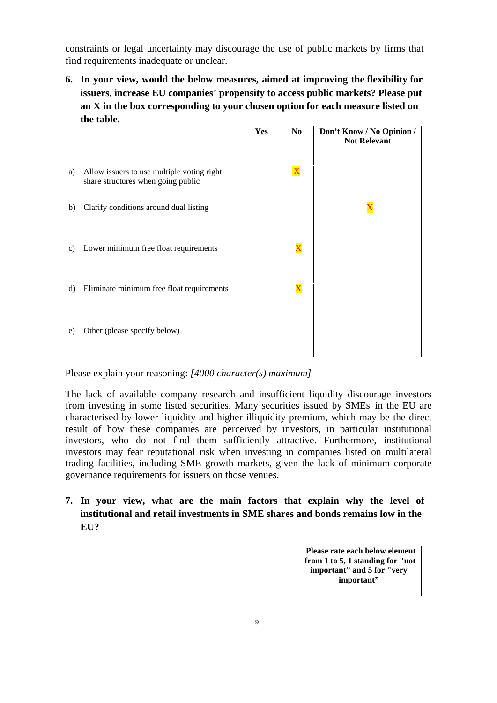constraints or legal uncertainty may discourage the use of public markets by firms that find requirements inadequate or unclear.

**6. In your view, would the below measures, aimed at improving the flexibility for issuers, increase EU companies' propensity to access public markets? Please put an X in the box corresponding to your chosen option for each measure listed on the table.** 

|    |                                                                                  | Yes | N <sub>0</sub>          | Don't Know / No Opinion /<br><b>Not Relevant</b> |
|----|----------------------------------------------------------------------------------|-----|-------------------------|--------------------------------------------------|
| a) | Allow issuers to use multiple voting right<br>share structures when going public |     | $\overline{\mathbf{X}}$ |                                                  |
| b) | Clarify conditions around dual listing                                           |     |                         | $\mathbf X$                                      |
| c) | Lower minimum free float requirements                                            |     | $\overline{\mathbf{X}}$ |                                                  |
| d) | Eliminate minimum free float requirements                                        |     | $\overline{\textbf{X}}$ |                                                  |
| e) | Other (please specify below)                                                     |     |                         |                                                  |

Please explain your reasoning: *[4000 character(s) maximum]*

The lack of available company research and insufficient liquidity discourage investors from investing in some listed securities. Many securities issued by SMEs in the EU are characterised by lower liquidity and higher illiquidity premium, which may be the direct result of how these companies are perceived by investors, in particular institutional investors, who do not find them sufficiently attractive. Furthermore, institutional investors may fear reputational risk when investing in companies listed on multilateral trading facilities, including SME growth markets, given the lack of minimum corporate governance requirements for issuers on those venues.

**7. In your view, what are the main factors that explain why the level of institutional and retail investments in SME shares and bonds remains low in the EU?** 

> **Please rate each below element from 1 to 5, 1 standing for "not important" and 5 for "very important"**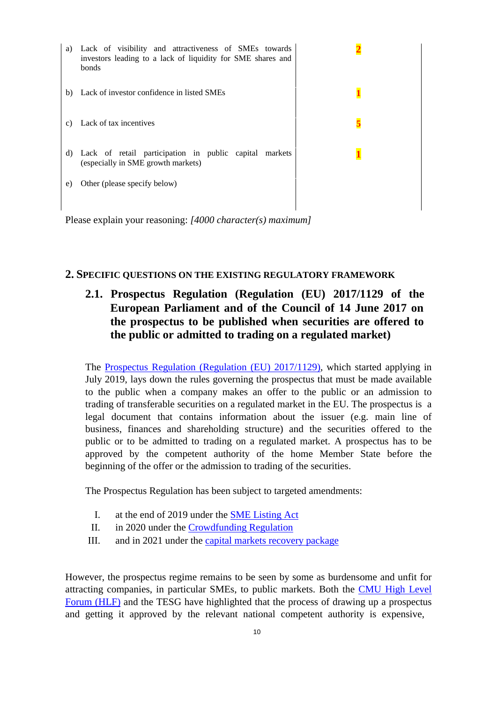| a) | Lack of visibility and attractiveness of SMEs towards<br>investors leading to a lack of liquidity for SME shares and<br>bonds |  |
|----|-------------------------------------------------------------------------------------------------------------------------------|--|
| b) | Lack of investor confidence in listed SMEs                                                                                    |  |
| C) | Lack of tax incentives                                                                                                        |  |
| d) | Lack of retail participation in public capital markets<br>(especially in SME growth markets)                                  |  |
| e) | Other (please specify below)                                                                                                  |  |

Please explain your reasoning: *[4000 character(s) maximum]*

### **2. SPECIFIC QUESTIONS ON THE EXISTING REGULATORY FRAMEWORK**

## **2.1. Prospectus Regulation (Regulation (EU) 2017/1129 of the European Parliament and of the Council of 14 June 2017 on the prospectus to be published when securities are offered to the public or admitted to trading on a regulated market)**

The Prospectus Regulation (Regulation (EU) 2017/1129), which started applying in July 2019, lays down the rules governing the prospectus that must be made available to the public when a company makes an offer to the public or an admission to trading of transferable securities on a regulated market in the EU. The prospectus is a legal document that contains information about the issuer (e.g. main line of business, finances and shareholding structure) and the securities offered to the public or to be admitted to trading on a regulated market. A prospectus has to be approved by the competent authority of the home Member State before the beginning of the offer or the admission to trading of the securities.

The Prospectus Regulation has been subject to targeted amendments:

- I. at the end of 2019 under the SME Listing Act
- II. in 2020 under the Crowdfunding Regulation
- III. and in 2021 under the capital markets recovery package

However, the prospectus regime remains to be seen by some as burdensome and unfit for attracting companies, in particular SMEs, to public markets. Both the CMU High Level Forum (HLF) and the TESG have highlighted that the process of drawing up a prospectus and getting it approved by the relevant national competent authority is expensive,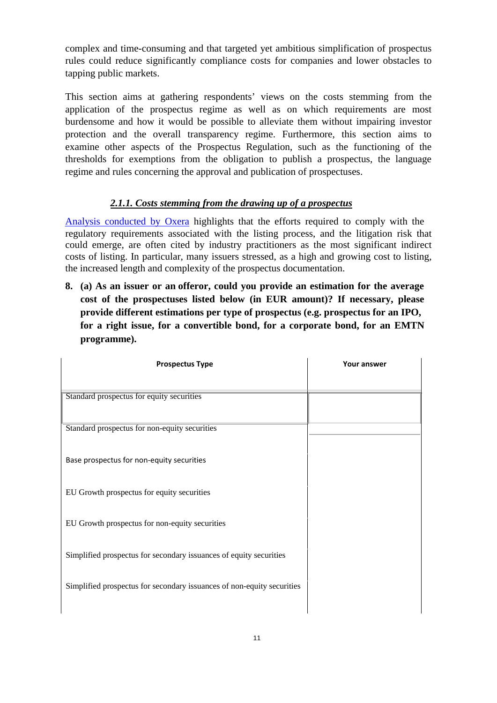complex and time-consuming and that targeted yet ambitious simplification of prospectus rules could reduce significantly compliance costs for companies and lower obstacles to tapping public markets.

This section aims at gathering respondents' views on the costs stemming from the application of the prospectus regime as well as on which requirements are most burdensome and how it would be possible to alleviate them without impairing investor protection and the overall transparency regime. Furthermore, this section aims to examine other aspects of the Prospectus Regulation, such as the functioning of the thresholds for exemptions from the obligation to publish a prospectus, the language regime and rules concerning the approval and publication of prospectuses.

## *2.1.1. Costs stemming from the drawing up of a prospectus*

Analysis conducted by Oxera highlights that the efforts required to comply with the regulatory requirements associated with the listing process, and the litigation risk that could emerge, are often cited by industry practitioners as the most significant indirect costs of listing. In particular, many issuers stressed, as a high and growing cost to listing, the increased length and complexity of the prospectus documentation.

**8. (a) As an issuer or an offeror, could you provide an estimation for the average cost of the prospectuses listed below (in EUR amount)? If necessary, please provide different estimations per type of prospectus (e.g. prospectus for an IPO, for a right issue, for a convertible bond, for a corporate bond, for an EMTN programme).** 

| <b>Prospectus Type</b>                                                 | Your answer |
|------------------------------------------------------------------------|-------------|
|                                                                        |             |
| Standard prospectus for equity securities                              |             |
|                                                                        |             |
| Standard prospectus for non-equity securities                          |             |
|                                                                        |             |
| Base prospectus for non-equity securities                              |             |
| EU Growth prospectus for equity securities                             |             |
|                                                                        |             |
| EU Growth prospectus for non-equity securities                         |             |
|                                                                        |             |
| Simplified prospectus for secondary issuances of equity securities     |             |
|                                                                        |             |
| Simplified prospectus for secondary issuances of non-equity securities |             |
|                                                                        |             |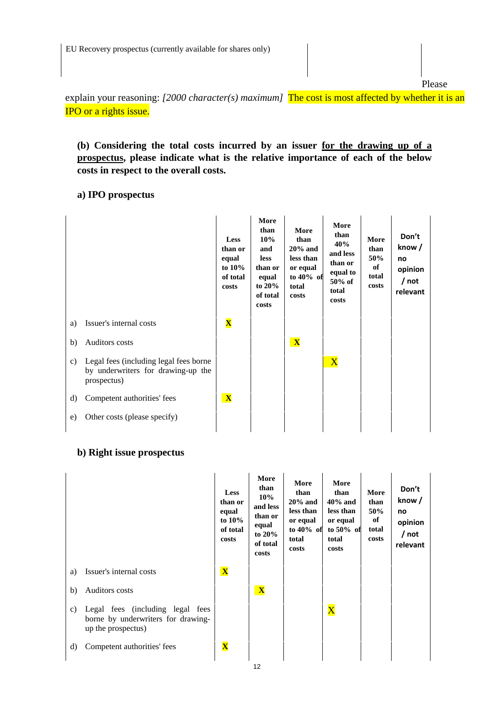Please

explain your reasoning: *[2000 character(s) maximum]* The cost is most affected by whether it is an IPO or a rights issue.

**(b) Considering the total costs incurred by an issuer for the drawing up of a prospectus, please indicate what is the relative importance of each of the below costs in respect to the overall costs.** 

### **a) IPO prospectus**

|    |                                                                                             | <b>Less</b><br>than or<br>equal<br>to $10\%$<br>of total<br>costs | More<br>than<br>10%<br>and<br><b>less</b><br>than or<br>equal<br>to $20\%$<br>of total<br>costs | More<br>than<br>$20%$ and<br>less than<br>or equal<br>to 40% of<br>total<br>costs | More<br>than<br>40%<br>and less<br>than or<br>equal to<br>50% of<br>total<br>costs | More<br>than<br>50%<br>of<br>total<br>costs | Don't<br>know /<br>no<br>opinion<br>/ not<br>relevant |
|----|---------------------------------------------------------------------------------------------|-------------------------------------------------------------------|-------------------------------------------------------------------------------------------------|-----------------------------------------------------------------------------------|------------------------------------------------------------------------------------|---------------------------------------------|-------------------------------------------------------|
| a) | Issuer's internal costs                                                                     | $\overline{\mathbf{X}}$                                           |                                                                                                 |                                                                                   |                                                                                    |                                             |                                                       |
| b) | Auditors costs                                                                              |                                                                   |                                                                                                 | $\mathbf{X}$                                                                      |                                                                                    |                                             |                                                       |
| c) | Legal fees (including legal fees borne<br>by underwriters for drawing-up the<br>prospectus) |                                                                   |                                                                                                 |                                                                                   | $\overline{\mathbf{X}}$                                                            |                                             |                                                       |
| d) | Competent authorities' fees                                                                 | $\mathbf{X}$                                                      |                                                                                                 |                                                                                   |                                                                                    |                                             |                                                       |
| e) | Other costs (please specify)                                                                |                                                                   |                                                                                                 |                                                                                   |                                                                                    |                                             |                                                       |
|    |                                                                                             |                                                                   |                                                                                                 |                                                                                   |                                                                                    |                                             |                                                       |

## **b) Right issue prospectus**

|    |                                                                                              | <b>Less</b><br>than or<br>equal<br>to $10\%$<br>of total<br>costs | More<br>than<br>10%<br>and less<br>than or<br>equal<br>to $20\%$<br>of total<br>costs | More<br>than<br>$20\%$ and<br>less than<br>or equal<br>to $40\%$ of<br>total<br>costs | More<br>than<br>$40\%$ and<br>less than<br>or equal<br>to $50\%$ of<br>total<br>costs | More<br>than<br>50%<br>of<br>total<br>costs | Don't<br>know/<br>no<br>opinion<br>/ not<br>relevant |
|----|----------------------------------------------------------------------------------------------|-------------------------------------------------------------------|---------------------------------------------------------------------------------------|---------------------------------------------------------------------------------------|---------------------------------------------------------------------------------------|---------------------------------------------|------------------------------------------------------|
| a) | Issuer's internal costs                                                                      | $\overline{\mathbf{X}}$                                           |                                                                                       |                                                                                       |                                                                                       |                                             |                                                      |
| b) | Auditors costs                                                                               |                                                                   | $\mathbf{X}$                                                                          |                                                                                       |                                                                                       |                                             |                                                      |
| C) | Legal fees (including legal fees<br>borne by underwriters for drawing-<br>up the prospectus) |                                                                   |                                                                                       |                                                                                       | $\overline{\text{X}}$                                                                 |                                             |                                                      |
| d) | Competent authorities' fees                                                                  | $\overline{\mathbf{X}}$                                           |                                                                                       |                                                                                       |                                                                                       |                                             |                                                      |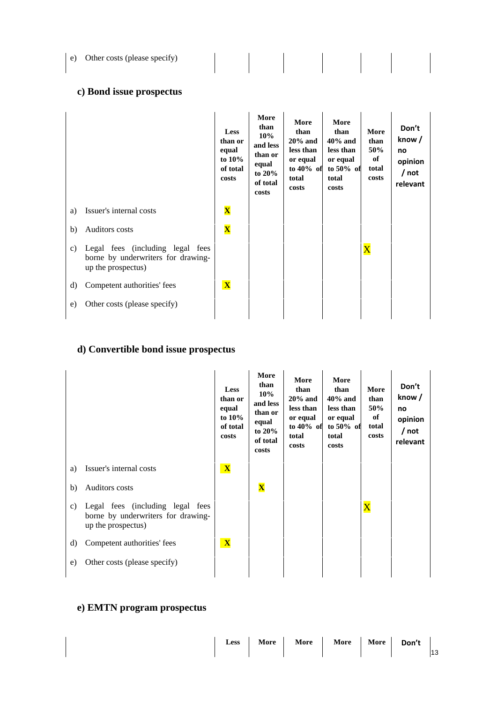| Other costs (please specify)<br>e) |  |
|------------------------------------|--|
|------------------------------------|--|

## **c) Bond issue prospectus**

|    |                                                                                              | <b>Less</b><br>than or<br>equal<br>to $10\%$<br>of total<br>costs | More<br>than<br>10%<br>and less<br>than or<br>equal<br>to $20\%$<br>of total<br>costs | More<br>than<br>$20\%$ and<br>less than<br>or equal<br>to $40\%$ of<br>total<br>costs | More<br>than<br>$40\%$ and<br>less than<br>or equal<br>to $50\%$ of<br>total<br>costs | More<br>than<br>50%<br>of<br>total<br>costs | Don't<br>know/<br>no<br>opinion<br>/ not<br>relevant |
|----|----------------------------------------------------------------------------------------------|-------------------------------------------------------------------|---------------------------------------------------------------------------------------|---------------------------------------------------------------------------------------|---------------------------------------------------------------------------------------|---------------------------------------------|------------------------------------------------------|
| a) | Issuer's internal costs                                                                      | $\mathbf{\overline{X}}$                                           |                                                                                       |                                                                                       |                                                                                       |                                             |                                                      |
| b) | Auditors costs                                                                               | $\overline{\mathbf{X}}$                                           |                                                                                       |                                                                                       |                                                                                       |                                             |                                                      |
| C) | Legal fees (including legal fees<br>borne by underwriters for drawing-<br>up the prospectus) |                                                                   |                                                                                       |                                                                                       |                                                                                       | $\overline{\text{X}}$                       |                                                      |
| d) | Competent authorities' fees                                                                  | $\mathbf{X}$                                                      |                                                                                       |                                                                                       |                                                                                       |                                             |                                                      |
| e) | Other costs (please specify)                                                                 |                                                                   |                                                                                       |                                                                                       |                                                                                       |                                             |                                                      |
|    |                                                                                              |                                                                   |                                                                                       |                                                                                       |                                                                                       |                                             |                                                      |

## **d) Convertible bond issue prospectus**

|    |                                                                                              | <b>Less</b><br>than or<br>equal<br>to $10\%$<br>of total<br>costs | More<br>than<br>$10\%$<br>and less<br>than or<br>equal<br>to $20\%$<br>of total<br>costs | More<br>than<br>$20%$ and<br>less than<br>or equal<br>to $40\%$ of<br>total<br>costs | More<br>than<br>$40\%$ and<br>less than<br>or equal<br>to $50\%$ of<br>total<br>costs | More<br>than<br>50%<br>of<br>total<br>costs | Don't<br>know/<br>no<br>opinion<br>/ not<br>relevant |
|----|----------------------------------------------------------------------------------------------|-------------------------------------------------------------------|------------------------------------------------------------------------------------------|--------------------------------------------------------------------------------------|---------------------------------------------------------------------------------------|---------------------------------------------|------------------------------------------------------|
| a) | Issuer's internal costs                                                                      | $\mathbf{X}$                                                      |                                                                                          |                                                                                      |                                                                                       |                                             |                                                      |
| b) | Auditors costs                                                                               |                                                                   | $\overline{\mathbf{X}}$                                                                  |                                                                                      |                                                                                       |                                             |                                                      |
| c) | Legal fees (including legal fees<br>borne by underwriters for drawing-<br>up the prospectus) |                                                                   |                                                                                          |                                                                                      |                                                                                       | $\overline{\text{X}}$                       |                                                      |
| d) | Competent authorities' fees                                                                  | $\mathbf{X}$                                                      |                                                                                          |                                                                                      |                                                                                       |                                             |                                                      |
| e) | Other costs (please specify)                                                                 |                                                                   |                                                                                          |                                                                                      |                                                                                       |                                             |                                                      |

# **e) EMTN program prospectus**

| 13 |  |  |  | Less   More   More   More   More   Don't |  |  |  |  |
|----|--|--|--|------------------------------------------|--|--|--|--|
|----|--|--|--|------------------------------------------|--|--|--|--|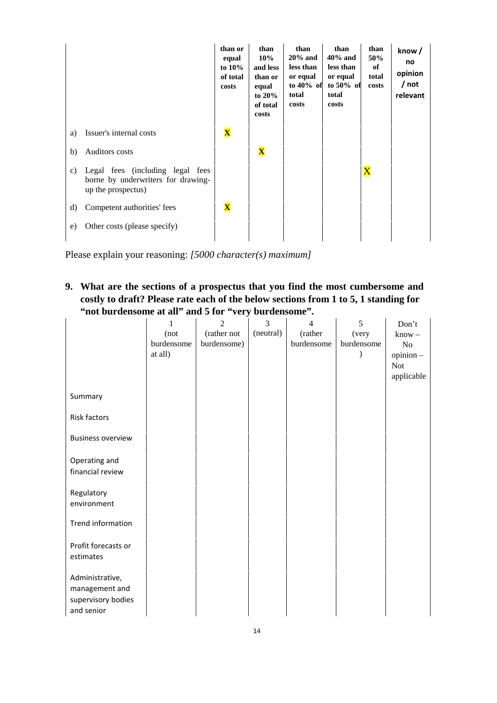|    |                                                                                              | than or<br>equal<br>to $10\%$<br>of total<br>costs | than<br>10%<br>and less<br>than or<br>equal<br>to $20\%$<br>of total<br>costs | than<br>$20\%$ and<br>less than<br>or equal<br>to $40\%$ of<br>total<br>costs | than<br>$40\%$ and<br>less than<br>or equal<br>to $50\%$ of<br>total<br>costs | than<br>50%<br>of<br>total<br>costs | know/<br>no<br>opinion<br>/ not<br>relevant |
|----|----------------------------------------------------------------------------------------------|----------------------------------------------------|-------------------------------------------------------------------------------|-------------------------------------------------------------------------------|-------------------------------------------------------------------------------|-------------------------------------|---------------------------------------------|
| a) | Issuer's internal costs                                                                      | $\overline{\mathbf{X}}$                            |                                                                               |                                                                               |                                                                               |                                     |                                             |
| b) | Auditors costs                                                                               |                                                    | $\overline{\mathbf{X}}$                                                       |                                                                               |                                                                               |                                     |                                             |
| c) | Legal fees (including legal fees<br>borne by underwriters for drawing-<br>up the prospectus) |                                                    |                                                                               |                                                                               |                                                                               | $\mathbf{\overline{X}}$             |                                             |
| d) | Competent authorities' fees                                                                  | $\overline{\mathbf{X}}$                            |                                                                               |                                                                               |                                                                               |                                     |                                             |
| e) | Other costs (please specify)                                                                 |                                                    |                                                                               |                                                                               |                                                                               |                                     |                                             |
|    |                                                                                              |                                                    |                                                                               |                                                                               |                                                                               |                                     |                                             |

Please explain your reasoning: *[5000 character(s) maximum]*

**9. What are the sections of a prospectus that you find the most cumbersome and costly to draft? Please rate each of the below sections from 1 to 5, 1 standing for "not burdensome at all" and 5 for "very burdensome".**

|                          | 1<br>(not  | $\overline{2}$<br>(rather not | 3<br>(neutral) | $\overline{4}$<br>(rather | 5<br>(very | Don't<br>$know -$ |
|--------------------------|------------|-------------------------------|----------------|---------------------------|------------|-------------------|
|                          | burdensome | burdensome)                   |                | burdensome                | burdensome | No                |
|                          | at all)    |                               |                |                           |            | $opinion -$       |
|                          |            |                               |                |                           |            | <b>Not</b>        |
|                          |            |                               |                |                           |            | applicable        |
| Summary                  |            |                               |                |                           |            |                   |
| <b>Risk factors</b>      |            |                               |                |                           |            |                   |
| <b>Business overview</b> |            |                               |                |                           |            |                   |
| Operating and            |            |                               |                |                           |            |                   |
| financial review         |            |                               |                |                           |            |                   |
| Regulatory               |            |                               |                |                           |            |                   |
| environment              |            |                               |                |                           |            |                   |
| Trend information        |            |                               |                |                           |            |                   |
| Profit forecasts or      |            |                               |                |                           |            |                   |
| estimates                |            |                               |                |                           |            |                   |
| Administrative,          |            |                               |                |                           |            |                   |
| management and           |            |                               |                |                           |            |                   |
| supervisory bodies       |            |                               |                |                           |            |                   |
| and senior               |            |                               |                |                           |            |                   |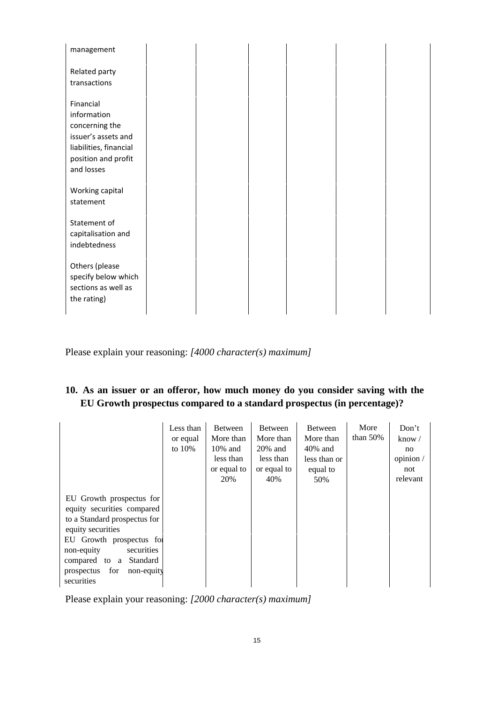| management                                                                                                                       |  |  |  |
|----------------------------------------------------------------------------------------------------------------------------------|--|--|--|
| Related party<br>transactions                                                                                                    |  |  |  |
| Financial<br>information<br>concerning the<br>issuer's assets and<br>liabilities, financial<br>position and profit<br>and losses |  |  |  |
| Working capital<br>statement                                                                                                     |  |  |  |
| Statement of<br>capitalisation and<br>indebtedness                                                                               |  |  |  |
| Others (please<br>specify below which<br>sections as well as<br>the rating)                                                      |  |  |  |

Please explain your reasoning: *[4000 character(s) maximum]*

## **10. As an issuer or an offeror, how much money do you consider saving with the EU Growth prospectus compared to a standard prospectus (in percentage)?**

|                                                                                                                                                                                                                                             | Less than<br>or equal<br>to $10\%$ | <b>Between</b><br>More than<br>$10\%$ and<br>less than<br>or equal to<br>20% | <b>Between</b><br>More than<br>$20\%$ and<br>less than<br>or equal to<br>40% | <b>Between</b><br>More than<br>$40\%$ and<br>less than or<br>equal to<br>50% | More<br>than $50\%$ | Don't<br>know $\sqrt{}$<br>no<br>opinion /<br>not<br>relevant |
|---------------------------------------------------------------------------------------------------------------------------------------------------------------------------------------------------------------------------------------------|------------------------------------|------------------------------------------------------------------------------|------------------------------------------------------------------------------|------------------------------------------------------------------------------|---------------------|---------------------------------------------------------------|
| EU Growth prospectus for<br>equity securities compared<br>to a Standard prospectus for<br>equity securities<br>EU Growth prospectus for<br>non-equity<br>securities<br>compared to a Standard<br>prospectus for<br>non-equity<br>securities |                                    |                                                                              |                                                                              |                                                                              |                     |                                                               |

Please explain your reasoning: *[2000 character(s) maximum]*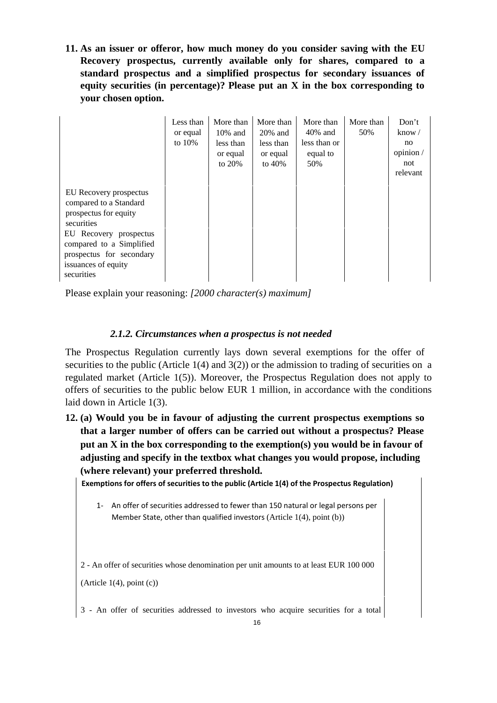**11. As an issuer or offeror, how much money do you consider saving with the EU Recovery prospectus, currently available only for shares, compared to a standard prospectus and a simplified prospectus for secondary issuances of equity securities (in percentage)? Please put an X in the box corresponding to your chosen option.** 

|                                                                                                                                                                                                                | Less than<br>or equal<br>to $10%$ | More than<br>$10\%$ and<br>less than<br>or equal<br>to 20% | More than<br>$20\%$ and<br>less than<br>or equal<br>to $40\%$ | More than<br>$40\%$ and<br>less than or<br>equal to<br>50% | More than<br>50% | Don't<br>know $\sqrt{}$<br>no<br>opinion /<br>not<br>relevant |
|----------------------------------------------------------------------------------------------------------------------------------------------------------------------------------------------------------------|-----------------------------------|------------------------------------------------------------|---------------------------------------------------------------|------------------------------------------------------------|------------------|---------------------------------------------------------------|
| EU Recovery prospectus<br>compared to a Standard<br>prospectus for equity<br>securities<br>EU Recovery prospectus<br>compared to a Simplified<br>prospectus for secondary<br>issuances of equity<br>securities |                                   |                                                            |                                                               |                                                            |                  |                                                               |

Please explain your reasoning: *[2000 character(s) maximum]*

### *2.1.2. Circumstances when a prospectus is not needed*

The Prospectus Regulation currently lays down several exemptions for the offer of securities to the public (Article  $1(4)$  and  $3(2)$ ) or the admission to trading of securities on a regulated market (Article 1(5)). Moreover, the Prospectus Regulation does not apply to offers of securities to the public below EUR 1 million, in accordance with the conditions laid down in Article 1(3).

**12. (a) Would you be in favour of adjusting the current prospectus exemptions so that a larger number of offers can be carried out without a prospectus? Please put an X in the box corresponding to the exemption(s) you would be in favour of adjusting and specify in the textbox what changes you would propose, including (where relevant) your preferred threshold.** 

**Exemptions for offers of securities to the public (Article 1(4) of the Prospectus Regulation)** 

1‐ An offer of securities addressed to fewer than 150 natural or legal persons per Member State, other than qualified investors (Article 1(4), point (b))

2 - An offer of securities whose denomination per unit amounts to at least EUR 100 000  $(Article 1(4), point (c))$ 

3 - An offer of securities addressed to investors who acquire securities for a total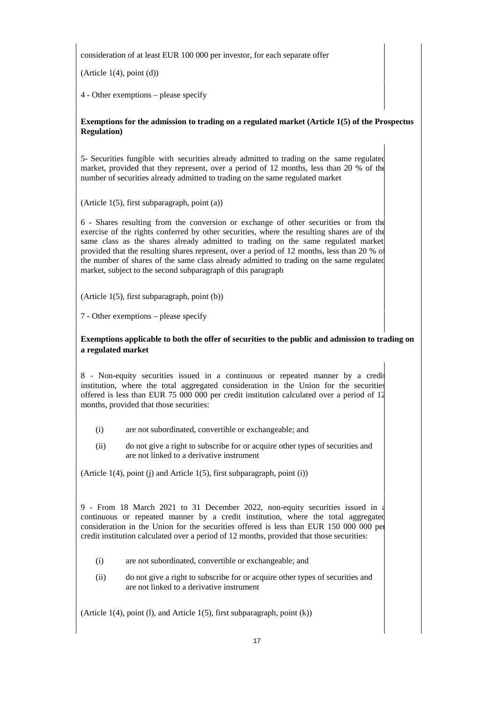consideration of at least EUR 100 000 per investor, for each separate offer

 $(Article 1(4), point (d))$ 

4 - Other exemptions – please specify

#### **Exemptions for the admission to trading on a regulated market (Article 1(5) of the Prospectus Regulation)**

5- Securities fungible with securities already admitted to trading on the same regulated market, provided that they represent, over a period of 12 months, less than 20 % of the number of securities already admitted to trading on the same regulated market

(Article 1(5), first subparagraph, point (a))

6 - Shares resulting from the conversion or exchange of other securities or from the exercise of the rights conferred by other securities, where the resulting shares are of the same class as the shares already admitted to trading on the same regulated market provided that the resulting shares represent, over a period of 12 months, less than 20 % of the number of shares of the same class already admitted to trading on the same regulated market, subject to the second subparagraph of this paragraph

(Article 1(5), first subparagraph, point (b))

7 - Other exemptions – please specify

#### **Exemptions applicable to both the offer of securities to the public and admission to trading on a regulated market**

8 - Non-equity securities issued in a continuous or repeated manner by a credit institution, where the total aggregated consideration in the Union for the securities offered is less than EUR 75 000 000 per credit institution calculated over a period of 12 months, provided that those securities:

- (i) are not subordinated, convertible or exchangeable; and
- (ii) do not give a right to subscribe for or acquire other types of securities and are not linked to a derivative instrument

(Article  $1(4)$ , point (i) and Article  $1(5)$ , first subparagraph, point (i))

9 - From 18 March 2021 to 31 December 2022, non-equity securities issued in a continuous or repeated manner by a credit institution, where the total aggregated consideration in the Union for the securities offered is less than EUR 150 000 000 per credit institution calculated over a period of 12 months, provided that those securities:

- (i) are not subordinated, convertible or exchangeable; and
- (ii) do not give a right to subscribe for or acquire other types of securities and are not linked to a derivative instrument

(Article 1(4), point (1), and Article 1(5), first subparagraph, point  $(k)$ )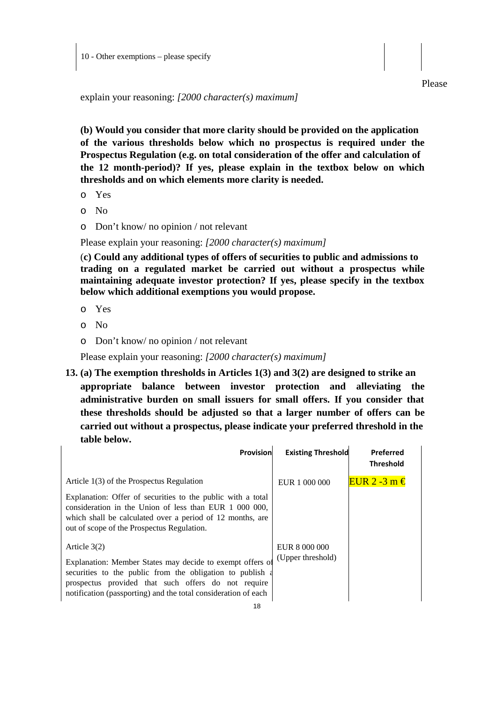explain your reasoning: *[2000 character(s) maximum]* 

**(b) Would you consider that more clarity should be provided on the application of the various thresholds below which no prospectus is required under the Prospectus Regulation (e.g. on total consideration of the offer and calculation of the 12 month-period)? If yes, please explain in the textbox below on which thresholds and on which elements more clarity is needed.** 

- o Yes
- o No
- o Don't know/ no opinion / not relevant

Please explain your reasoning: *[2000 character(s) maximum]*

(**c) Could any additional types of offers of securities to public and admissions to trading on a regulated market be carried out without a prospectus while maintaining adequate investor protection? If yes, please specify in the textbox below which additional exemptions you would propose.** 

- o Yes
- o No
- o Don't know/ no opinion / not relevant

Please explain your reasoning: *[2000 character(s) maximum]* 

**13. (a) The exemption thresholds in Articles 1(3) and 3(2) are designed to strike an appropriate balance between investor protection and alleviating the administrative burden on small issuers for small offers. If you consider that these thresholds should be adjusted so that a larger number of offers can be carried out without a prospectus, please indicate your preferred threshold in the table below.** 

| Provision                                                                                                                                                                                                                                       | <b>Existing Threshold</b> | Preferred<br><b>Threshold</b> |
|-------------------------------------------------------------------------------------------------------------------------------------------------------------------------------------------------------------------------------------------------|---------------------------|-------------------------------|
| Article 1(3) of the Prospectus Regulation                                                                                                                                                                                                       | EUR 1 000 000             | EUR 2 -3 m $\in$              |
| Explanation: Offer of securities to the public with a total<br>consideration in the Union of less than EUR 1 000 000,<br>which shall be calculated over a period of 12 months, are<br>out of scope of the Prospectus Regulation.                |                           |                               |
| Article $3(2)$                                                                                                                                                                                                                                  | EUR 8 000 000             |                               |
| Explanation: Member States may decide to exempt offers of<br>securities to the public from the obligation to publish a<br>prospectus provided that such offers do not require<br>notification (passporting) and the total consideration of each | (Upper threshold)         |                               |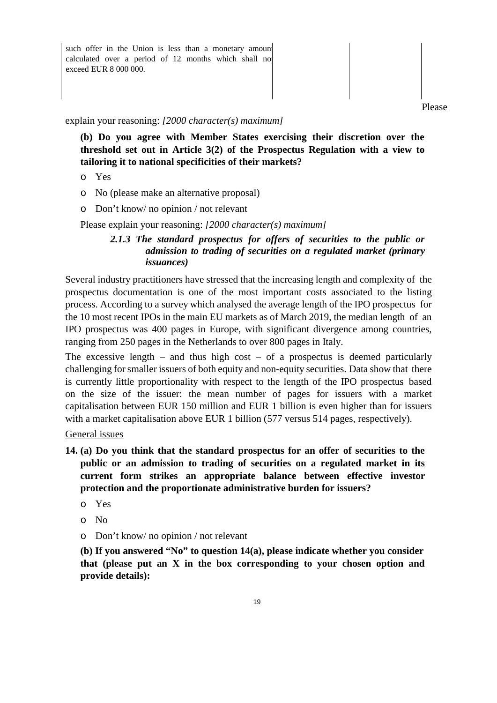such offer in the Union is less than a monetary amount calculated over a period of 12 months which shall no exceed EUR 8 000 000. 

Please

explain your reasoning: *[2000 character(s) maximum]*

**(b) Do you agree with Member States exercising their discretion over the threshold set out in Article 3(2) of the Prospectus Regulation with a view to tailoring it to national specificities of their markets?**

- o Yes
- o No (please make an alternative proposal)
- o Don't know/ no opinion / not relevant

Please explain your reasoning: *[2000 character(s) maximum]*

### *2.1.3 The standard prospectus for offers of securities to the public or admission to trading of securities on a regulated market (primary issuances)*

Several industry practitioners have stressed that the increasing length and complexity of the prospectus documentation is one of the most important costs associated to the listing process. According to a survey which analysed the average length of the IPO prospectus for the 10 most recent IPOs in the main EU markets as of March 2019, the median length of an IPO prospectus was 400 pages in Europe, with significant divergence among countries, ranging from 250 pages in the Netherlands to over 800 pages in Italy.

The excessive length – and thus high cost – of a prospectus is deemed particularly challenging for smaller issuers of both equity and non-equity securities. Data show that there is currently little proportionality with respect to the length of the IPO prospectus based on the size of the issuer: the mean number of pages for issuers with a market capitalisation between EUR 150 million and EUR 1 billion is even higher than for issuers with a market capitalisation above EUR 1 billion (577 versus 514 pages, respectively).

General issues

- **14. (a) Do you think that the standard prospectus for an offer of securities to the public or an admission to trading of securities on a regulated market in its current form strikes an appropriate balance between effective investor protection and the proportionate administrative burden for issuers?** 
	- o Yes
	- o No
	- o Don't know/ no opinion / not relevant

**(b) If you answered "No" to question 14(a), please indicate whether you consider that (please put an X in the box corresponding to your chosen option and provide details):**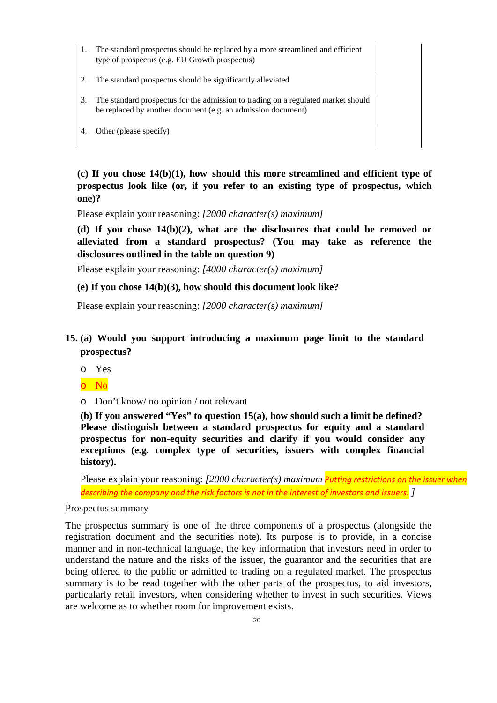- 1. The standard prospectus should be replaced by a more streamlined and efficient type of prospectus (e.g. EU Growth prospectus)
- 2. The standard prospectus should be significantly alleviated
- 3. The standard prospectus for the admission to trading on a regulated market should be replaced by another document (e.g. an admission document)
- 4. Other (please specify)

**(c) If you chose 14(b)(1), how should this more streamlined and efficient type of prospectus look like (or, if you refer to an existing type of prospectus, which one)?** 

Please explain your reasoning: *[2000 character(s) maximum]* 

**(d) If you chose 14(b)(2), what are the disclosures that could be removed or alleviated from a standard prospectus? (You may take as reference the disclosures outlined in the table on question 9)** 

Please explain your reasoning: *[4000 character(s) maximum]* 

#### **(e) If you chose 14(b)(3), how should this document look like?**

Please explain your reasoning: *[2000 character(s) maximum]* 

## **15. (a) Would you support introducing a maximum page limit to the standard prospectus?**

o Yes

#### o No

o Don't know/ no opinion / not relevant

**(b) If you answered "Yes" to question 15(a), how should such a limit be defined? Please distinguish between a standard prospectus for equity and a standard prospectus for non-equity securities and clarify if you would consider any exceptions (e.g. complex type of securities, issuers with complex financial history).** 

Please explain your reasoning: *[2000 character(s) maximum Putting restrictions on the issuer when describing the company and the risk factors is not in the interest of investors and issuers*. *]* 

#### Prospectus summary

The prospectus summary is one of the three components of a prospectus (alongside the registration document and the securities note). Its purpose is to provide, in a concise manner and in non-technical language, the key information that investors need in order to understand the nature and the risks of the issuer, the guarantor and the securities that are being offered to the public or admitted to trading on a regulated market. The prospectus summary is to be read together with the other parts of the prospectus, to aid investors, particularly retail investors, when considering whether to invest in such securities. Views are welcome as to whether room for improvement exists.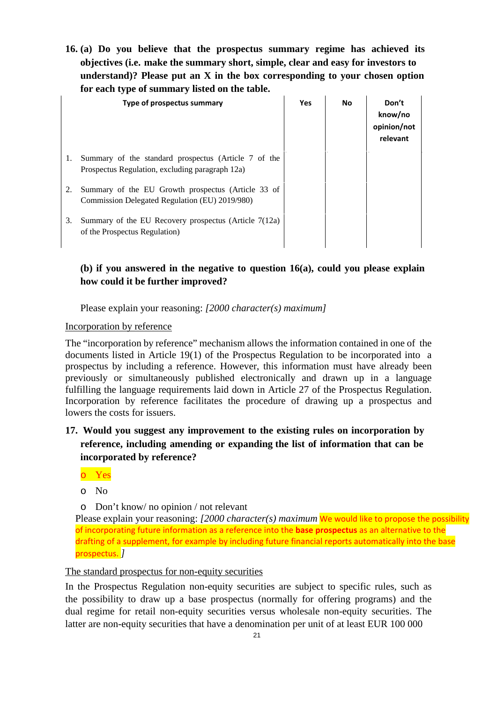**16. (a) Do you believe that the prospectus summary regime has achieved its objectives (i.e. make the summary short, simple, clear and easy for investors to understand)? Please put an X in the box corresponding to your chosen option for each type of summary listed on the table.** 

|    | Type of prospectus summary                                                                              | <b>Yes</b> | <b>No</b> | Don't<br>know/no<br>opinion/not<br>relevant |
|----|---------------------------------------------------------------------------------------------------------|------------|-----------|---------------------------------------------|
| 1. | Summary of the standard prospectus (Article 7 of the<br>Prospectus Regulation, excluding paragraph 12a) |            |           |                                             |
| 2. | Summary of the EU Growth prospectus (Article 33 of<br>Commission Delegated Regulation (EU) 2019/980)    |            |           |                                             |
| 3. | Summary of the EU Recovery prospectus (Article 7(12a)<br>of the Prospectus Regulation)                  |            |           |                                             |

## **(b) if you answered in the negative to question 16(a), could you please explain how could it be further improved?**

Please explain your reasoning: *[2000 character(s) maximum]*

### Incorporation by reference

The "incorporation by reference" mechanism allows the information contained in one of the documents listed in Article 19(1) of the Prospectus Regulation to be incorporated into a prospectus by including a reference. However, this information must have already been previously or simultaneously published electronically and drawn up in a language fulfilling the language requirements laid down in Article 27 of the Prospectus Regulation. Incorporation by reference facilitates the procedure of drawing up a prospectus and lowers the costs for issuers.

- **17. Would you suggest any improvement to the existing rules on incorporation by reference, including amending or expanding the list of information that can be incorporated by reference?** 
	- o Yes
	- o No
	- o Don't know/ no opinion / not relevant

Please explain your reasoning: *[2000 character(s) maximum* We would like to propose the possibility of incorporating future information as a reference into the **base prospectus** as an alternative to the drafting of a supplement, for example by including future financial reports automatically into the base prospectus. *]*

## The standard prospectus for non-equity securities

In the Prospectus Regulation non-equity securities are subject to specific rules, such as the possibility to draw up a base prospectus (normally for offering programs) and the dual regime for retail non-equity securities versus wholesale non-equity securities. The latter are non-equity securities that have a denomination per unit of at least EUR 100 000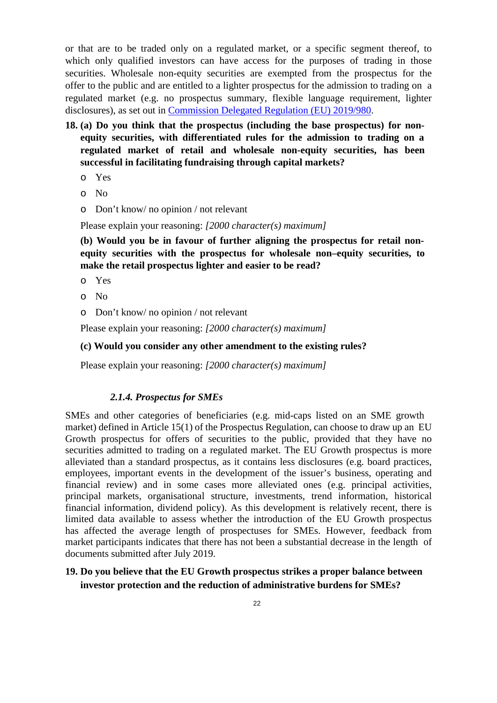or that are to be traded only on a regulated market, or a specific segment thereof, to which only qualified investors can have access for the purposes of trading in those securities. Wholesale non-equity securities are exempted from the prospectus for the offer to the public and are entitled to a lighter prospectus for the admission to trading on a regulated market (e.g. no prospectus summary, flexible language requirement, lighter disclosures), as set out in Commission Delegated Regulation (EU) 2019/980.

- **18. (a) Do you think that the prospectus (including the base prospectus) for nonequity securities, with differentiated rules for the admission to trading on a regulated market of retail and wholesale non-equity securities, has been successful in facilitating fundraising through capital markets?** 
	- o Yes
	- o No
	- o Don't know/ no opinion / not relevant

Please explain your reasoning: *[2000 character(s) maximum]*

**(b) Would you be in favour of further aligning the prospectus for retail nonequity securities with the prospectus for wholesale non–equity securities, to make the retail prospectus lighter and easier to be read?** 

- o Yes
- o No
- o Don't know/ no opinion / not relevant

Please explain your reasoning: *[2000 character(s) maximum]*

#### **(c) Would you consider any other amendment to the existing rules?**

Please explain your reasoning: *[2000 character(s) maximum]* 

#### *2.1.4. Prospectus for SMEs*

SMEs and other categories of beneficiaries (e.g. mid-caps listed on an SME growth market) defined in Article 15(1) of the Prospectus Regulation, can choose to draw up an EU Growth prospectus for offers of securities to the public, provided that they have no securities admitted to trading on a regulated market. The EU Growth prospectus is more alleviated than a standard prospectus, as it contains less disclosures (e.g. board practices, employees, important events in the development of the issuer's business, operating and financial review) and in some cases more alleviated ones (e.g. principal activities, principal markets, organisational structure, investments, trend information, historical financial information, dividend policy). As this development is relatively recent, there is limited data available to assess whether the introduction of the EU Growth prospectus has affected the average length of prospectuses for SMEs. However, feedback from market participants indicates that there has not been a substantial decrease in the length of documents submitted after July 2019.

## **19. Do you believe that the EU Growth prospectus strikes a proper balance between investor protection and the reduction of administrative burdens for SMEs?**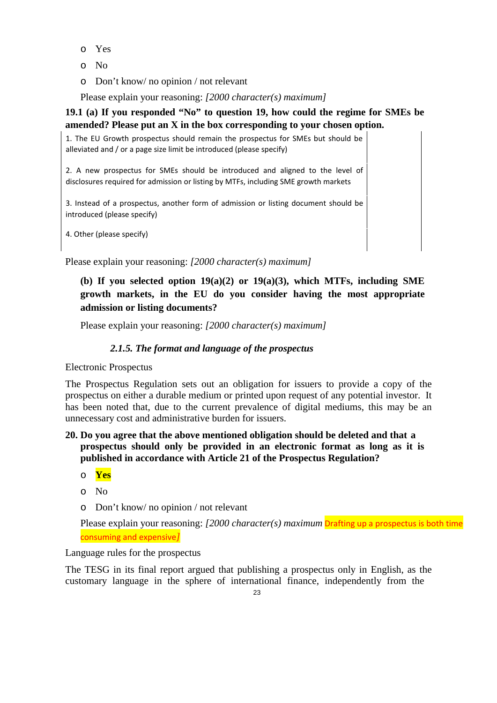- o Yes
- o No
- o Don't know/ no opinion / not relevant

Please explain your reasoning: *[2000 character(s) maximum]*

## **19.1 (a) If you responded "No" to question 19, how could the regime for SMEs be amended? Please put an X in the box corresponding to your chosen option.**

1. The EU Growth prospectus should remain the prospectus for SMEs but should be alleviated and / or a page size limit be introduced (please specify)

2. A new prospectus for SMEs should be introduced and aligned to the level of disclosures required for admission or listing by MTFs, including SME growth markets

3. Instead of a prospectus, another form of admission or listing document should be introduced (please specify)

4. Other (please specify)

Please explain your reasoning: *[2000 character(s) maximum]*

## **(b) If you selected option 19(a)(2) or 19(a)(3), which MTFs, including SME growth markets, in the EU do you consider having the most appropriate admission or listing documents?**

Please explain your reasoning: *[2000 character(s) maximum]* 

## *2.1.5. The format and language of the prospectus*

Electronic Prospectus

The Prospectus Regulation sets out an obligation for issuers to provide a copy of the prospectus on either a durable medium or printed upon request of any potential investor. It has been noted that, due to the current prevalence of digital mediums, this may be an unnecessary cost and administrative burden for issuers.

## **20. Do you agree that the above mentioned obligation should be deleted and that a prospectus should only be provided in an electronic format as long as it is published in accordance with Article 21 of the Prospectus Regulation?**

- o **Yes**
- o No
- o Don't know/ no opinion / not relevant

Please explain your reasoning: *[2000 character(s) maximum* Drafting up a prospectus is both time consuming and expensive*]*

Language rules for the prospectus

The TESG in its final report argued that publishing a prospectus only in English, as the customary language in the sphere of international finance, independently from the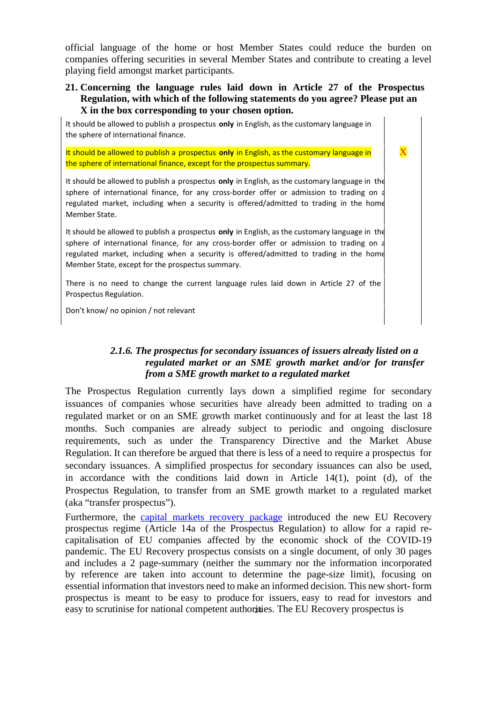official language of the home or host Member States could reduce the burden on companies offering securities in several Member States and contribute to creating a level playing field amongst market participants.

### **21. Concerning the language rules laid down in Article 27 of the Prospectus Regulation, with which of the following statements do you agree? Please put an X in the box corresponding to your chosen option.**

 $\overline{\phantom{a}}$ 

It should be allowed to publish a prospectus **only** in English, as the customary language in the sphere of international finance.

It should be allowed to publish a prospectus **only** in English, as the customary language in the sphere of international finance, except for the prospectus summary.

It should be allowed to publish a prospectus **only** in English, as the customary language in the sphere of international finance, for any cross-border offer or admission to trading on a regulated market, including when a security is offered/admitted to trading in the home Member State.

It should be allowed to publish a prospectus **only** in English, as the customary language in the sphere of international finance, for any cross-border offer or admission to trading on a regulated market, including when a security is offered/admitted to trading in the home Member State, except for the prospectus summary.

There is no need to change the current language rules laid down in Article 27 of the Prospectus Regulation.

Don't know/ no opinion / not relevant

## *2.1.6. The prospectus for secondary issuances of issuers already listed on a regulated market or an SME growth market and/or for transfer from a SME growth market to a regulated market*

The Prospectus Regulation currently lays down a simplified regime for secondary issuances of companies whose securities have already been admitted to trading on a regulated market or on an SME growth market continuously and for at least the last 18 months. Such companies are already subject to periodic and ongoing disclosure requirements, such as under the Transparency Directive and the Market Abuse Regulation. It can therefore be argued that there is less of a need to require a prospectus for secondary issuances. A simplified prospectus for secondary issuances can also be used, in accordance with the conditions laid down in Article 14(1), point (d), of the Prospectus Regulation, to transfer from an SME growth market to a regulated market (aka "transfer prospectus").

Furthermore, the capital markets recovery package introduced the new EU Recovery prospectus regime (Article 14a of the Prospectus Regulation) to allow for a rapid recapitalisation of EU companies affected by the economic shock of the COVID-19 pandemic. The EU Recovery prospectus consists on a single document, of only 30 pages and includes a 2 page-summary (neither the summary nor the information incorporated by reference are taken into account to determine the page-size limit), focusing on essential information that investors need to make an informed decision. This new short- form prospectus is meant to be easy to produce for issuers, easy to read for investors and easy to scrutinise for national competent authorities. The EU Recovery prospectus is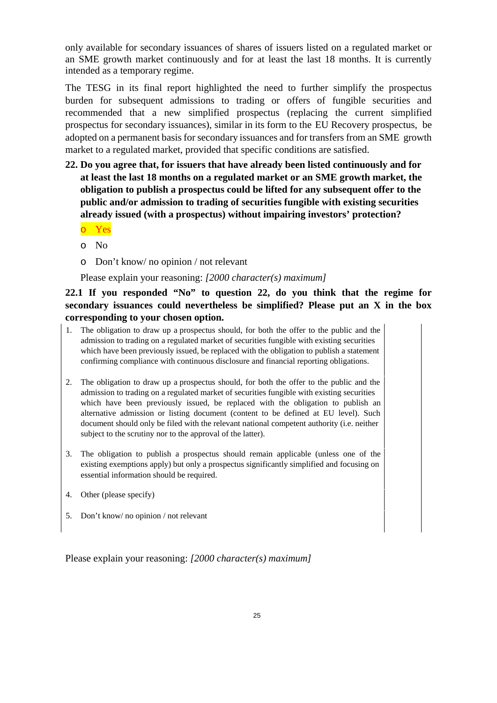only available for secondary issuances of shares of issuers listed on a regulated market or an SME growth market continuously and for at least the last 18 months. It is currently intended as a temporary regime.

The TESG in its final report highlighted the need to further simplify the prospectus burden for subsequent admissions to trading or offers of fungible securities and recommended that a new simplified prospectus (replacing the current simplified prospectus for secondary issuances), similar in its form to the EU Recovery prospectus, be adopted on a permanent basis for secondary issuances and for transfers from an SME growth market to a regulated market, provided that specific conditions are satisfied.

- **22. Do you agree that, for issuers that have already been listed continuously and for at least the last 18 months on a regulated market or an SME growth market, the obligation to publish a prospectus could be lifted for any subsequent offer to the public and/or admission to trading of securities fungible with existing securities already issued (with a prospectus) without impairing investors' protection?** 
	- o Yes
	- o No
	- o Don't know/ no opinion / not relevant

Please explain your reasoning: *[2000 character(s) maximum]* 

## **22.1 If you responded "No" to question 22, do you think that the regime for secondary issuances could nevertheless be simplified? Please put an X in the box corresponding to your chosen option.**

- 1. The obligation to draw up a prospectus should, for both the offer to the public and the admission to trading on a regulated market of securities fungible with existing securities which have been previously issued, be replaced with the obligation to publish a statement confirming compliance with continuous disclosure and financial reporting obligations.
- 2. The obligation to draw up a prospectus should, for both the offer to the public and the admission to trading on a regulated market of securities fungible with existing securities which have been previously issued, be replaced with the obligation to publish an alternative admission or listing document (content to be defined at EU level). Such document should only be filed with the relevant national competent authority (i.e. neither subject to the scrutiny nor to the approval of the latter).
- 3. The obligation to publish a prospectus should remain applicable (unless one of the existing exemptions apply) but only a prospectus significantly simplified and focusing on essential information should be required.
- 4. Other (please specify)
- 5. Don't know/ no opinion / not relevant

Please explain your reasoning: *[2000 character(s) maximum]*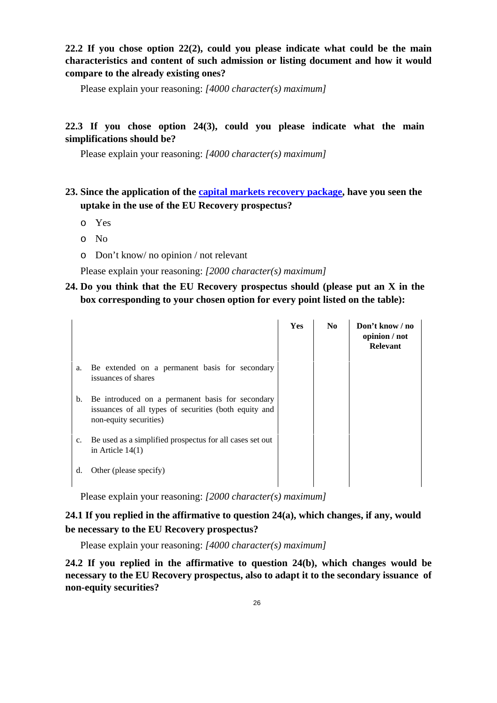## **22.2 If you chose option 22(2), could you please indicate what could be the main characteristics and content of such admission or listing document and how it would compare to the already existing ones?**

Please explain your reasoning: *[4000 character(s) maximum]*

### **22.3 If you chose option 24(3), could you please indicate what the main simplifications should be?**

Please explain your reasoning: *[4000 character(s) maximum]*

## **23. Since the application of the capital markets recovery package, have you seen the uptake in the use of the EU Recovery prospectus?**

- o Yes
- o No
- o Don't know/ no opinion / not relevant

Please explain your reasoning: *[2000 character(s) maximum]*

## **24. Do you think that the EU Recovery prospectus should (please put an X in the box corresponding to your chosen option for every point listed on the table):**

|             |                                                                                                                                     | Yes | No | Don't know / no<br>opinion / not<br><b>Relevant</b> |
|-------------|-------------------------------------------------------------------------------------------------------------------------------------|-----|----|-----------------------------------------------------|
| a.          | Be extended on a permanent basis for secondary<br>issuances of shares                                                               |     |    |                                                     |
| b.          | Be introduced on a permanent basis for secondary<br>issuances of all types of securities (both equity and<br>non-equity securities) |     |    |                                                     |
| $c_{\cdot}$ | Be used as a simplified prospectus for all cases set out<br>in Article $14(1)$                                                      |     |    |                                                     |
| d.          | Other (please specify)                                                                                                              |     |    |                                                     |

Please explain your reasoning: *[2000 character(s) maximum]*

## **24.1 If you replied in the affirmative to question 24(a), which changes, if any, would be necessary to the EU Recovery prospectus?**

Please explain your reasoning: *[4000 character(s) maximum]*

**24.2 If you replied in the affirmative to question 24(b), which changes would be necessary to the EU Recovery prospectus, also to adapt it to the secondary issuance of non-equity securities?**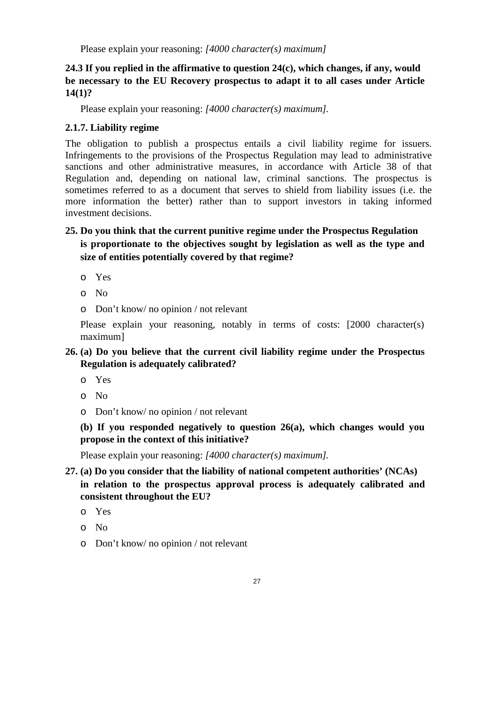## **24.3 If you replied in the affirmative to question 24(c), which changes, if any, would be necessary to the EU Recovery prospectus to adapt it to all cases under Article 14(1)?**

Please explain your reasoning: *[4000 character(s) maximum].*

## **2.1.7. Liability regime**

The obligation to publish a prospectus entails a civil liability regime for issuers. Infringements to the provisions of the Prospectus Regulation may lead to administrative sanctions and other administrative measures, in accordance with Article 38 of that Regulation and, depending on national law, criminal sanctions. The prospectus is sometimes referred to as a document that serves to shield from liability issues (i.e. the more information the better) rather than to support investors in taking informed investment decisions.

## **25. Do you think that the current punitive regime under the Prospectus Regulation is proportionate to the objectives sought by legislation as well as the type and size of entities potentially covered by that regime?**

- o Yes
- o No
- o Don't know/ no opinion / not relevant

Please explain your reasoning, notably in terms of costs: [2000 character(s) maximum]

## **26. (a) Do you believe that the current civil liability regime under the Prospectus Regulation is adequately calibrated?**

- o Yes
- o No
- o Don't know/ no opinion / not relevant

**(b) If you responded negatively to question 26(a), which changes would you propose in the context of this initiative?** 

Please explain your reasoning: *[4000 character(s) maximum].* 

## **27. (a) Do you consider that the liability of national competent authorities' (NCAs) in relation to the prospectus approval process is adequately calibrated and consistent throughout the EU?**

- o Yes
- o No
- o Don't know/ no opinion / not relevant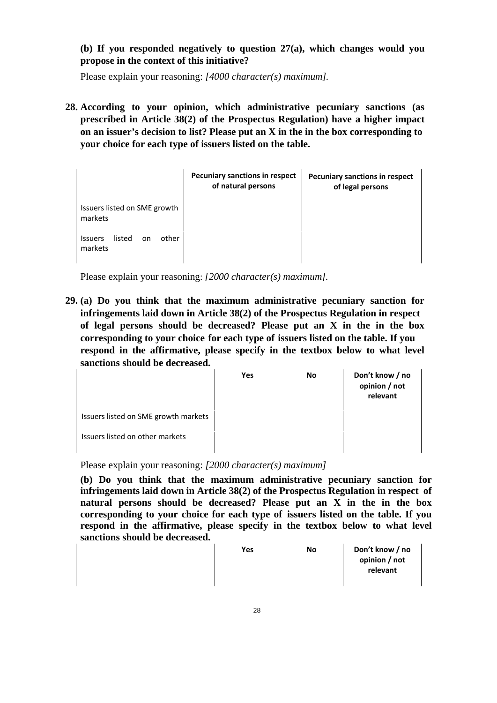**(b) If you responded negatively to question 27(a), which changes would you propose in the context of this initiative?** 

Please explain your reasoning: *[4000 character(s) maximum].* 

**28. According to your opinion, which administrative pecuniary sanctions (as prescribed in Article 38(2) of the Prospectus Regulation) have a higher impact on an issuer's decision to list? Please put an X in the in the box corresponding to your choice for each type of issuers listed on the table.** 

|                                                    | <b>Pecuniary sanctions in respect</b><br>of natural persons | <b>Pecuniary sanctions in respect</b><br>of legal persons |
|----------------------------------------------------|-------------------------------------------------------------|-----------------------------------------------------------|
| Issuers listed on SME growth<br>markets            |                                                             |                                                           |
| listed<br>other<br><b>Issuers</b><br>on<br>markets |                                                             |                                                           |

Please explain your reasoning: *[2000 character(s) maximum].* 

**29. (a) Do you think that the maximum administrative pecuniary sanction for infringements laid down in Article 38(2) of the Prospectus Regulation in respect of legal persons should be decreased? Please put an X in the in the box corresponding to your choice for each type of issuers listed on the table. If you respond in the affirmative, please specify in the textbox below to what level sanctions should be decreased.** 

|                                      | Yes | No | Don't know / no<br>opinion / not<br>relevant |
|--------------------------------------|-----|----|----------------------------------------------|
| Issuers listed on SME growth markets |     |    |                                              |
| Issuers listed on other markets      |     |    |                                              |

Please explain your reasoning: *[2000 character(s) maximum]*

**(b) Do you think that the maximum administrative pecuniary sanction for infringements laid down in Article 38(2) of the Prospectus Regulation in respect of natural persons should be decreased? Please put an X in the in the box corresponding to your choice for each type of issuers listed on the table. If you respond in the affirmative, please specify in the textbox below to what level sanctions should be decreased.** 

| Yes | No | Don't know / no<br>opinion / not<br>relevant |
|-----|----|----------------------------------------------|
|     |    |                                              |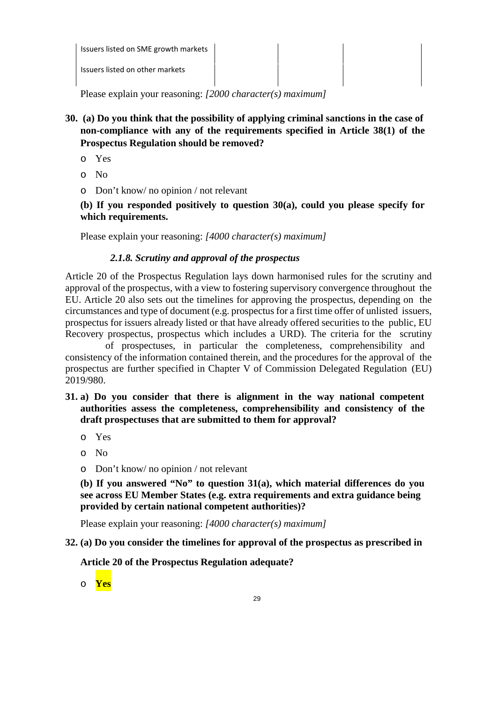| Issuers listed on SME growth markets |  |  |
|--------------------------------------|--|--|
| Issuers listed on other markets      |  |  |

Please explain your reasoning: *[2000 character(s) maximum]* 

- **30. (a) Do you think that the possibility of applying criminal sanctions in the case of non-compliance with any of the requirements specified in Article 38(1) of the Prospectus Regulation should be removed?** 
	- o Yes
	- o No
	- o Don't know/ no opinion / not relevant

**(b) If you responded positively to question 30(a), could you please specify for which requirements.** 

Please explain your reasoning: *[4000 character(s) maximum]*

### *2.1.8. Scrutiny and approval of the prospectus*

Article 20 of the Prospectus Regulation lays down harmonised rules for the scrutiny and approval of the prospectus, with a view to fostering supervisory convergence throughout the EU. Article 20 also sets out the timelines for approving the prospectus, depending on the circumstances and type of document (e.g. prospectus for a first time offer of unlisted issuers, prospectus for issuers already listed or that have already offered securities to the public, EU Recovery prospectus, prospectus which includes a URD). The criteria for the scrutiny

 of prospectuses, in particular the completeness, comprehensibility and consistency of the information contained therein, and the procedures for the approval of the prospectus are further specified in Chapter V of Commission Delegated Regulation (EU) 2019/980.

- **31. a) Do you consider that there is alignment in the way national competent authorities assess the completeness, comprehensibility and consistency of the draft prospectuses that are submitted to them for approval?** 
	- o Yes
	- o No
	- o Don't know/ no opinion / not relevant

**(b) If you answered "No" to question 31(a), which material differences do you see across EU Member States (e.g. extra requirements and extra guidance being provided by certain national competent authorities)?**

Please explain your reasoning: *[4000 character(s) maximum]* 

### **32. (a) Do you consider the timelines for approval of the prospectus as prescribed in**

## **Article 20 of the Prospectus Regulation adequate?**

o **Yes**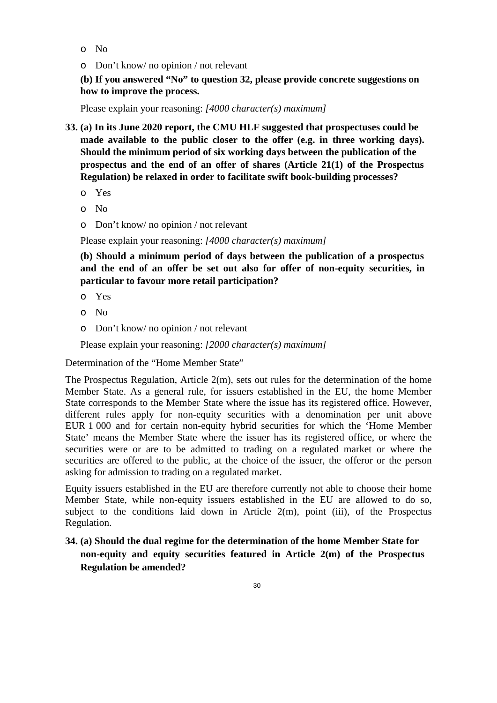- o No
- o Don't know/ no opinion / not relevant

**(b) If you answered "No" to question 32, please provide concrete suggestions on how to improve the process.**

Please explain your reasoning: *[4000 character(s) maximum]*

- **33. (a) In its June 2020 report, the CMU HLF suggested that prospectuses could be made available to the public closer to the offer (e.g. in three working days). Should the minimum period of six working days between the publication of the prospectus and the end of an offer of shares (Article 21(1) of the Prospectus Regulation) be relaxed in order to facilitate swift book-building processes?** 
	- o Yes
	- o No
	- o Don't know/ no opinion / not relevant

Please explain your reasoning: *[4000 character(s) maximum]*

**(b) Should a minimum period of days between the publication of a prospectus and the end of an offer be set out also for offer of non-equity securities, in particular to favour more retail participation?** 

- o Yes
- o No
- o Don't know/ no opinion / not relevant

Please explain your reasoning: *[2000 character(s) maximum]*

Determination of the "Home Member State"

The Prospectus Regulation, Article 2(m), sets out rules for the determination of the home Member State. As a general rule, for issuers established in the EU, the home Member State corresponds to the Member State where the issue has its registered office. However, different rules apply for non-equity securities with a denomination per unit above EUR 1 000 and for certain non-equity hybrid securities for which the 'Home Member State' means the Member State where the issuer has its registered office, or where the securities were or are to be admitted to trading on a regulated market or where the securities are offered to the public, at the choice of the issuer, the offeror or the person asking for admission to trading on a regulated market.

Equity issuers established in the EU are therefore currently not able to choose their home Member State, while non-equity issuers established in the EU are allowed to do so, subject to the conditions laid down in Article  $2(m)$ , point (iii), of the Prospectus Regulation.

**34. (a) Should the dual regime for the determination of the home Member State for non-equity and equity securities featured in Article 2(m) of the Prospectus Regulation be amended?**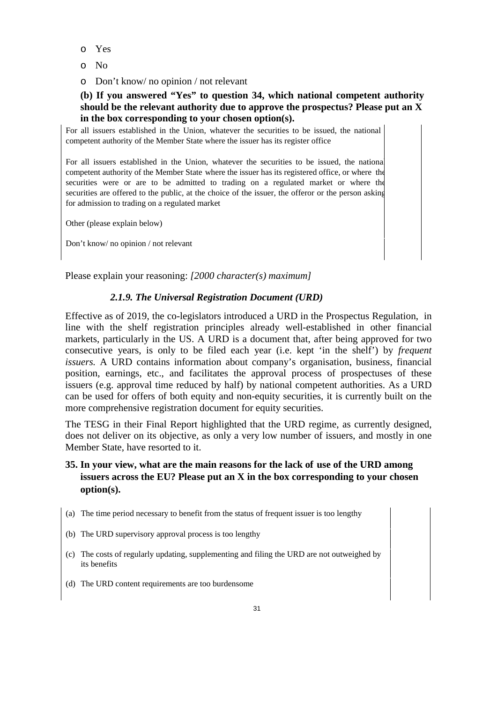- o Yes
- o No
- o Don't know/ no opinion / not relevant

### **(b) If you answered "Yes" to question 34, which national competent authority should be the relevant authority due to approve the prospectus? Please put an X in the box corresponding to your chosen option(s).**

For all issuers established in the Union, whatever the securities to be issued, the national competent authority of the Member State where the issuer has its register office

For all issuers established in the Union, whatever the securities to be issued, the national competent authority of the Member State where the issuer has its registered office, or where the securities were or are to be admitted to trading on a regulated market or where the securities are offered to the public, at the choice of the issuer, the offeror or the person asking for admission to trading on a regulated market

Other (please explain below)

Don't know/ no opinion / not relevant

Please explain your reasoning: *[2000 character(s) maximum]* 

### *2.1.9. The Universal Registration Document (URD)*

Effective as of 2019, the co-legislators introduced a URD in the Prospectus Regulation, in line with the shelf registration principles already well-established in other financial markets, particularly in the US. A URD is a document that, after being approved for two consecutive years, is only to be filed each year (i.e. kept 'in the shelf') by *frequent issuers.* A URD contains information about company's organisation, business, financial position, earnings, etc., and facilitates the approval process of prospectuses of these issuers (e.g. approval time reduced by half) by national competent authorities. As a URD can be used for offers of both equity and non-equity securities, it is currently built on the more comprehensive registration document for equity securities.

The TESG in their Final Report highlighted that the URD regime, as currently designed, does not deliver on its objective, as only a very low number of issuers, and mostly in one Member State, have resorted to it.

## **35. In your view, what are the main reasons for the lack of use of the URD among issuers across the EU? Please put an X in the box corresponding to your chosen option(s).**

- (a) The time period necessary to benefit from the status of frequent issuer is too lengthy
- (b) The URD supervisory approval process is too lengthy
- (c) The costs of regularly updating, supplementing and filing the URD are not outweighed by its benefits
- (d) The URD content requirements are too burdensome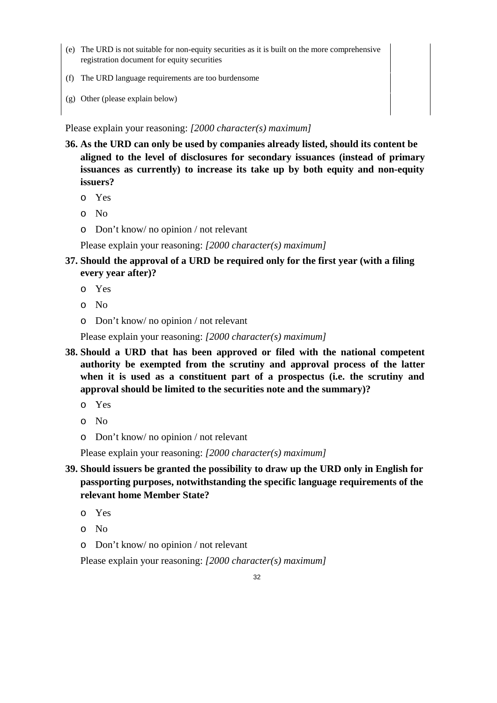- (e) The URD is not suitable for non-equity securities as it is built on the more comprehensive registration document for equity securities
- (f) The URD language requirements are too burdensome
- (g) Other (please explain below)

Please explain your reasoning: *[2000 character(s) maximum]*

- **36. As the URD can only be used by companies already listed, should its content be aligned to the level of disclosures for secondary issuances (instead of primary issuances as currently) to increase its take up by both equity and non-equity issuers?** 
	- o Yes
	- o No
	- o Don't know/ no opinion / not relevant

Please explain your reasoning: *[2000 character(s) maximum]*

- **37. Should the approval of a URD be required only for the first year (with a filing every year after)?** 
	- o Yes
	- o No
	- o Don't know/ no opinion / not relevant

Please explain your reasoning: *[2000 character(s) maximum]*

- **38. Should a URD that has been approved or filed with the national competent authority be exempted from the scrutiny and approval process of the latter when it is used as a constituent part of a prospectus (i.e. the scrutiny and approval should be limited to the securities note and the summary)?** 
	- o Yes
	- o No
	- o Don't know/ no opinion / not relevant

Please explain your reasoning: *[2000 character(s) maximum]* 

- **39. Should issuers be granted the possibility to draw up the URD only in English for passporting purposes, notwithstanding the specific language requirements of the relevant home Member State?** 
	- o Yes
	- o No
	- o Don't know/ no opinion / not relevant

Please explain your reasoning: *[2000 character(s) maximum]*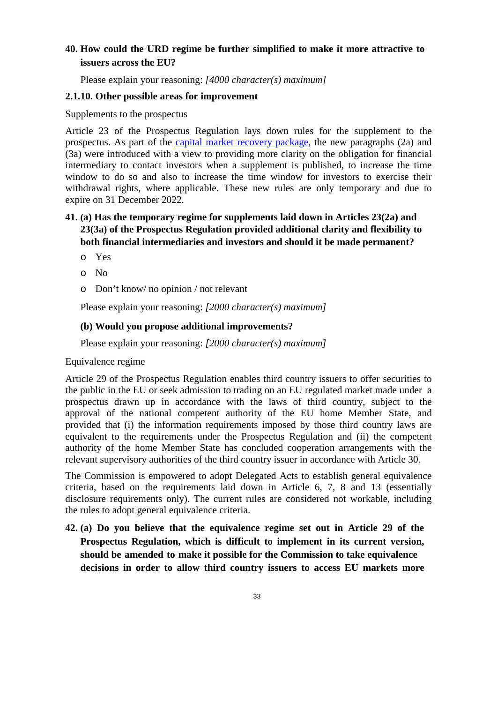## **40. How could the URD regime be further simplified to make it more attractive to issuers across the EU?**

Please explain your reasoning: *[4000 character(s) maximum]*

### **2.1.10. Other possible areas for improvement**

Supplements to the prospectus

Article 23 of the Prospectus Regulation lays down rules for the supplement to the prospectus. As part of the capital market recovery package, the new paragraphs (2a) and (3a) were introduced with a view to providing more clarity on the obligation for financial intermediary to contact investors when a supplement is published, to increase the time window to do so and also to increase the time window for investors to exercise their withdrawal rights, where applicable. These new rules are only temporary and due to expire on 31 December 2022.

## **41. (a) Has the temporary regime for supplements laid down in Articles 23(2a) and 23(3a) of the Prospectus Regulation provided additional clarity and flexibility to both financial intermediaries and investors and should it be made permanent?**

- o Yes
- o No
- o Don't know/ no opinion / not relevant

Please explain your reasoning: *[2000 character(s) maximum]*

### **(b) Would you propose additional improvements?**

Please explain your reasoning: *[2000 character(s) maximum]* 

#### Equivalence regime

Article 29 of the Prospectus Regulation enables third country issuers to offer securities to the public in the EU or seek admission to trading on an EU regulated market made under a prospectus drawn up in accordance with the laws of third country, subject to the approval of the national competent authority of the EU home Member State, and provided that (i) the information requirements imposed by those third country laws are equivalent to the requirements under the Prospectus Regulation and (ii) the competent authority of the home Member State has concluded cooperation arrangements with the relevant supervisory authorities of the third country issuer in accordance with Article 30.

The Commission is empowered to adopt Delegated Acts to establish general equivalence criteria, based on the requirements laid down in Article 6, 7, 8 and 13 (essentially disclosure requirements only). The current rules are considered not workable, including the rules to adopt general equivalence criteria.

**42. (a) Do you believe that the equivalence regime set out in Article 29 of the Prospectus Regulation, which is difficult to implement in its current version, should be amended to make it possible for the Commission to take equivalence decisions in order to allow third country issuers to access EU markets more**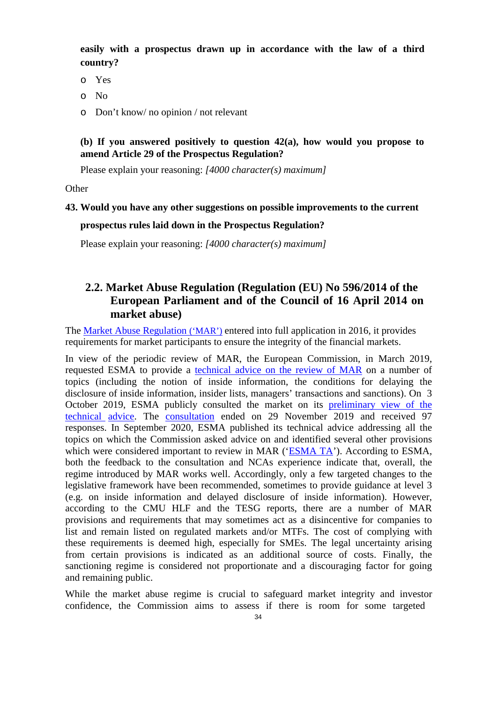**easily with a prospectus drawn up in accordance with the law of a third country?** 

- o Yes
- o No
- o Don't know/ no opinion / not relevant

## **(b) If you answered positively to question 42(a), how would you propose to amend Article 29 of the Prospectus Regulation?**

Please explain your reasoning: *[4000 character(s) maximum]* 

**Other** 

### **43. Would you have any other suggestions on possible improvements to the current**

#### **prospectus rules laid down in the Prospectus Regulation?**

Please explain your reasoning: *[4000 character(s) maximum]* 

## **2.2. Market Abuse Regulation (Regulation (EU) No 596/2014 of the European Parliament and of the Council of 16 April 2014 on market abuse)**

The Market Abuse Regulation ('MAR') entered into full application in 2016, it provides requirements for market participants to ensure the integrity of the financial markets.

In view of the periodic review of MAR, the European Commission, in March 2019, requested ESMA to provide a technical advice on the review of MAR on a number of topics (including the notion of inside information, the conditions for delaying the disclosure of inside information, insider lists, managers' transactions and sanctions). On 3 October 2019, ESMA publicly consulted the market on its preliminary view of the technical advice. The consultation ended on 29 November 2019 and received 97 responses. In September 2020, ESMA published its technical advice addressing all the topics on which the Commission asked advice on and identified several other provisions which were considered important to review in MAR ('ESMA TA'). According to ESMA, both the feedback to the consultation and NCAs experience indicate that, overall, the regime introduced by MAR works well. Accordingly, only a few targeted changes to the legislative framework have been recommended, sometimes to provide guidance at level 3 (e.g. on inside information and delayed disclosure of inside information). However, according to the CMU HLF and the TESG reports, there are a number of MAR provisions and requirements that may sometimes act as a disincentive for companies to list and remain listed on regulated markets and/or MTFs. The cost of complying with these requirements is deemed high, especially for SMEs. The legal uncertainty arising from certain provisions is indicated as an additional source of costs. Finally, the sanctioning regime is considered not proportionate and a discouraging factor for going and remaining public.

While the market abuse regime is crucial to safeguard market integrity and investor confidence, the Commission aims to assess if there is room for some targeted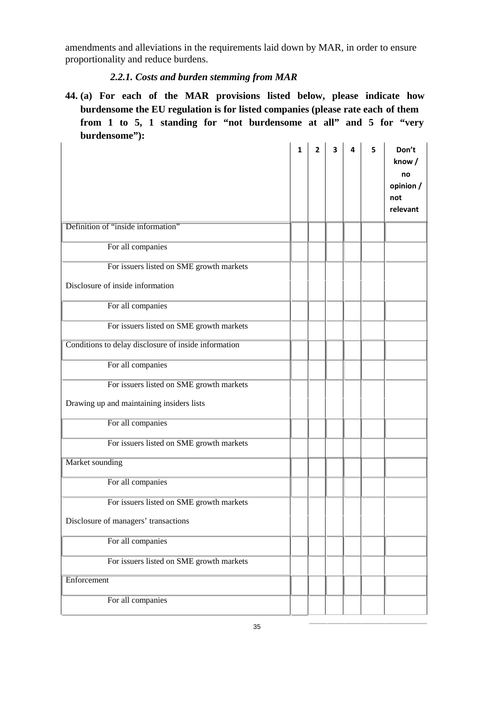amendments and alleviations in the requirements laid down by MAR, in order to ensure proportionality and reduce burdens.

# *2.2.1. Costs and burden stemming from MAR*

**44. (a) For each of the MAR provisions listed below, please indicate how burdensome the EU regulation is for listed companies (please rate each of them from 1 to 5, 1 standing for "not burdensome at all" and 5 for "very burdensome"):** 

|                                                                                       | $\mathbf{1}$ | $\overline{2}$ | 3 | 4 | 5 | Don't<br>know/<br>no<br>opinion /<br>not<br>relevant |
|---------------------------------------------------------------------------------------|--------------|----------------|---|---|---|------------------------------------------------------|
| Definition of "inside information"                                                    |              |                |   |   |   |                                                      |
| For all companies                                                                     |              |                |   |   |   |                                                      |
| For issuers listed on SME growth markets                                              |              |                |   |   |   |                                                      |
| Disclosure of inside information                                                      |              |                |   |   |   |                                                      |
| For all companies                                                                     |              |                |   |   |   |                                                      |
| For issuers listed on SME growth markets                                              |              |                |   |   |   |                                                      |
| Conditions to delay disclosure of inside information                                  |              |                |   |   |   |                                                      |
| For all companies                                                                     |              |                |   |   |   |                                                      |
| For issuers listed on SME growth markets<br>Drawing up and maintaining insiders lists |              |                |   |   |   |                                                      |
| For all companies                                                                     |              |                |   |   |   |                                                      |
| For issuers listed on SME growth markets                                              |              |                |   |   |   |                                                      |
| Market sounding                                                                       |              |                |   |   |   |                                                      |
| For all companies                                                                     |              |                |   |   |   |                                                      |
| For issuers listed on SME growth markets<br>Disclosure of managers' transactions      |              |                |   |   |   |                                                      |
| For all companies                                                                     |              |                |   |   |   |                                                      |
| For issuers listed on SME growth markets                                              |              |                |   |   |   |                                                      |
| Enforcement                                                                           |              |                |   |   |   |                                                      |
| For all companies                                                                     |              |                |   |   |   |                                                      |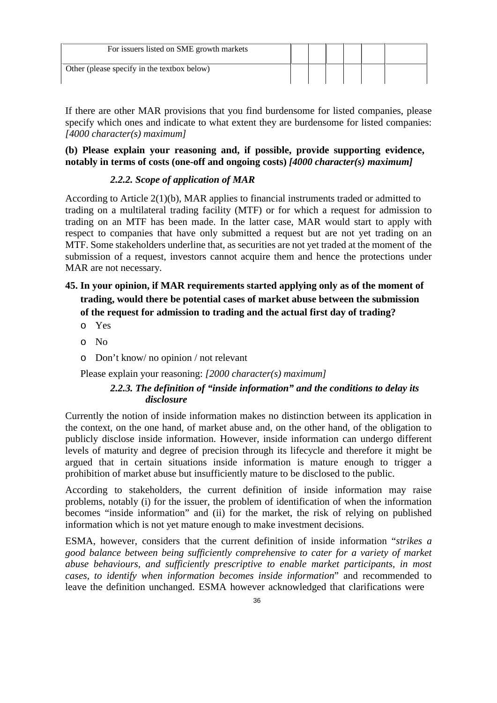| For issuers listed on SME growth markets    |  |  |  |
|---------------------------------------------|--|--|--|
| Other (please specify in the textbox below) |  |  |  |

If there are other MAR provisions that you find burdensome for listed companies, please specify which ones and indicate to what extent they are burdensome for listed companies: *[4000 character(s) maximum]*

### **(b) Please explain your reasoning and, if possible, provide supporting evidence, notably in terms of costs (one-off and ongoing costs)** *[4000 character(s) maximum]*

## *2.2.2. Scope of application of MAR*

According to Article 2(1)(b), MAR applies to financial instruments traded or admitted to trading on a multilateral trading facility (MTF) or for which a request for admission to trading on an MTF has been made. In the latter case, MAR would start to apply with respect to companies that have only submitted a request but are not yet trading on an MTF. Some stakeholders underline that, as securities are not yet traded at the moment of the submission of a request, investors cannot acquire them and hence the protections under MAR are not necessary.

# **45. In your opinion, if MAR requirements started applying only as of the moment of trading, would there be potential cases of market abuse between the submission of the request for admission to trading and the actual first day of trading?**

- o Yes
- o No
- o Don't know/ no opinion / not relevant

Please explain your reasoning: *[2000 character(s) maximum]*

## *2.2.3. The definition of "inside information" and the conditions to delay its disclosure*

Currently the notion of inside information makes no distinction between its application in the context, on the one hand, of market abuse and, on the other hand, of the obligation to publicly disclose inside information. However, inside information can undergo different levels of maturity and degree of precision through its lifecycle and therefore it might be argued that in certain situations inside information is mature enough to trigger a prohibition of market abuse but insufficiently mature to be disclosed to the public.

According to stakeholders, the current definition of inside information may raise problems, notably (i) for the issuer, the problem of identification of when the information becomes "inside information" and (ii) for the market, the risk of relying on published information which is not yet mature enough to make investment decisions.

ESMA, however, considers that the current definition of inside information "*strikes a good balance between being sufficiently comprehensive to cater for a variety of market abuse behaviours, and sufficiently prescriptive to enable market participants, in most cases, to identify when information becomes inside information*" and recommended to leave the definition unchanged. ESMA however acknowledged that clarifications were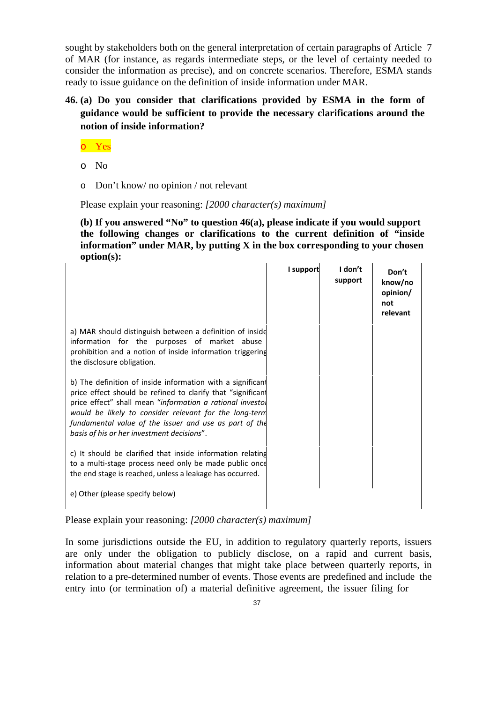sought by stakeholders both on the general interpretation of certain paragraphs of Article 7 of MAR (for instance, as regards intermediate steps, or the level of certainty needed to consider the information as precise), and on concrete scenarios. Therefore, ESMA stands ready to issue guidance on the definition of inside information under MAR.

# **46. (a) Do you consider that clarifications provided by ESMA in the form of guidance would be sufficient to provide the necessary clarifications around the notion of inside information?**

o Yes

- o No
- o Don't know/ no opinion / not relevant

Please explain your reasoning: *[2000 character(s) maximum]* 

**(b) If you answered "No" to question 46(a), please indicate if you would support the following changes or clarifications to the current definition of "inside information" under MAR, by putting X in the box corresponding to your chosen option(s):** 

|                                                                                                                                                                                                                                                                                                                                                          | I support | I don't<br>support | Don't<br>know/no<br>opinion/<br>not<br>relevant |
|----------------------------------------------------------------------------------------------------------------------------------------------------------------------------------------------------------------------------------------------------------------------------------------------------------------------------------------------------------|-----------|--------------------|-------------------------------------------------|
| a) MAR should distinguish between a definition of inside<br>information for the purposes of market abuse<br>prohibition and a notion of inside information triggering<br>the disclosure obligation.                                                                                                                                                      |           |                    |                                                 |
| b) The definition of inside information with a significant<br>price effect should be refined to clarify that "significant<br>price effect" shall mean "information a rational investor<br>would be likely to consider relevant for the long-term<br>fundamental value of the issuer and use as part of the<br>basis of his or her investment decisions". |           |                    |                                                 |
| c) It should be clarified that inside information relating<br>to a multi-stage process need only be made public once<br>the end stage is reached, unless a leakage has occurred.                                                                                                                                                                         |           |                    |                                                 |
| e) Other (please specify below)                                                                                                                                                                                                                                                                                                                          |           |                    |                                                 |

Please explain your reasoning: *[2000 character(s) maximum]*

In some jurisdictions outside the EU, in addition to regulatory quarterly reports, issuers are only under the obligation to publicly disclose, on a rapid and current basis, information about material changes that might take place between quarterly reports, in relation to a pre-determined number of events. Those events are predefined and include the entry into (or termination of) a material definitive agreement, the issuer filing for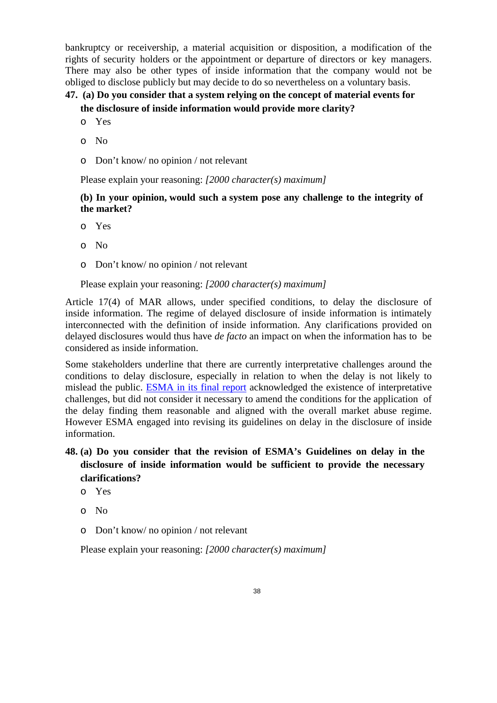bankruptcy or receivership, a material acquisition or disposition, a modification of the rights of security holders or the appointment or departure of directors or key managers. There may also be other types of inside information that the company would not be obliged to disclose publicly but may decide to do so nevertheless on a voluntary basis.

# **47. (a) Do you consider that a system relying on the concept of material events for the disclosure of inside information would provide more clarity?**

- o Yes
- o No
- o Don't know/ no opinion / not relevant

Please explain your reasoning: *[2000 character(s) maximum]*

### **(b) In your opinion, would such a system pose any challenge to the integrity of the market?**

- o Yes
- o No
- o Don't know/ no opinion / not relevant

Please explain your reasoning: *[2000 character(s) maximum]*

Article 17(4) of MAR allows, under specified conditions, to delay the disclosure of inside information. The regime of delayed disclosure of inside information is intimately interconnected with the definition of inside information. Any clarifications provided on delayed disclosures would thus have *de facto* an impact on when the information has to be considered as inside information.

Some stakeholders underline that there are currently interpretative challenges around the conditions to delay disclosure, especially in relation to when the delay is not likely to mislead the public. ESMA in its final report acknowledged the existence of interpretative challenges, but did not consider it necessary to amend the conditions for the application of the delay finding them reasonable and aligned with the overall market abuse regime. However ESMA engaged into revising its guidelines on delay in the disclosure of inside information.

# **48. (a) Do you consider that the revision of ESMA's Guidelines on delay in the disclosure of inside information would be sufficient to provide the necessary clarifications?**

- o Yes
- o No
- o Don't know/ no opinion / not relevant

Please explain your reasoning: *[2000 character(s) maximum]*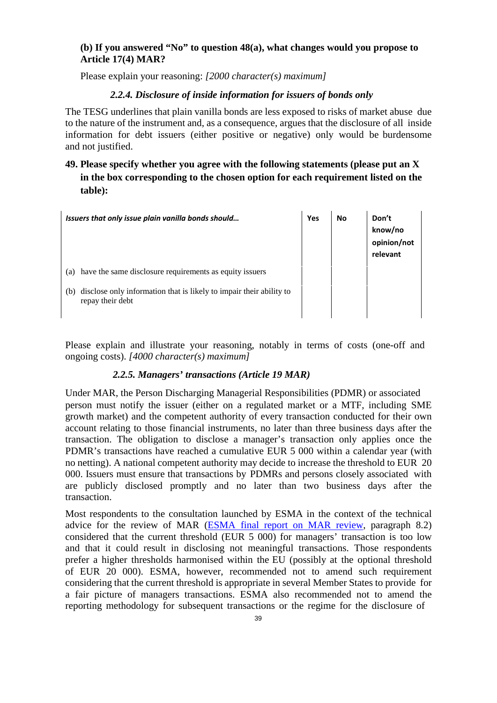#### **(b) If you answered "No" to question 48(a), what changes would you propose to Article 17(4) MAR?**

Please explain your reasoning: *[2000 character(s) maximum]*

#### *2.2.4. Disclosure of inside information for issuers of bonds only*

The TESG underlines that plain vanilla bonds are less exposed to risks of market abuse due to the nature of the instrument and, as a consequence, argues that the disclosure of all inside information for debt issuers (either positive or negative) only would be burdensome and not justified.

# **49. Please specify whether you agree with the following statements (please put an X in the box corresponding to the chosen option for each requirement listed on the table):**

| Issuers that only issue plain vanilla bonds should                                             | Yes | No | Don't<br>know/no<br>opinion/not<br>relevant |
|------------------------------------------------------------------------------------------------|-----|----|---------------------------------------------|
| have the same disclosure requirements as equity issuers<br>(a)                                 |     |    |                                             |
| disclose only information that is likely to impair their ability to<br>(b)<br>repay their debt |     |    |                                             |

Please explain and illustrate your reasoning, notably in terms of costs (one-off and ongoing costs). *[4000 character(s) maximum]*

#### *2.2.5. Managers' transactions (Article 19 MAR)*

Under MAR, the Person Discharging Managerial Responsibilities (PDMR) or associated person must notify the issuer (either on a regulated market or a MTF, including SME growth market) and the competent authority of every transaction conducted for their own account relating to those financial instruments, no later than three business days after the transaction. The obligation to disclose a manager's transaction only applies once the PDMR's transactions have reached a cumulative EUR 5 000 within a calendar year (with no netting). A national competent authority may decide to increase the threshold to EUR 20 000. Issuers must ensure that transactions by PDMRs and persons closely associated with are publicly disclosed promptly and no later than two business days after the transaction.

Most respondents to the consultation launched by ESMA in the context of the technical advice for the review of MAR (ESMA final report on MAR review, paragraph 8.2) considered that the current threshold (EUR 5 000) for managers' transaction is too low and that it could result in disclosing not meaningful transactions. Those respondents prefer a higher thresholds harmonised within the EU (possibly at the optional threshold of EUR 20 000). ESMA, however, recommended not to amend such requirement considering that the current threshold is appropriate in several Member States to provide for a fair picture of managers transactions. ESMA also recommended not to amend the reporting methodology for subsequent transactions or the regime for the disclosure of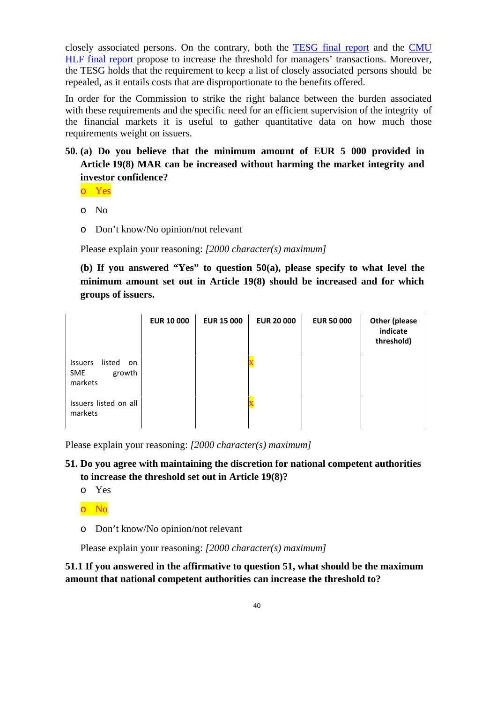closely associated persons. On the contrary, both the TESG final report and the CMU HLF final report propose to increase the threshold for managers' transactions. Moreover, the TESG holds that the requirement to keep a list of closely associated persons should be repealed, as it entails costs that are disproportionate to the benefits offered.

In order for the Commission to strike the right balance between the burden associated with these requirements and the specific need for an efficient supervision of the integrity of the financial markets it is useful to gather quantitative data on how much those requirements weight on issuers.

**50. (a) Do you believe that the minimum amount of EUR 5 000 provided in Article 19(8) MAR can be increased without harming the market integrity and investor confidence?** 

o Yes

- o No
- o Don't know/No opinion/not relevant

Please explain your reasoning: *[2000 character(s) maximum]*

**(b) If you answered "Yes" to question 50(a), please specify to what level the minimum amount set out in Article 19(8) should be increased and for which groups of issuers.** 

|                                                                   | <b>EUR 10 000</b> | <b>EUR 15 000</b> | <b>EUR 20 000</b> | <b>EUR 50 000</b> | <b>Other (please</b><br>indicate<br>threshold) |
|-------------------------------------------------------------------|-------------------|-------------------|-------------------|-------------------|------------------------------------------------|
| listed<br><b>Issuers</b><br>on<br>growth<br><b>SME</b><br>markets |                   |                   |                   |                   |                                                |
| Issuers listed on all<br>markets                                  |                   |                   |                   |                   |                                                |

Please explain your reasoning: *[2000 character(s) maximum]*

### **51. Do you agree with maintaining the discretion for national competent authorities to increase the threshold set out in Article 19(8)?**

o Yes

o No

o Don't know/No opinion/not relevant

Please explain your reasoning: *[2000 character(s) maximum]*

## **51.1 If you answered in the affirmative to question 51, what should be the maximum amount that national competent authorities can increase the threshold to?**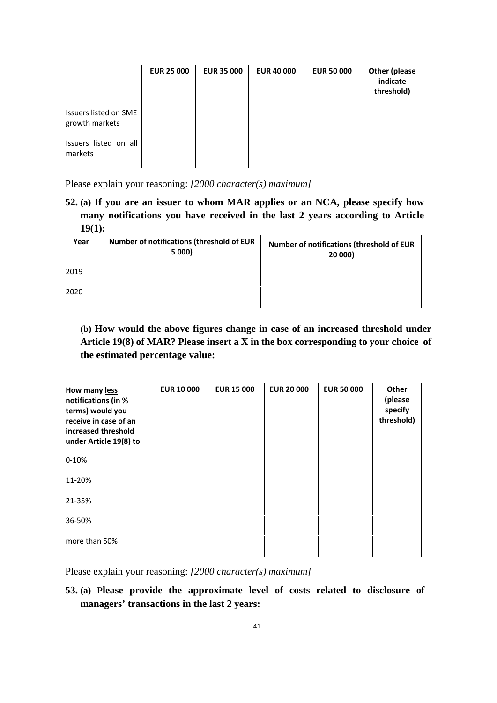|                                         | <b>EUR 25 000</b> | <b>EUR 35 000</b> | <b>EUR 40 000</b> | <b>EUR 50 000</b> | Other (please<br>indicate<br>threshold) |
|-----------------------------------------|-------------------|-------------------|-------------------|-------------------|-----------------------------------------|
| Issuers listed on SME<br>growth markets |                   |                   |                   |                   |                                         |
| Issuers listed on all<br>markets        |                   |                   |                   |                   |                                         |

**52. (a) If you are an issuer to whom MAR applies or an NCA, please specify how many notifications you have received in the last 2 years according to Article 19(1):** 

| Year | Number of notifications (threshold of EUR<br>5 000) | Number of notifications (threshold of EUR<br>20 000) |
|------|-----------------------------------------------------|------------------------------------------------------|
| 2019 |                                                     |                                                      |
| 2020 |                                                     |                                                      |

**(b) How would the above figures change in case of an increased threshold under Article 19(8) of MAR? Please insert a X in the box corresponding to your choice of the estimated percentage value:** 

| How many less<br>notifications (in %<br>terms) would you<br>receive in case of an<br>increased threshold<br>under Article 19(8) to | <b>EUR 10 000</b> | <b>EUR 15 000</b> | <b>EUR 20 000</b> | <b>EUR 50 000</b> | Other<br>(please<br>specify<br>threshold) |
|------------------------------------------------------------------------------------------------------------------------------------|-------------------|-------------------|-------------------|-------------------|-------------------------------------------|
| $0 - 10%$                                                                                                                          |                   |                   |                   |                   |                                           |
| 11-20%                                                                                                                             |                   |                   |                   |                   |                                           |
| 21-35%                                                                                                                             |                   |                   |                   |                   |                                           |
| 36-50%                                                                                                                             |                   |                   |                   |                   |                                           |
| more than 50%                                                                                                                      |                   |                   |                   |                   |                                           |

Please explain your reasoning: *[2000 character(s) maximum]*

**53. (a) Please provide the approximate level of costs related to disclosure of managers' transactions in the last 2 years:**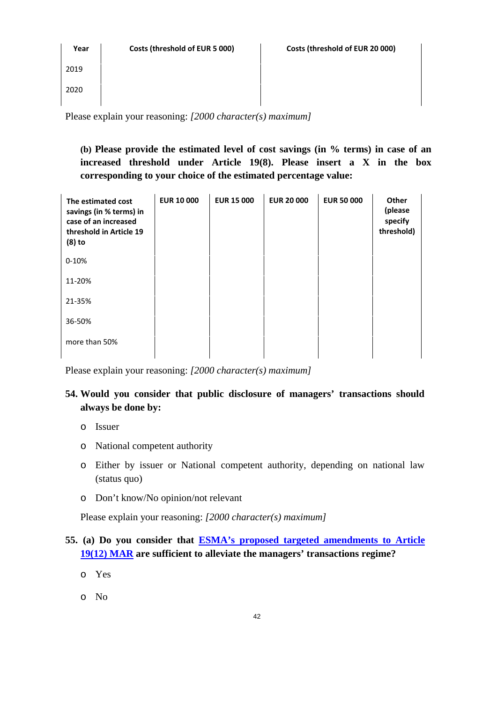| Year                                                               | Costs (threshold of EUR 5 000) | Costs (threshold of EUR 20 000) |  |  |  |
|--------------------------------------------------------------------|--------------------------------|---------------------------------|--|--|--|
| 2019                                                               |                                |                                 |  |  |  |
| 2020                                                               |                                |                                 |  |  |  |
| Please explain your reasoning: $[2000 \; character(s) \; maximum]$ |                                |                                 |  |  |  |

**(b) Please provide the estimated level of cost savings (in % terms) in case of an increased threshold under Article 19(8). Please insert a X in the box corresponding to your choice of the estimated percentage value:** 

**EUR 10 000 EUR 15 000 EUR 20 000 EUR 50 000 Other (please specify threshold)**  0‐10% 11‐20% 21‐35% 36‐50% **The estimated cost savings (in % terms) in case of an increased threshold in Article 19 (8) to** 

Please explain your reasoning: *[2000 character(s) maximum]*

# **54. Would you consider that public disclosure of managers' transactions should always be done by:**

o Issuer

more than 50%

- o National competent authority
- o Either by issuer or National competent authority, depending on national law (status quo)
- o Don't know/No opinion/not relevant

Please explain your reasoning: *[2000 character(s) maximum]* 

# **55. (a) Do you consider that ESMA's proposed targeted amendments to Article 19(12) MAR are sufficient to alleviate the managers' transactions regime?**

- o Yes
- o No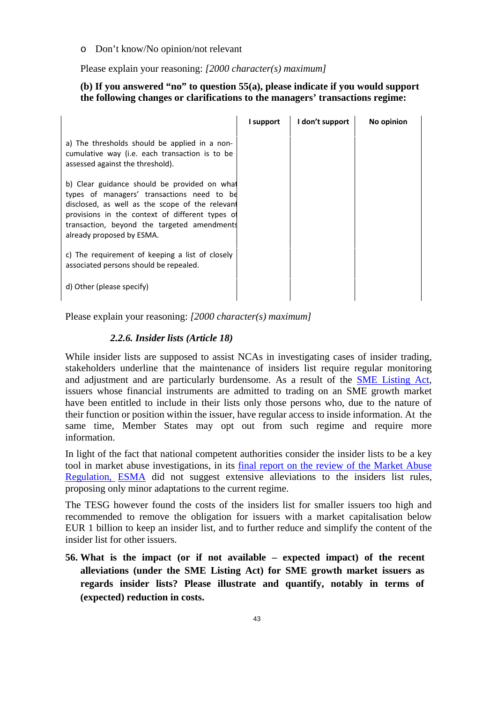o Don't know/No opinion/not relevant

Please explain your reasoning: *[2000 character(s) maximum]*

#### **(b) If you answered "no" to question 55(a), please indicate if you would support the following changes or clarifications to the managers' transactions regime:**

|                                                                                                                                                                                                                                                                              | I support | I don't support | No opinion |
|------------------------------------------------------------------------------------------------------------------------------------------------------------------------------------------------------------------------------------------------------------------------------|-----------|-----------------|------------|
| a) The thresholds should be applied in a non-<br>cumulative way (i.e. each transaction is to be<br>assessed against the threshold).                                                                                                                                          |           |                 |            |
| b) Clear guidance should be provided on what<br>types of managers' transactions need to be<br>disclosed, as well as the scope of the relevant<br>provisions in the context of different types of<br>transaction, beyond the targeted amendments<br>already proposed by ESMA. |           |                 |            |
| c) The requirement of keeping a list of closely<br>associated persons should be repealed.                                                                                                                                                                                    |           |                 |            |
| d) Other (please specify)                                                                                                                                                                                                                                                    |           |                 |            |

Please explain your reasoning: *[2000 character(s) maximum]*

#### *2.2.6. Insider lists (Article 18)*

While insider lists are supposed to assist NCAs in investigating cases of insider trading, stakeholders underline that the maintenance of insiders list require regular monitoring and adjustment and are particularly burdensome. As a result of the SME Listing Act, issuers whose financial instruments are admitted to trading on an SME growth market have been entitled to include in their lists only those persons who, due to the nature of their function or position within the issuer, have regular access to inside information. At the same time, Member States may opt out from such regime and require more information.

In light of the fact that national competent authorities consider the insider lists to be a key tool in market abuse investigations, in its final report on the review of the Market Abuse Regulation, ESMA did not suggest extensive alleviations to the insiders list rules, proposing only minor adaptations to the current regime.

The TESG however found the costs of the insiders list for smaller issuers too high and recommended to remove the obligation for issuers with a market capitalisation below EUR 1 billion to keep an insider list, and to further reduce and simplify the content of the insider list for other issuers.

**56. What is the impact (or if not available – expected impact) of the recent alleviations (under the SME Listing Act) for SME growth market issuers as regards insider lists? Please illustrate and quantify, notably in terms of (expected) reduction in costs.**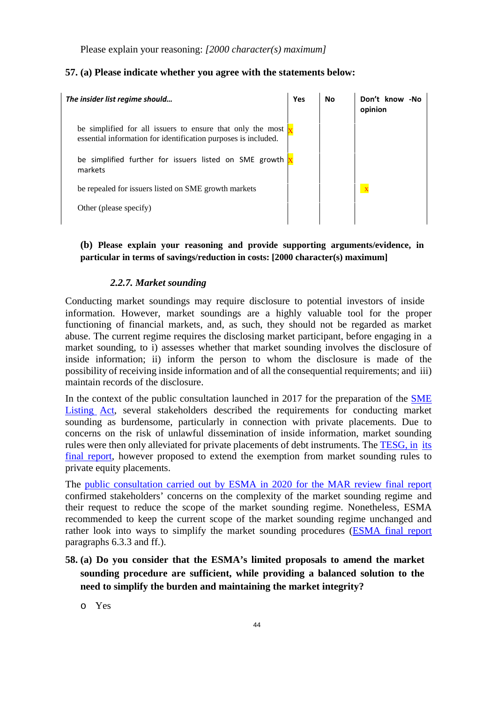#### **57. (a) Please indicate whether you agree with the statements below:**

| The insider list regime should                                                                                                             | Yes | No | Don't know -No<br>opinion |
|--------------------------------------------------------------------------------------------------------------------------------------------|-----|----|---------------------------|
| be simplified for all issuers to ensure that only the most $\frac{1}{x}$<br>essential information for identification purposes is included. |     |    |                           |
| be simplified further for issuers listed on SME growth<br>markets                                                                          |     |    |                           |
| be repealed for issuers listed on SME growth markets                                                                                       |     |    | $\overline{\mathbf{X}}$   |
| Other (please specify)                                                                                                                     |     |    |                           |

#### **(b) Please explain your reasoning and provide supporting arguments/evidence, in particular in terms of savings/reduction in costs: [2000 character(s) maximum]**

#### *2.2.7. Market sounding*

Conducting market soundings may require disclosure to potential investors of inside information. However, market soundings are a highly valuable tool for the proper functioning of financial markets, and, as such, they should not be regarded as market abuse. The current regime requires the disclosing market participant, before engaging in a market sounding, to i) assesses whether that market sounding involves the disclosure of inside information; ii) inform the person to whom the disclosure is made of the possibility of receiving inside information and of all the consequential requirements; and iii) maintain records of the disclosure.

In the context of the public consultation launched in 2017 for the preparation of the SME Listing Act, several stakeholders described the requirements for conducting market sounding as burdensome, particularly in connection with private placements. Due to concerns on the risk of unlawful dissemination of inside information, market sounding rules were then only alleviated for private placements of debt instruments. The TESG, in its final report, however proposed to extend the exemption from market sounding rules to private equity placements.

The public consultation carried out by ESMA in 2020 for the MAR review final report confirmed stakeholders' concerns on the complexity of the market sounding regime and their request to reduce the scope of the market sounding regime. Nonetheless, ESMA recommended to keep the current scope of the market sounding regime unchanged and rather look into ways to simplify the market sounding procedures (ESMA final report paragraphs 6.3.3 and ff.).

**58. (a) Do you consider that the ESMA's limited proposals to amend the market sounding procedure are sufficient, while providing a balanced solution to the need to simplify the burden and maintaining the market integrity?** 

o Yes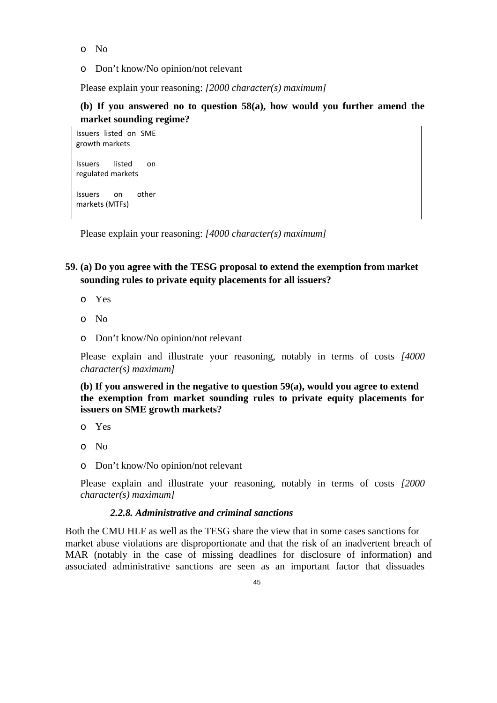- o No
- o Don't know/No opinion/not relevant

## **(b) If you answered no to question 58(a), how would you further amend the market sounding regime?**

Issuers listed on SME growth markets Issuers listed on regulated markets Issuers on other markets (MTFs)

Please explain your reasoning: *[4000 character(s) maximum]* 

## **59. (a) Do you agree with the TESG proposal to extend the exemption from market sounding rules to private equity placements for all issuers?**

- o Yes
- o No
- o Don't know/No opinion/not relevant

Please explain and illustrate your reasoning, notably in terms of costs *[4000 character(s) maximum]*

**(b) If you answered in the negative to question 59(a), would you agree to extend the exemption from market sounding rules to private equity placements for issuers on SME growth markets?** 

- o Yes
- o No
- o Don't know/No opinion/not relevant

Please explain and illustrate your reasoning, notably in terms of costs *[2000 character(s) maximum]* 

#### *2.2.8. Administrative and criminal sanctions*

Both the CMU HLF as well as the TESG share the view that in some cases sanctions for market abuse violations are disproportionate and that the risk of an inadvertent breach of MAR (notably in the case of missing deadlines for disclosure of information) and associated administrative sanctions are seen as an important factor that dissuades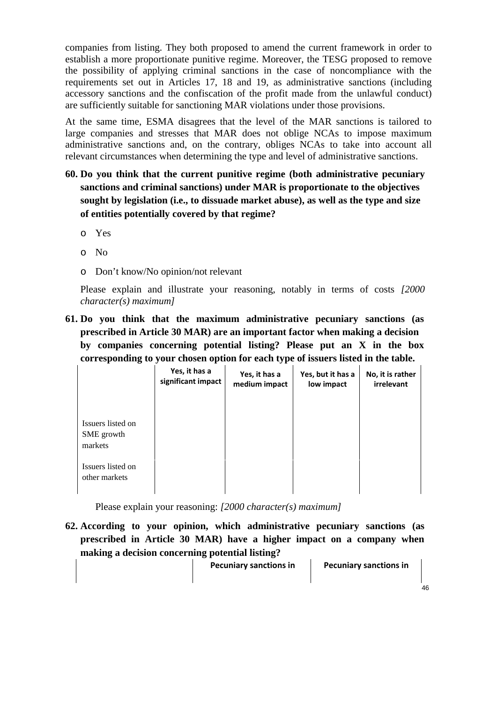companies from listing. They both proposed to amend the current framework in order to establish a more proportionate punitive regime. Moreover, the TESG proposed to remove the possibility of applying criminal sanctions in the case of noncompliance with the requirements set out in Articles 17, 18 and 19, as administrative sanctions (including accessory sanctions and the confiscation of the profit made from the unlawful conduct) are sufficiently suitable for sanctioning MAR violations under those provisions.

At the same time, ESMA disagrees that the level of the MAR sanctions is tailored to large companies and stresses that MAR does not oblige NCAs to impose maximum administrative sanctions and, on the contrary, obliges NCAs to take into account all relevant circumstances when determining the type and level of administrative sanctions.

- **60. Do you think that the current punitive regime (both administrative pecuniary sanctions and criminal sanctions) under MAR is proportionate to the objectives sought by legislation (i.e., to dissuade market abuse), as well as the type and size of entities potentially covered by that regime?** 
	- o Yes
	- o No
	- o Don't know/No opinion/not relevant

Please explain and illustrate your reasoning, notably in terms of costs *[2000 character(s) maximum]*

**61. Do you think that the maximum administrative pecuniary sanctions (as prescribed in Article 30 MAR) are an important factor when making a decision by companies concerning potential listing? Please put an X in the box corresponding to your chosen option for each type of issuers listed in the table.** 

|                                            | Yes, it has a<br>significant impact | Yes, it has a<br>medium impact | Yes, but it has a<br>low impact | No, it is rather<br>irrelevant |
|--------------------------------------------|-------------------------------------|--------------------------------|---------------------------------|--------------------------------|
| Issuers listed on<br>SME growth<br>markets |                                     |                                |                                 |                                |
| Issuers listed on<br>other markets         |                                     |                                |                                 |                                |

Please explain your reasoning: *[2000 character(s) maximum]*

**62. According to your opinion, which administrative pecuniary sanctions (as prescribed in Article 30 MAR) have a higher impact on a company when making a decision concerning potential listing?** 

 **Pecuniary sanctions in Pecuniary sanctions in**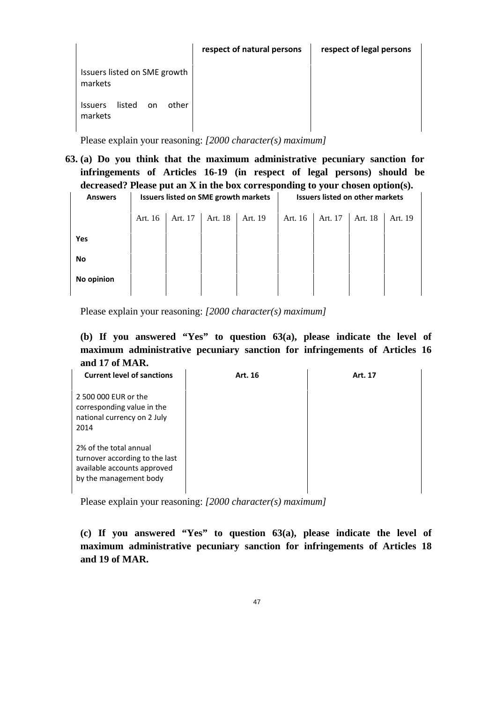|                                                    | respect of natural persons | respect of legal persons |
|----------------------------------------------------|----------------------------|--------------------------|
| Issuers listed on SME growth<br>markets            |                            |                          |
| listed<br>other<br><b>Issuers</b><br>on<br>markets |                            |                          |

**63. (a) Do you think that the maximum administrative pecuniary sanction for infringements of Articles 16-19 (in respect of legal persons) should be decreased? Please put an X in the box corresponding to your chosen option(s).** 

**Answers Issuers listed on SME growth markets Issuers listed on other markets** 

|            | Art. 16 | Art. 17   Art. 18   Art. 19 | Art. 16   Art. 17   Art. 18 |  | Art. 19 |
|------------|---------|-----------------------------|-----------------------------|--|---------|
| Yes        |         |                             |                             |  |         |
| No         |         |                             |                             |  |         |
| No opinion |         |                             |                             |  |         |
|            |         |                             |                             |  |         |

Please explain your reasoning: *[2000 character(s) maximum]* 

**(b) If you answered "Yes" to question 63(a), please indicate the level of maximum administrative pecuniary sanction for infringements of Articles 16 and 17 of MAR.** 

| <b>Current level of sanctions</b>                                                                                 | Art. 16 | Art. 17 |
|-------------------------------------------------------------------------------------------------------------------|---------|---------|
| 2 500 000 EUR or the<br>corresponding value in the<br>national currency on 2 July<br>2014                         |         |         |
| 2% of the total annual<br>turnover according to the last<br>available accounts approved<br>by the management body |         |         |

Please explain your reasoning: *[2000 character(s) maximum]* 

**(c) If you answered "Yes" to question 63(a), please indicate the level of maximum administrative pecuniary sanction for infringements of Articles 18 and 19 of MAR.**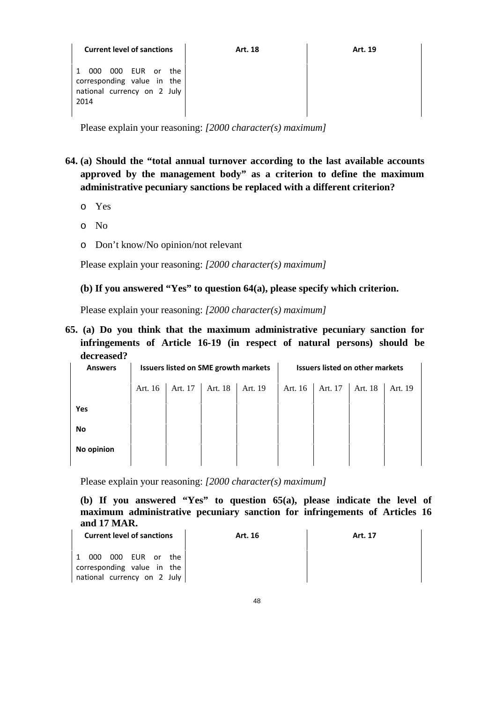| <b>Current level of sanctions</b>                                                                                | Art. 18 | Art. 19 |
|------------------------------------------------------------------------------------------------------------------|---------|---------|
| EUR or<br>000<br>000<br>$\mathbf{1}$<br>the<br>corresponding value in the<br>national currency on 2 July<br>2014 |         |         |

- **64. (a) Should the "total annual turnover according to the last available accounts approved by the management body" as a criterion to define the maximum administrative pecuniary sanctions be replaced with a different criterion?** 
	- o Yes
	- o No
	- o Don't know/No opinion/not relevant

Please explain your reasoning: *[2000 character(s) maximum]*

#### **(b) If you answered "Yes" to question 64(a), please specify which criterion.**

Please explain your reasoning: *[2000 character(s) maximum]* 

**65. (a) Do you think that the maximum administrative pecuniary sanction for infringements of Article 16-19 (in respect of natural persons) should be decreased?** 

| <b>Answers</b> | <b>Issuers listed on SME growth markets</b> |         |         |         |         | <b>Issuers listed on other markets</b> |         |         |
|----------------|---------------------------------------------|---------|---------|---------|---------|----------------------------------------|---------|---------|
|                | Art. 16                                     | Art. 17 | Art. 18 | Art. 19 | Art. 16 | Art. 17                                | Art. 18 | Art. 19 |
| Yes            |                                             |         |         |         |         |                                        |         |         |
| No             |                                             |         |         |         |         |                                        |         |         |
| No opinion     |                                             |         |         |         |         |                                        |         |         |
|                |                                             |         |         |         |         |                                        |         |         |

Please explain your reasoning: *[2000 character(s) maximum]* 

**(b) If you answered "Yes" to question 65(a), please indicate the level of maximum administrative pecuniary sanction for infringements of Articles 16 and 17 MAR.** 

| <b>Current level of sanctions</b>                                                    | Art. 16 | Art. 17 |
|--------------------------------------------------------------------------------------|---------|---------|
| 1 000<br>000 EUR or the<br>corresponding value in the<br>national currency on 2 July |         |         |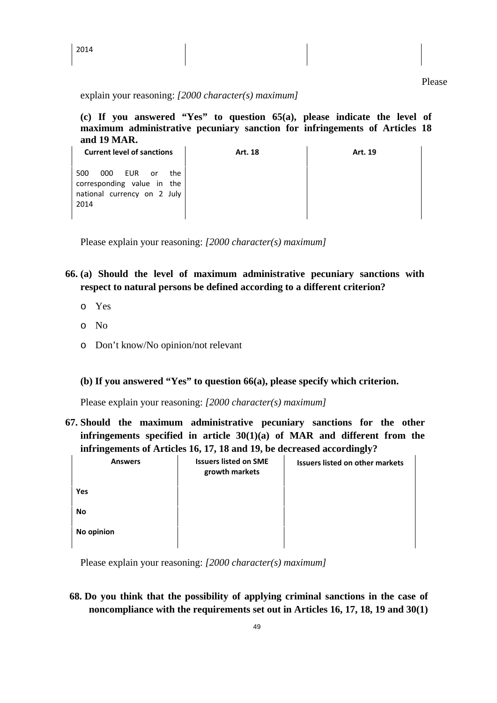**(c) If you answered "Yes" to question 65(a), please indicate the level of maximum administrative pecuniary sanction for infringements of Articles 18 and 19 MAR.** 

| <b>Current level of sanctions</b>                                                                     | Art. 18 | Art. 19 |
|-------------------------------------------------------------------------------------------------------|---------|---------|
| 500<br>000<br>EUR<br>the<br>or o<br>corresponding value in the<br>national currency on 2 July<br>2014 |         |         |

Please explain your reasoning: *[2000 character(s) maximum]*

- **66. (a) Should the level of maximum administrative pecuniary sanctions with respect to natural persons be defined according to a different criterion?** 
	- o Yes
	- o No
	- o Don't know/No opinion/not relevant

### **(b) If you answered "Yes" to question 66(a), please specify which criterion.**

Please explain your reasoning: *[2000 character(s) maximum]*

**67. Should the maximum administrative pecuniary sanctions for the other infringements specified in article 30(1)(a) of MAR and different from the infringements of Articles 16, 17, 18 and 19, be decreased accordingly?** 

| <b>Answers</b> | <b>Issuers listed on SME</b><br>growth markets | <b>Issuers listed on other markets</b> |
|----------------|------------------------------------------------|----------------------------------------|
| Yes            |                                                |                                        |
| No             |                                                |                                        |
| No opinion     |                                                |                                        |

Please explain your reasoning: *[2000 character(s) maximum]*

**68. Do you think that the possibility of applying criminal sanctions in the case of noncompliance with the requirements set out in Articles 16, 17, 18, 19 and 30(1)**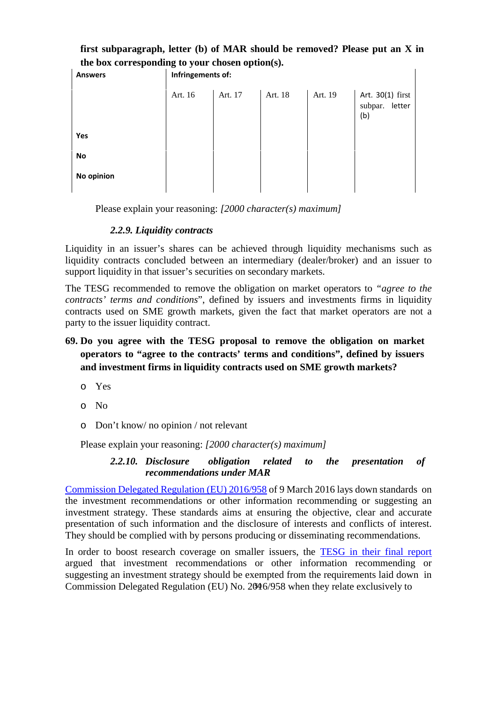| the box corresponding to your chosen option(s). |                   |         |         |         |                                              |  |  |  |
|-------------------------------------------------|-------------------|---------|---------|---------|----------------------------------------------|--|--|--|
| <b>Answers</b>                                  | Infringements of: |         |         |         |                                              |  |  |  |
|                                                 | Art. 16           | Art. 17 | Art. 18 | Art. 19 | Art. 30(1) first<br>subpar.<br>letter<br>(b) |  |  |  |
| Yes                                             |                   |         |         |         |                                              |  |  |  |
| No                                              |                   |         |         |         |                                              |  |  |  |
| No opinion                                      |                   |         |         |         |                                              |  |  |  |
|                                                 |                   |         |         |         |                                              |  |  |  |

**first subparagraph, letter (b) of MAR should be removed? Please put an X in** 

Please explain your reasoning: *[2000 character(s) maximum]*

### *2.2.9. Liquidity contracts*

Liquidity in an issuer's shares can be achieved through liquidity mechanisms such as liquidity contracts concluded between an intermediary (dealer/broker) and an issuer to support liquidity in that issuer's securities on secondary markets.

The TESG recommended to remove the obligation on market operators to *"agree to the contracts' terms and conditions*", defined by issuers and investments firms in liquidity contracts used on SME growth markets, given the fact that market operators are not a party to the issuer liquidity contract.

# **69. Do you agree with the TESG proposal to remove the obligation on market operators to "agree to the contracts' terms and conditions", defined by issuers and investment firms in liquidity contracts used on SME growth markets?**

- o Yes
- o No
- o Don't know/ no opinion / not relevant

Please explain your reasoning: *[2000 character(s) maximum]* 

### *2.2.10. Disclosure obligation related to the presentation of recommendations under MAR*

Commission Delegated Regulation (EU) 2016/958 of 9 March 2016 lays down standards on the investment recommendations or other information recommending or suggesting an investment strategy. These standards aims at ensuring the objective, clear and accurate presentation of such information and the disclosure of interests and conflicts of interest. They should be complied with by persons producing or disseminating recommendations.

In order to boost research coverage on smaller issuers, the TESG in their final report argued that investment recommendations or other information recommending or suggesting an investment strategy should be exempted from the requirements laid down in Commission Delegated Regulation (EU) No. 2016/958 when they relate exclusively to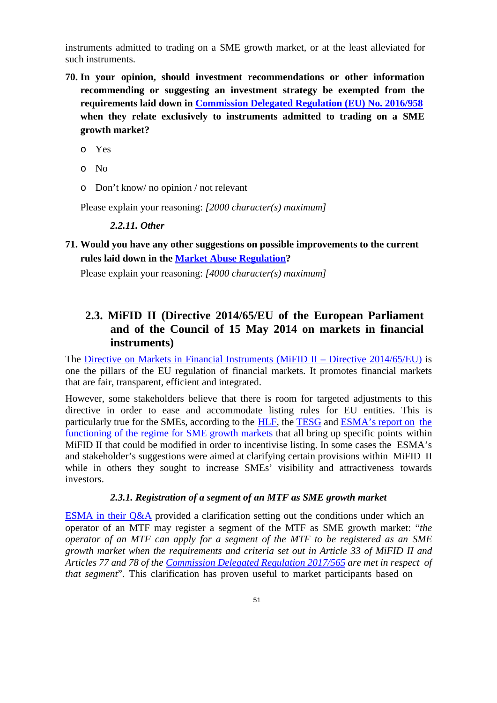instruments admitted to trading on a SME growth market, or at the least alleviated for such instruments.

- **70. In your opinion, should investment recommendations or other information recommending or suggesting an investment strategy be exempted from the requirements laid down in Commission Delegated Regulation (EU) No. 2016/958 when they relate exclusively to instruments admitted to trading on a SME growth market?** 
	- o Yes
	- o No
	- o Don't know/ no opinion / not relevant

Please explain your reasoning: *[2000 character(s) maximum]* 

#### *2.2.11. Other*

**71. Would you have any other suggestions on possible improvements to the current rules laid down in the Market Abuse Regulation?** 

Please explain your reasoning: *[4000 character(s) maximum]* 

# **2.3. MiFID II (Directive 2014/65/EU of the European Parliament and of the Council of 15 May 2014 on markets in financial instruments)**

The Directive on Markets in Financial Instruments (MiFID II – Directive 2014/65/EU) is one the pillars of the EU regulation of financial markets. It promotes financial markets that are fair, transparent, efficient and integrated.

However, some stakeholders believe that there is room for targeted adjustments to this directive in order to ease and accommodate listing rules for EU entities. This is particularly true for the SMEs, according to the HLF, the TESG and ESMA's report on the functioning of the regime for SME growth markets that all bring up specific points within MiFID II that could be modified in order to incentivise listing. In some cases the ESMA's and stakeholder's suggestions were aimed at clarifying certain provisions within MiFID II while in others they sought to increase SMEs' visibility and attractiveness towards investors.

#### *2.3.1. Registration of a segment of an MTF as SME growth market*

ESMA in their  $Q\&A$  provided a clarification setting out the conditions under which an operator of an MTF may register a segment of the MTF as SME growth market: "*the operator of an MTF can apply for a segment of the MTF to be registered as an SME growth market when the requirements and criteria set out in Article 33 of MiFID II and Articles 77 and 78 of the Commission Delegated Regulation 2017/565 are met in respect of that segment*". This clarification has proven useful to market participants based on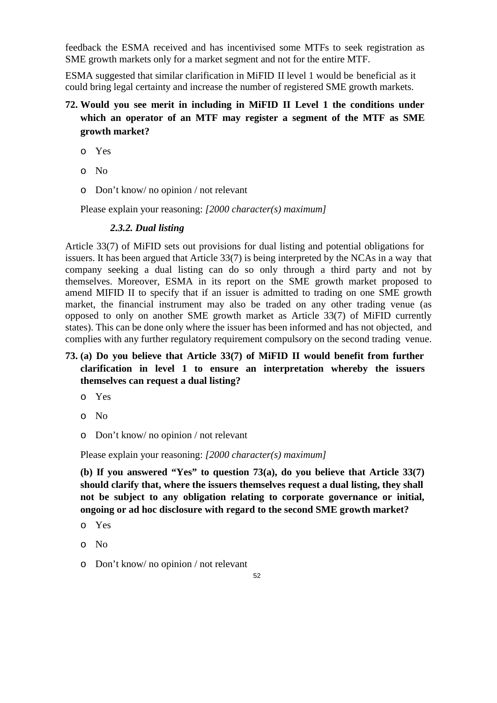feedback the ESMA received and has incentivised some MTFs to seek registration as SME growth markets only for a market segment and not for the entire MTF.

ESMA suggested that similar clarification in MiFID II level 1 would be beneficial as it could bring legal certainty and increase the number of registered SME growth markets.

# **72. Would you see merit in including in MiFID II Level 1 the conditions under which an operator of an MTF may register a segment of the MTF as SME growth market?**

- o Yes
- o No
- o Don't know/ no opinion / not relevant

Please explain your reasoning: *[2000 character(s) maximum]* 

### *2.3.2. Dual listing*

Article 33(7) of MiFID sets out provisions for dual listing and potential obligations for issuers. It has been argued that Article 33(7) is being interpreted by the NCAs in a way that company seeking a dual listing can do so only through a third party and not by themselves. Moreover, ESMA in its report on the SME growth market proposed to amend MIFID II to specify that if an issuer is admitted to trading on one SME growth market, the financial instrument may also be traded on any other trading venue (as opposed to only on another SME growth market as Article 33(7) of MiFID currently states). This can be done only where the issuer has been informed and has not objected, and complies with any further regulatory requirement compulsory on the second trading venue.

# **73. (a) Do you believe that Article 33(7) of MiFID II would benefit from further clarification in level 1 to ensure an interpretation whereby the issuers themselves can request a dual listing?**

- o Yes
- o No
- o Don't know/ no opinion / not relevant

Please explain your reasoning: *[2000 character(s) maximum]* 

**(b) If you answered "Yes" to question 73(a), do you believe that Article 33(7) should clarify that, where the issuers themselves request a dual listing, they shall not be subject to any obligation relating to corporate governance or initial, ongoing or ad hoc disclosure with regard to the second SME growth market?** 

- o Yes
- o No
- o Don't know/ no opinion / not relevant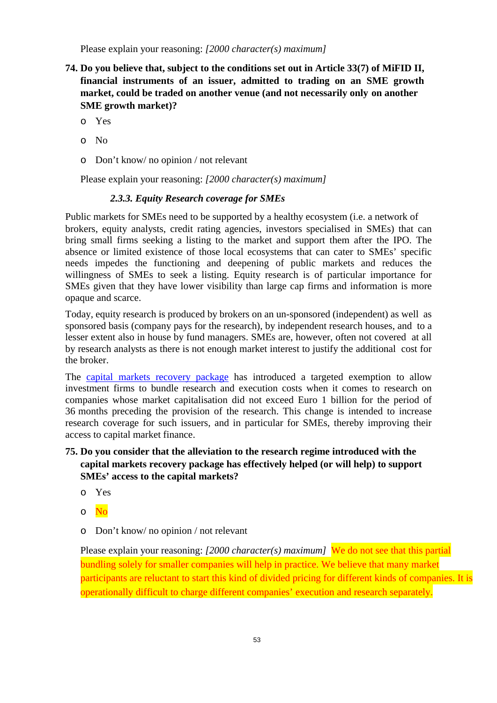- **74. Do you believe that, subject to the conditions set out in Article 33(7) of MiFID II, financial instruments of an issuer, admitted to trading on an SME growth market, could be traded on another venue (and not necessarily only on another SME growth market)?** 
	- o Yes
	- o No
	- o Don't know/ no opinion / not relevant

Please explain your reasoning: *[2000 character(s) maximum]*

#### *2.3.3. Equity Research coverage for SMEs*

Public markets for SMEs need to be supported by a healthy ecosystem (i.e. a network of brokers, equity analysts, credit rating agencies, investors specialised in SMEs) that can bring small firms seeking a listing to the market and support them after the IPO. The absence or limited existence of those local ecosystems that can cater to SMEs' specific needs impedes the functioning and deepening of public markets and reduces the willingness of SMEs to seek a listing. Equity research is of particular importance for SMEs given that they have lower visibility than large cap firms and information is more opaque and scarce.

Today, equity research is produced by brokers on an un-sponsored (independent) as well as sponsored basis (company pays for the research), by independent research houses, and to a lesser extent also in house by fund managers. SMEs are, however, often not covered at all by research analysts as there is not enough market interest to justify the additional cost for the broker.

The capital markets recovery package has introduced a targeted exemption to allow investment firms to bundle research and execution costs when it comes to research on companies whose market capitalisation did not exceed Euro 1 billion for the period of 36 months preceding the provision of the research. This change is intended to increase research coverage for such issuers, and in particular for SMEs, thereby improving their access to capital market finance.

### **75. Do you consider that the alleviation to the research regime introduced with the capital markets recovery package has effectively helped (or will help) to support SMEs' access to the capital markets?**

- o Yes
- o No
- o Don't know/ no opinion / not relevant

Please explain your reasoning: *[2000 character(s) maximum]*We do not see that this partial bundling solely for smaller companies will help in practice. We believe that many market participants are reluctant to start this kind of divided pricing for different kinds of companies. It is operationally difficult to charge different companies' execution and research separately.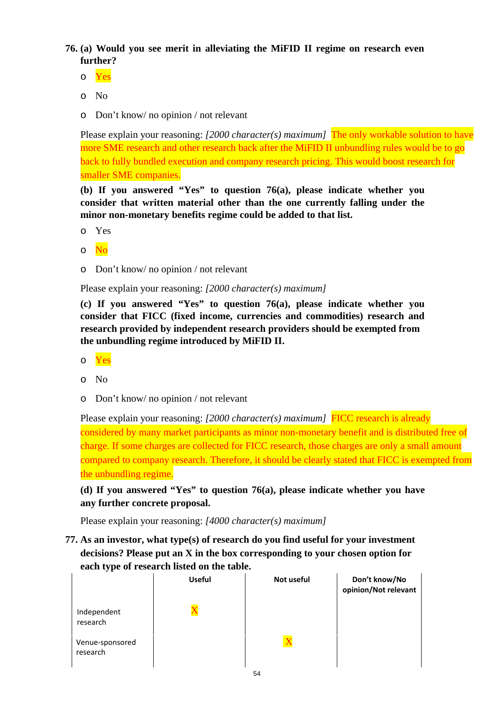**76. (a) Would you see merit in alleviating the MiFID II regime on research even further?**

- o Yes
- o No
- o Don't know/ no opinion / not relevant

Please explain your reasoning: *[2000 character(s) maximum]* The only workable solution to have more SME research and other research back after the MiFID II unbundling rules would be to go back to fully bundled execution and company research pricing. This would boost research for smaller SME companies.

**(b) If you answered "Yes" to question 76(a), please indicate whether you consider that written material other than the one currently falling under the minor non-monetary benefits regime could be added to that list.** 

- o Yes
- o No
- o Don't know/ no opinion / not relevant

Please explain your reasoning: *[2000 character(s) maximum]*

**(c) If you answered "Yes" to question 76(a), please indicate whether you consider that FICC (fixed income, currencies and commodities) research and research provided by independent research providers should be exempted from the unbundling regime introduced by MiFID II.** 

- o Yes
- o No
- o Don't know/ no opinion / not relevant

Please explain your reasoning: *[2000 character(s) maximum]*FICC research is already considered by many market participants as minor non-monetary benefit and is distributed free of charge. If some charges are collected for FICC research, those charges are only a small amount compared to company research. Therefore, it should be clearly stated that FICC is exempted from the unbundling regime.

**(d) If you answered "Yes" to question 76(a), please indicate whether you have any further concrete proposal.** 

Please explain your reasoning: *[4000 character(s) maximum]* 

**77. As an investor, what type(s) of research do you find useful for your investment decisions? Please put an X in the box corresponding to your chosen option for each type of research listed on the table.** 

|                             | <b>Useful</b> | Not useful  | Don't know/No<br>opinion/Not relevant |
|-----------------------------|---------------|-------------|---------------------------------------|
| Independent<br>research     |               |             |                                       |
| Venue-sponsored<br>research |               | $\mathbf x$ |                                       |

54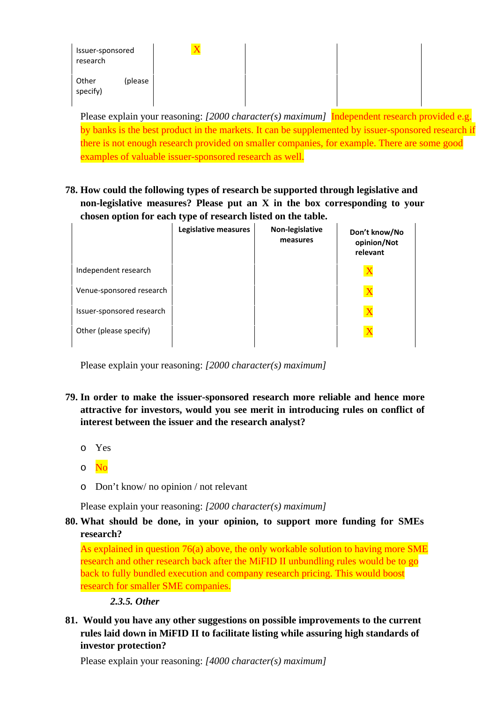| Issuer-sponsored<br>research | $\rm\overline{X}$ |  |  |
|------------------------------|-------------------|--|--|
| Other<br>(please<br>specify) |                   |  |  |

Please explain your reasoning: *[2000 character(s) maximum]* **Independent research provided e.g.** by banks is the best product in the markets. It can be supplemented by issuer-sponsored research if there is not enough research provided on smaller companies, for example. There are some good examples of valuable issuer-sponsored research as well.

**78. How could the following types of research be supported through legislative and non-legislative measures? Please put an X in the box corresponding to your chosen option for each type of research listed on the table.** 

|                           | Legislative measures | Non-legislative<br>measures | Don't know/No<br>opinion/Not<br>relevant |
|---------------------------|----------------------|-----------------------------|------------------------------------------|
| Independent research      |                      |                             |                                          |
| Venue-sponsored research  |                      |                             |                                          |
| Issuer-sponsored research |                      |                             |                                          |
| Other (please specify)    |                      |                             |                                          |

Please explain your reasoning: *[2000 character(s) maximum]* 

- **79. In order to make the issuer-sponsored research more reliable and hence more attractive for investors, would you see merit in introducing rules on conflict of interest between the issuer and the research analyst?** 
	- o Yes
	- o No
	- o Don't know/ no opinion / not relevant

Please explain your reasoning: *[2000 character(s) maximum]*

# **80. What should be done, in your opinion, to support more funding for SMEs research?**

As explained in question 76(a) above, the only workable solution to having more SME research and other research back after the MiFID II unbundling rules would be to go back to fully bundled execution and company research pricing. This would boost research for smaller SME companies.

## *2.3.5. Other*

**81. Would you have any other suggestions on possible improvements to the current rules laid down in MiFID II to facilitate listing while assuring high standards of investor protection?** 

Please explain your reasoning: *[4000 character(s) maximum]*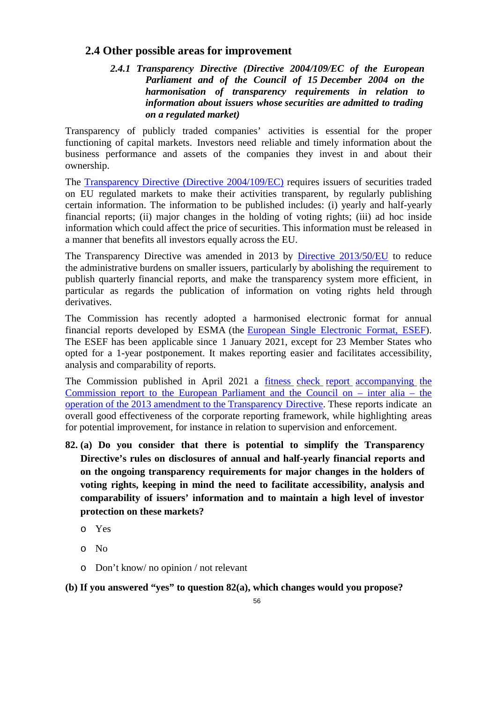# **2.4 Other possible areas for improvement**

*2.4.1 Transparency Directive (Directive 2004/109/EC of the European Parliament and of the Council of 15 December 2004 on the harmonisation of transparency requirements in relation to information about issuers whose securities are admitted to trading on a regulated market)* 

Transparency of publicly traded companies' activities is essential for the proper functioning of capital markets. Investors need reliable and timely information about the business performance and assets of the companies they invest in and about their ownership.

The Transparency Directive (Directive 2004/109/EC) requires issuers of securities traded on EU regulated markets to make their activities transparent, by regularly publishing certain information. The information to be published includes: (i) yearly and half-yearly financial reports; (ii) major changes in the holding of voting rights; (iii) ad hoc inside information which could affect the price of securities. This information must be released in a manner that benefits all investors equally across the EU.

The Transparency Directive was amended in 2013 by Directive 2013/50/EU to reduce the administrative burdens on smaller issuers, particularly by abolishing the requirement to publish quarterly financial reports, and make the transparency system more efficient, in particular as regards the publication of information on voting rights held through derivatives.

The Commission has recently adopted a harmonised electronic format for annual financial reports developed by ESMA (the European Single Electronic Format, ESEF). The ESEF has been applicable since 1 January 2021, except for 23 Member States who opted for a 1-year postponement. It makes reporting easier and facilitates accessibility, analysis and comparability of reports.

The Commission published in April 2021 a fitness check report accompanying the Commission report to the European Parliament and the Council on – inter alia – the operation of the 2013 amendment to the Transparency Directive. These reports indicate an overall good effectiveness of the corporate reporting framework, while highlighting areas for potential improvement, for instance in relation to supervision and enforcement.

- **82. (a) Do you consider that there is potential to simplify the Transparency Directive's rules on disclosures of annual and half-yearly financial reports and on the ongoing transparency requirements for major changes in the holders of voting rights, keeping in mind the need to facilitate accessibility, analysis and comparability of issuers' information and to maintain a high level of investor protection on these markets?** 
	- o Yes
	- o No
	- o Don't know/ no opinion / not relevant

**(b) If you answered "yes" to question 82(a), which changes would you propose?**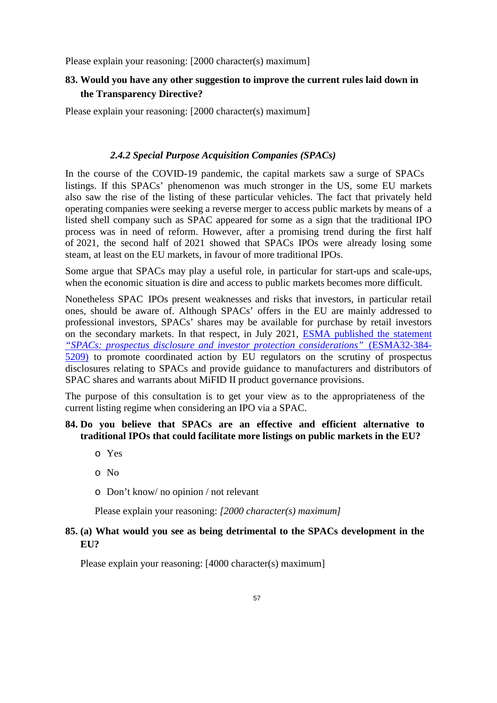## **83. Would you have any other suggestion to improve the current rules laid down in the Transparency Directive?**

Please explain your reasoning: [2000 character(s) maximum]

#### *2.4.2 Special Purpose Acquisition Companies (SPACs)*

In the course of the COVID-19 pandemic, the capital markets saw a surge of SPACs listings. If this SPACs' phenomenon was much stronger in the US, some EU markets also saw the rise of the listing of these particular vehicles. The fact that privately held operating companies were seeking a reverse merger to access public markets by means of a listed shell company such as SPAC appeared for some as a sign that the traditional IPO process was in need of reform. However, after a promising trend during the first half of 2021, the second half of 2021 showed that SPACs IPOs were already losing some steam, at least on the EU markets, in favour of more traditional IPOs.

Some argue that SPACs may play a useful role, in particular for start-ups and scale-ups, when the economic situation is dire and access to public markets becomes more difficult.

Nonetheless SPAC IPOs present weaknesses and risks that investors, in particular retail ones, should be aware of. Although SPACs' offers in the EU are mainly addressed to professional investors, SPACs' shares may be available for purchase by retail investors on the secondary markets. In that respect, in July 2021, ESMA published the statement *"SPACs: prospectus disclosure and investor protection considerations"* (ESMA32-384- 5209) to promote coordinated action by EU regulators on the scrutiny of prospectus disclosures relating to SPACs and provide guidance to manufacturers and distributors of SPAC shares and warrants about MiFID II product governance provisions.

The purpose of this consultation is to get your view as to the appropriateness of the current listing regime when considering an IPO via a SPAC.

#### **84. Do you believe that SPACs are an effective and efficient alternative to traditional IPOs that could facilitate more listings on public markets in the EU?**

- o Yes
- o No
- o Don't know/ no opinion / not relevant

Please explain your reasoning: *[2000 character(s) maximum]*

#### **85. (a) What would you see as being detrimental to the SPACs development in the EU?**

Please explain your reasoning: [4000 character(s) maximum]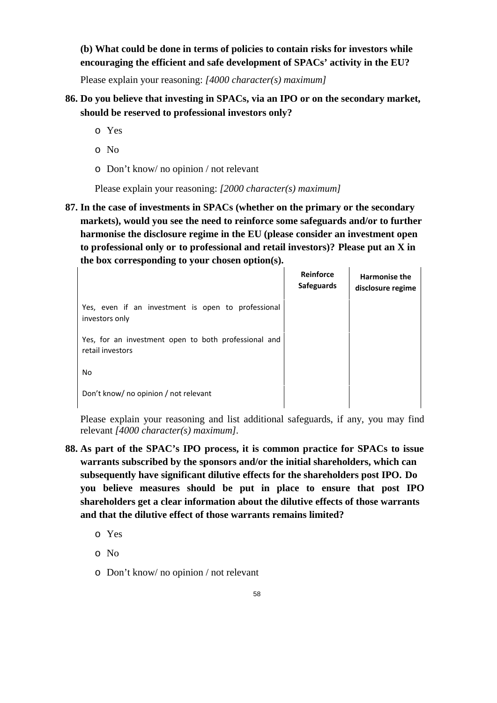**(b) What could be done in terms of policies to contain risks for investors while encouraging the efficient and safe development of SPACs' activity in the EU?** 

Please explain your reasoning: *[4000 character(s) maximum]*

- **86. Do you believe that investing in SPACs, via an IPO or on the secondary market, should be reserved to professional investors only?** 
	- o Yes
	- o No
	- o Don't know/ no opinion / not relevant

Please explain your reasoning: *[2000 character(s) maximum]*

**87. In the case of investments in SPACs (whether on the primary or the secondary markets), would you see the need to reinforce some safeguards and/or to further harmonise the disclosure regime in the EU (please consider an investment open to professional only or to professional and retail investors)? Please put an X in the box corresponding to your chosen option(s).** 

|                                                                          | Reinforce<br><b>Safeguards</b> | <b>Harmonise the</b><br>disclosure regime |
|--------------------------------------------------------------------------|--------------------------------|-------------------------------------------|
| Yes, even if an investment is open to professional<br>investors only     |                                |                                           |
| Yes, for an investment open to both professional and<br>retail investors |                                |                                           |
| No                                                                       |                                |                                           |
| Don't know/ no opinion / not relevant                                    |                                |                                           |

Please explain your reasoning and list additional safeguards, if any, you may find relevant *[4000 character(s) maximum]*.

- **88. As part of the SPAC's IPO process, it is common practice for SPACs to issue warrants subscribed by the sponsors and/or the initial shareholders, which can subsequently have significant dilutive effects for the shareholders post IPO. Do you believe measures should be put in place to ensure that post IPO shareholders get a clear information about the dilutive effects of those warrants and that the dilutive effect of those warrants remains limited?** 
	- o Yes
	- o No
	- o Don't know/ no opinion / not relevant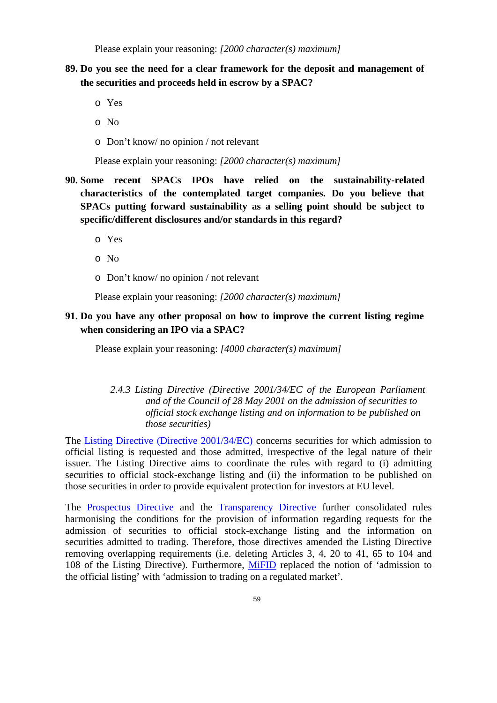# **89. Do you see the need for a clear framework for the deposit and management of the securities and proceeds held in escrow by a SPAC?**

- o Yes
- o No
- o Don't know/ no opinion / not relevant

Please explain your reasoning: *[2000 character(s) maximum]*

- **90. Some recent SPACs IPOs have relied on the sustainability-related characteristics of the contemplated target companies. Do you believe that SPACs putting forward sustainability as a selling point should be subject to specific/different disclosures and/or standards in this regard?** 
	- o Yes
	- o No
	- o Don't know/ no opinion / not relevant

Please explain your reasoning: *[2000 character(s) maximum]*

## **91. Do you have any other proposal on how to improve the current listing regime when considering an IPO via a SPAC?**

Please explain your reasoning: *[4000 character(s) maximum]*

#### *2.4.3 Listing Directive (Directive 2001/34/EC of the European Parliament and of the Council of 28 May 2001 on the admission of securities to official stock exchange listing and on information to be published on those securities)*

The Listing Directive (Directive 2001/34/EC) concerns securities for which admission to official listing is requested and those admitted, irrespective of the legal nature of their issuer. The Listing Directive aims to coordinate the rules with regard to (i) admitting securities to official stock-exchange listing and (ii) the information to be published on those securities in order to provide equivalent protection for investors at EU level.

The Prospectus Directive and the Transparency Directive further consolidated rules harmonising the conditions for the provision of information regarding requests for the admission of securities to official stock-exchange listing and the information on securities admitted to trading. Therefore, those directives amended the Listing Directive removing overlapping requirements (i.e. deleting Articles 3, 4, 20 to 41, 65 to 104 and 108 of the Listing Directive). Furthermore, MiFID replaced the notion of 'admission to the official listing' with 'admission to trading on a regulated market'.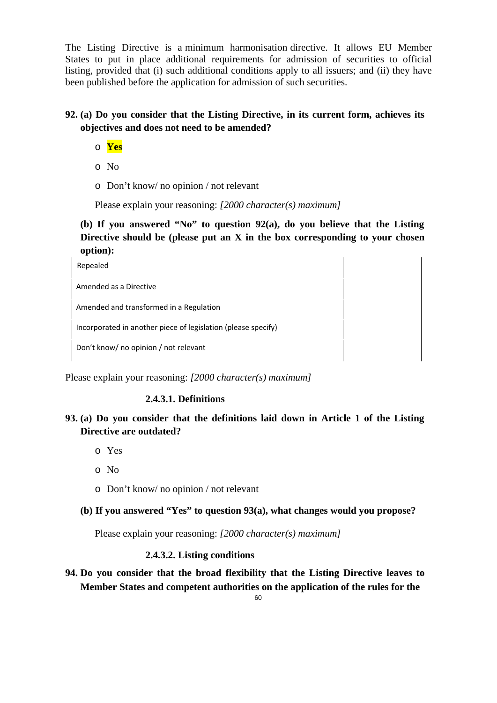The Listing Directive is a minimum harmonisation directive. It allows EU Member States to put in place additional requirements for admission of securities to official listing, provided that (i) such additional conditions apply to all issuers; and (ii) they have been published before the application for admission of such securities.

# **92. (a) Do you consider that the Listing Directive, in its current form, achieves its objectives and does not need to be amended?**

- o **Yes**
- o No
- o Don't know/ no opinion / not relevant

Please explain your reasoning: *[2000 character(s) maximum]*

**(b) If you answered "No" to question 92(a), do you believe that the Listing Directive should be (please put an X in the box corresponding to your chosen option):** 

Repealed **Repealed** Amended as a Directive Amended and transformed in a Regulation Incorporated in another piece of legislation (please specify)

Don't know/ no opinion / not relevant

Please explain your reasoning: *[2000 character(s) maximum]*

## **2.4.3.1. Definitions**

- **93. (a) Do you consider that the definitions laid down in Article 1 of the Listing Directive are outdated?** 
	- o Yes
	- o No
	- o Don't know/ no opinion / not relevant
	- **(b) If you answered "Yes" to question 93(a), what changes would you propose?**

Please explain your reasoning: *[2000 character(s) maximum]*

## **2.4.3.2. Listing conditions**

**94. Do you consider that the broad flexibility that the Listing Directive leaves to Member States and competent authorities on the application of the rules for the**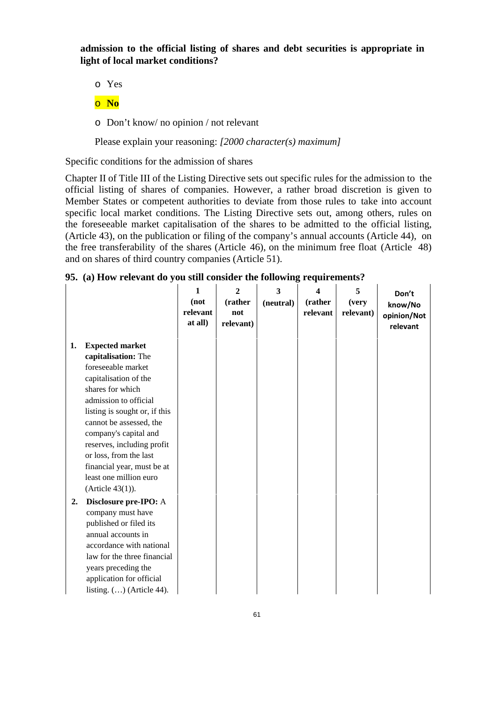**admission to the official listing of shares and debt securities is appropriate in light of local market conditions?** 

- o Yes
- o **No**
- o Don't know/ no opinion / not relevant

Please explain your reasoning: *[2000 character(s) maximum]*

Specific conditions for the admission of shares

Chapter II of Title III of the Listing Directive sets out specific rules for the admission to the official listing of shares of companies. However, a rather broad discretion is given to Member States or competent authorities to deviate from those rules to take into account specific local market conditions. The Listing Directive sets out, among others, rules on the foreseeable market capitalisation of the shares to be admitted to the official listing, (Article 43), on the publication or filing of the company's annual accounts (Article 44), on the free transferability of the shares (Article 46), on the minimum free float (Article 48) and on shares of third country companies (Article 51).

| 95. (a) How relevant do you still consider the following requirements? |  |  |
|------------------------------------------------------------------------|--|--|
|                                                                        |  |  |

|    |                               | $\mathbf{1}$ | $\mathbf{2}$ | 3         | 4        | 5         | Don't       |
|----|-------------------------------|--------------|--------------|-----------|----------|-----------|-------------|
|    |                               | (not         | (rather      | (neutral) | (rather  | (very     | know/No     |
|    |                               | relevant     | not          |           | relevant | relevant) | opinion/Not |
|    |                               | at all)      | relevant)    |           |          |           | relevant    |
|    |                               |              |              |           |          |           |             |
| 1. | <b>Expected market</b>        |              |              |           |          |           |             |
|    | capitalisation: The           |              |              |           |          |           |             |
|    | foreseeable market            |              |              |           |          |           |             |
|    | capitalisation of the         |              |              |           |          |           |             |
|    | shares for which              |              |              |           |          |           |             |
|    | admission to official         |              |              |           |          |           |             |
|    | listing is sought or, if this |              |              |           |          |           |             |
|    | cannot be assessed, the       |              |              |           |          |           |             |
|    | company's capital and         |              |              |           |          |           |             |
|    | reserves, including profit    |              |              |           |          |           |             |
|    | or loss, from the last        |              |              |           |          |           |             |
|    | financial year, must be at    |              |              |           |          |           |             |
|    | least one million euro        |              |              |           |          |           |             |
|    | (Article 43(1)).              |              |              |           |          |           |             |
| 2. | Disclosure pre-IPO: A         |              |              |           |          |           |             |
|    | company must have             |              |              |           |          |           |             |
|    | published or filed its        |              |              |           |          |           |             |
|    | annual accounts in            |              |              |           |          |           |             |
|    | accordance with national      |              |              |           |          |           |             |
|    | law for the three financial   |              |              |           |          |           |             |
|    | years preceding the           |              |              |           |          |           |             |
|    | application for official      |              |              |           |          |           |             |
|    | listing. $()$ (Article 44).   |              |              |           |          |           |             |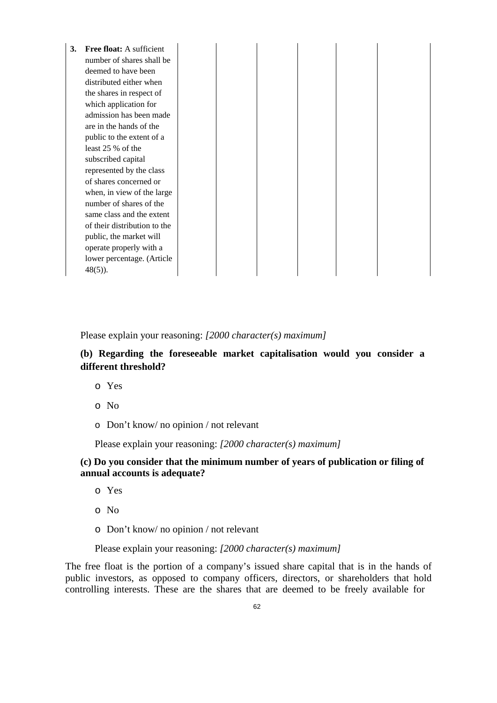| 3. | Free float: A sufficient     |  |  |  |
|----|------------------------------|--|--|--|
|    | number of shares shall be    |  |  |  |
|    | deemed to have been          |  |  |  |
|    | distributed either when      |  |  |  |
|    | the shares in respect of     |  |  |  |
|    | which application for        |  |  |  |
|    | admission has been made      |  |  |  |
|    | are in the hands of the      |  |  |  |
|    | public to the extent of a    |  |  |  |
|    | least 25 % of the            |  |  |  |
|    | subscribed capital           |  |  |  |
|    | represented by the class     |  |  |  |
|    | of shares concerned or       |  |  |  |
|    | when, in view of the large   |  |  |  |
|    | number of shares of the      |  |  |  |
|    | same class and the extent    |  |  |  |
|    | of their distribution to the |  |  |  |
|    | public, the market will      |  |  |  |
|    | operate properly with a      |  |  |  |
|    | lower percentage. (Article   |  |  |  |
|    | $48(5)$ ).                   |  |  |  |

## **(b) Regarding the foreseeable market capitalisation would you consider a different threshold?**

- o Yes
- o No
- o Don't know/ no opinion / not relevant

Please explain your reasoning: *[2000 character(s) maximum]*

#### **(c) Do you consider that the minimum number of years of publication or filing of annual accounts is adequate?**

- o Yes
- o No
- o Don't know/ no opinion / not relevant

#### Please explain your reasoning: *[2000 character(s) maximum]*

The free float is the portion of a company's issued share capital that is in the hands of public investors, as opposed to company officers, directors, or shareholders that hold controlling interests. These are the shares that are deemed to be freely available for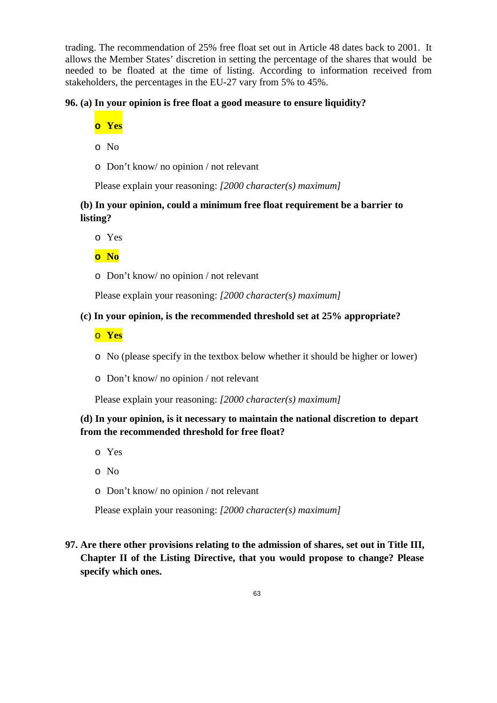trading. The recommendation of 25% free float set out in Article 48 dates back to 2001. It allows the Member States' discretion in setting the percentage of the shares that would be needed to be floated at the time of listing. According to information received from stakeholders, the percentages in the EU-27 vary from 5% to 45%.

## **96. (a) In your opinion is free float a good measure to ensure liquidity?**

- **o Yes**
- o No
- o Don't know/ no opinion / not relevant

Please explain your reasoning: *[2000 character(s) maximum]*

# **(b) In your opinion, could a minimum free float requirement be a barrier to listing?**

o Yes

**o No** 

o Don't know/ no opinion / not relevant

Please explain your reasoning: *[2000 character(s) maximum]*

## **(c) In your opinion, is the recommended threshold set at 25% appropriate?**

- o **Yes**
- o No (please specify in the textbox below whether it should be higher or lower)
- o Don't know/ no opinion / not relevant

Please explain your reasoning: *[2000 character(s) maximum]*

# **(d) In your opinion, is it necessary to maintain the national discretion to depart from the recommended threshold for free float?**

- o Yes
- o No
- o Don't know/ no opinion / not relevant

Please explain your reasoning: *[2000 character(s) maximum]*

# **97. Are there other provisions relating to the admission of shares, set out in Title III, Chapter II of the Listing Directive, that you would propose to change? Please specify which ones.**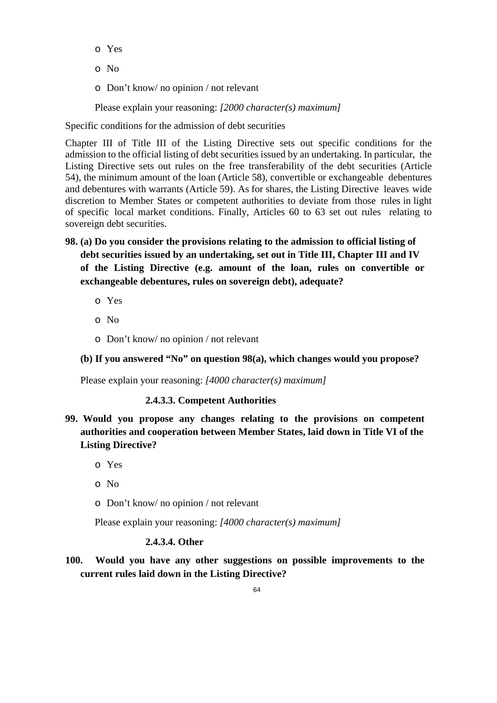- o Yes
- o No
- o Don't know/ no opinion / not relevant

Specific conditions for the admission of debt securities

Chapter III of Title III of the Listing Directive sets out specific conditions for the admission to the official listing of debt securities issued by an undertaking. In particular, the Listing Directive sets out rules on the free transferability of the debt securities (Article 54), the minimum amount of the loan (Article 58), convertible or exchangeable debentures and debentures with warrants (Article 59). As for shares, the Listing Directive leaves wide discretion to Member States or competent authorities to deviate from those rules in light of specific local market conditions. Finally, Articles 60 to 63 set out rules relating to sovereign debt securities.

- **98. (a) Do you consider the provisions relating to the admission to official listing of debt securities issued by an undertaking, set out in Title III, Chapter III and IV of the Listing Directive (e.g. amount of the loan, rules on convertible or exchangeable debentures, rules on sovereign debt), adequate?** 
	- o Yes
	- o No
	- o Don't know/ no opinion / not relevant

## **(b) If you answered "No" on question 98(a), which changes would you propose?**

Please explain your reasoning: *[4000 character(s) maximum]* 

## **2.4.3.3. Competent Authorities**

- **99. Would you propose any changes relating to the provisions on competent authorities and cooperation between Member States, laid down in Title VI of the Listing Directive?**
	- o Yes
	- o No
	- o Don't know/ no opinion / not relevant

Please explain your reasoning: *[4000 character(s) maximum]* 

## **2.4.3.4. Other**

**100. Would you have any other suggestions on possible improvements to the current rules laid down in the Listing Directive?**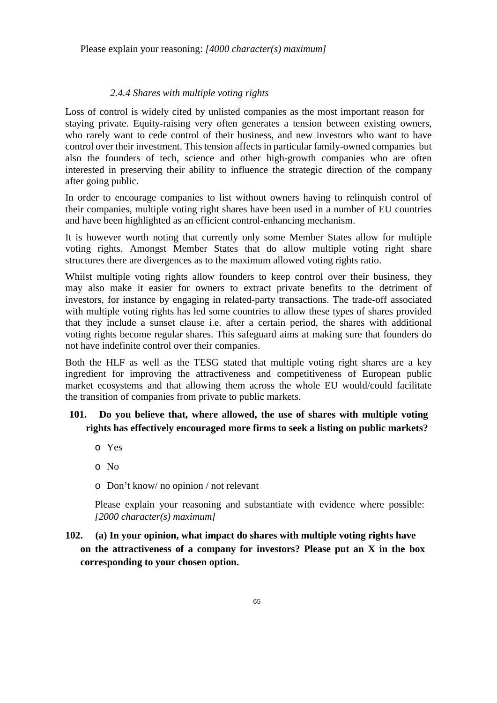### *2.4.4 Shares with multiple voting rights*

Loss of control is widely cited by unlisted companies as the most important reason for staying private. Equity-raising very often generates a tension between existing owners, who rarely want to cede control of their business, and new investors who want to have control over their investment. This tension affects in particular family-owned companies but also the founders of tech, science and other high-growth companies who are often interested in preserving their ability to influence the strategic direction of the company after going public.

In order to encourage companies to list without owners having to relinquish control of their companies, multiple voting right shares have been used in a number of EU countries and have been highlighted as an efficient control-enhancing mechanism.

It is however worth noting that currently only some Member States allow for multiple voting rights. Amongst Member States that do allow multiple voting right share structures there are divergences as to the maximum allowed voting rights ratio.

Whilst multiple voting rights allow founders to keep control over their business, they may also make it easier for owners to extract private benefits to the detriment of investors, for instance by engaging in related-party transactions. The trade-off associated with multiple voting rights has led some countries to allow these types of shares provided that they include a sunset clause i.e. after a certain period, the shares with additional voting rights become regular shares. This safeguard aims at making sure that founders do not have indefinite control over their companies.

Both the HLF as well as the TESG stated that multiple voting right shares are a key ingredient for improving the attractiveness and competitiveness of European public market ecosystems and that allowing them across the whole EU would/could facilitate the transition of companies from private to public markets.

# **101. Do you believe that, where allowed, the use of shares with multiple voting rights has effectively encouraged more firms to seek a listing on public markets?**

- o Yes
- o No
- o Don't know/ no opinion / not relevant

Please explain your reasoning and substantiate with evidence where possible: *[2000 character(s) maximum]*

**102. (a) In your opinion, what impact do shares with multiple voting rights have on the attractiveness of a company for investors? Please put an X in the box corresponding to your chosen option.**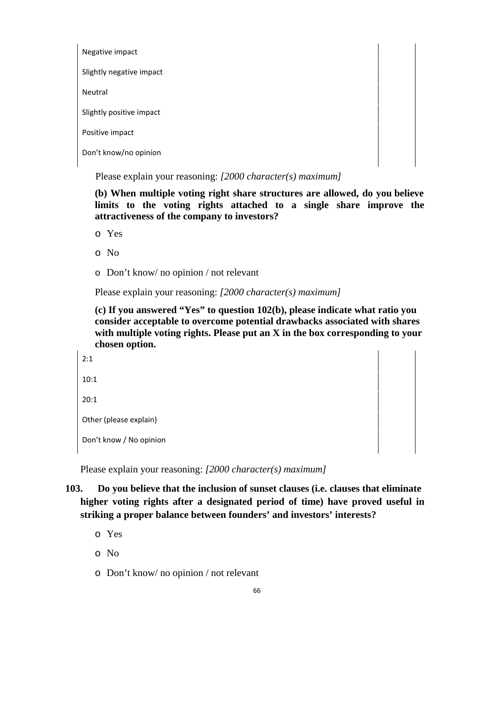Negative impact Slightly negative impact Neutral Slightly positive impact Positive impact Don't know/no opinion

Please explain your reasoning: *[2000 character(s) maximum]*

**(b) When multiple voting right share structures are allowed, do you believe limits to the voting rights attached to a single share improve the attractiveness of the company to investors?** 

o Yes

o No

o Don't know/ no opinion / not relevant

Please explain your reasoning: *[2000 character(s) maximum]*

**(c) If you answered "Yes" to question 102(b), please indicate what ratio you consider acceptable to overcome potential drawbacks associated with shares with multiple voting rights. Please put an X in the box corresponding to your chosen option.** 

```
2:1     
10:1     
20:1     
Other (please explain)     
Don't know / No opinion
```
Please explain your reasoning: *[2000 character(s) maximum]*

# **103. Do you believe that the inclusion of sunset clauses (i.e. clauses that eliminate higher voting rights after a designated period of time) have proved useful in striking a proper balance between founders' and investors' interests?**

- o Yes
- o No
- o Don't know/ no opinion / not relevant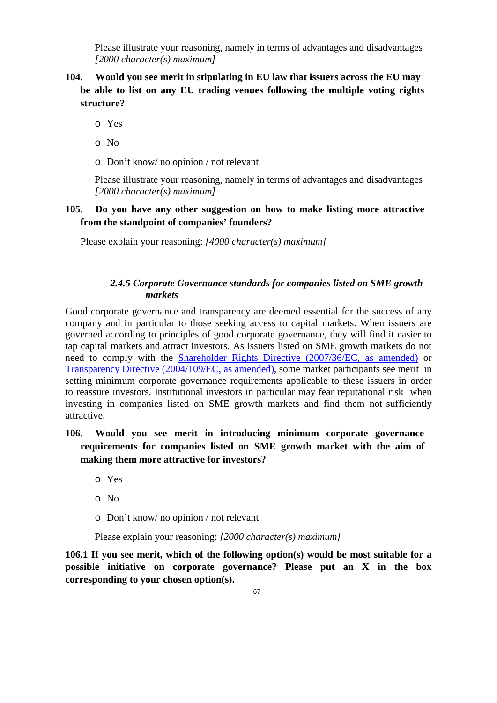Please illustrate your reasoning, namely in terms of advantages and disadvantages *[2000 character(s) maximum]* 

- **104. Would you see merit in stipulating in EU law that issuers across the EU may be able to list on any EU trading venues following the multiple voting rights structure?** 
	- o Yes
	- o No
	- o Don't know/ no opinion / not relevant

Please illustrate your reasoning, namely in terms of advantages and disadvantages *[2000 character(s) maximum]* 

## **105. Do you have any other suggestion on how to make listing more attractive from the standpoint of companies' founders?**

Please explain your reasoning: *[4000 character(s) maximum]* 

## *2.4.5 Corporate Governance standards for companies listed on SME growth markets*

Good corporate governance and transparency are deemed essential for the success of any company and in particular to those seeking access to capital markets. When issuers are governed according to principles of good corporate governance, they will find it easier to tap capital markets and attract investors. As issuers listed on SME growth markets do not need to comply with the Shareholder Rights Directive (2007/36/EC, as amended) or Transparency Directive (2004/109/EC, as amended), some market participants see merit in setting minimum corporate governance requirements applicable to these issuers in order to reassure investors. Institutional investors in particular may fear reputational risk when investing in companies listed on SME growth markets and find them not sufficiently attractive.

# **106. Would you see merit in introducing minimum corporate governance requirements for companies listed on SME growth market with the aim of making them more attractive for investors?**

- o Yes
- o No
- o Don't know/ no opinion / not relevant

Please explain your reasoning: *[2000 character(s) maximum]*

**106.1 If you see merit, which of the following option(s) would be most suitable for a possible initiative on corporate governance? Please put an X in the box corresponding to your chosen option(s).**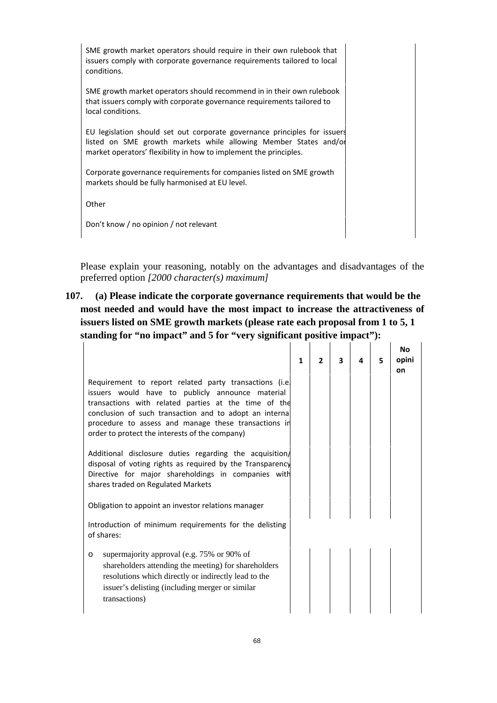SME growth market operators should require in their own rulebook that issuers comply with corporate governance requirements tailored to local conditions.

SME growth market operators should recommend in in their own rulebook that issuers comply with corporate governance requirements tailored to local conditions.

EU legislation should set out corporate governance principles for issuers listed on SME growth markets while allowing Member States and/or market operators' flexibility in how to implement the principles.

Corporate governance requirements for companies listed on SME growth markets should be fully harmonised at EU level.

Other **Community Community Community Community** 

Don't know / no opinion / not relevant

Please explain your reasoning, notably on the advantages and disadvantages of the preferred option *[2000 character(s) maximum]*

**107. (a) Please indicate the corporate governance requirements that would be the most needed and would have the most impact to increase the attractiveness of issuers listed on SME growth markets (please rate each proposal from 1 to 5, 1 standing for "no impact" and 5 for "very significant positive impact"):** 

|                                                                                                                                                                                                                                                                                                                                         | $\mathbf{1}$ | $\mathbf{z}$ | 3 | 4 | 5 | <b>No</b><br>opini<br>on |
|-----------------------------------------------------------------------------------------------------------------------------------------------------------------------------------------------------------------------------------------------------------------------------------------------------------------------------------------|--------------|--------------|---|---|---|--------------------------|
| Requirement to report related party transactions (i.e.<br>issuers would have to publicly announce material<br>transactions with related parties at the time of the<br>conclusion of such transaction and to adopt an internal<br>procedure to assess and manage these transactions in<br>order to protect the interests of the company) |              |              |   |   |   |                          |
| Additional disclosure duties regarding the acquisition<br>disposal of voting rights as required by the Transparency<br>Directive for major shareholdings in companies with<br>shares traded on Regulated Markets                                                                                                                        |              |              |   |   |   |                          |
| Obligation to appoint an investor relations manager                                                                                                                                                                                                                                                                                     |              |              |   |   |   |                          |
| Introduction of minimum requirements for the delisting<br>of shares:                                                                                                                                                                                                                                                                    |              |              |   |   |   |                          |
| supermajority approval (e.g. 75% or 90% of<br>$\circ$<br>shareholders attending the meeting) for shareholders<br>resolutions which directly or indirectly lead to the<br>issuer's delisting (including merger or similar<br>transactions)                                                                                               |              |              |   |   |   |                          |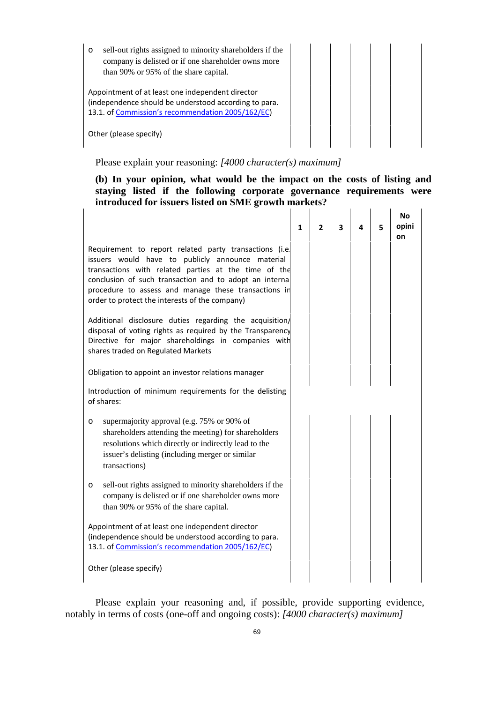| sell-out rights assigned to minority shareholders if the<br>$\circ$<br>company is delisted or if one shareholder owns more<br>than 90% or 95% of the share capital. |  |  |  |
|---------------------------------------------------------------------------------------------------------------------------------------------------------------------|--|--|--|
| Appointment of at least one independent director<br>(independence should be understood according to para.<br>13.1. of Commission's recommendation 2005/162/EC)      |  |  |  |
| Other (please specify)                                                                                                                                              |  |  |  |

 $\mathbf{I}$ 

#### **(b) In your opinion, what would be the impact on the costs of listing and staying listed if the following corporate governance requirements were introduced for issuers listed on SME growth markets?**   $\mathbf{1}$   $\mathbf{1}$

|                                                                                                                                                                                                                                                                                                                                         | $\mathbf{1}$ | $\mathbf{2}$ | 3 | 4 | 5 | <b>No</b><br>opini<br>on |
|-----------------------------------------------------------------------------------------------------------------------------------------------------------------------------------------------------------------------------------------------------------------------------------------------------------------------------------------|--------------|--------------|---|---|---|--------------------------|
| Requirement to report related party transactions (i.e.<br>issuers would have to publicly announce material<br>transactions with related parties at the time of the<br>conclusion of such transaction and to adopt an internal<br>procedure to assess and manage these transactions in<br>order to protect the interests of the company) |              |              |   |   |   |                          |
| Additional disclosure duties regarding the acquisition<br>disposal of voting rights as required by the Transparency<br>Directive for major shareholdings in companies with<br>shares traded on Regulated Markets                                                                                                                        |              |              |   |   |   |                          |
| Obligation to appoint an investor relations manager                                                                                                                                                                                                                                                                                     |              |              |   |   |   |                          |
| Introduction of minimum requirements for the delisting<br>of shares:                                                                                                                                                                                                                                                                    |              |              |   |   |   |                          |
| supermajority approval (e.g. 75% or 90% of<br>O<br>shareholders attending the meeting) for shareholders<br>resolutions which directly or indirectly lead to the<br>issuer's delisting (including merger or similar<br>transactions)                                                                                                     |              |              |   |   |   |                          |
| sell-out rights assigned to minority shareholders if the<br>O<br>company is delisted or if one shareholder owns more<br>than 90% or 95% of the share capital.                                                                                                                                                                           |              |              |   |   |   |                          |
| Appointment of at least one independent director<br>(independence should be understood according to para.<br>13.1. of Commission's recommendation 2005/162/EC)                                                                                                                                                                          |              |              |   |   |   |                          |
| Other (please specify)                                                                                                                                                                                                                                                                                                                  |              |              |   |   |   |                          |

Please explain your reasoning and, if possible, provide supporting evidence, notably in terms of costs (one-off and ongoing costs): *[4000 character(s) maximum]*